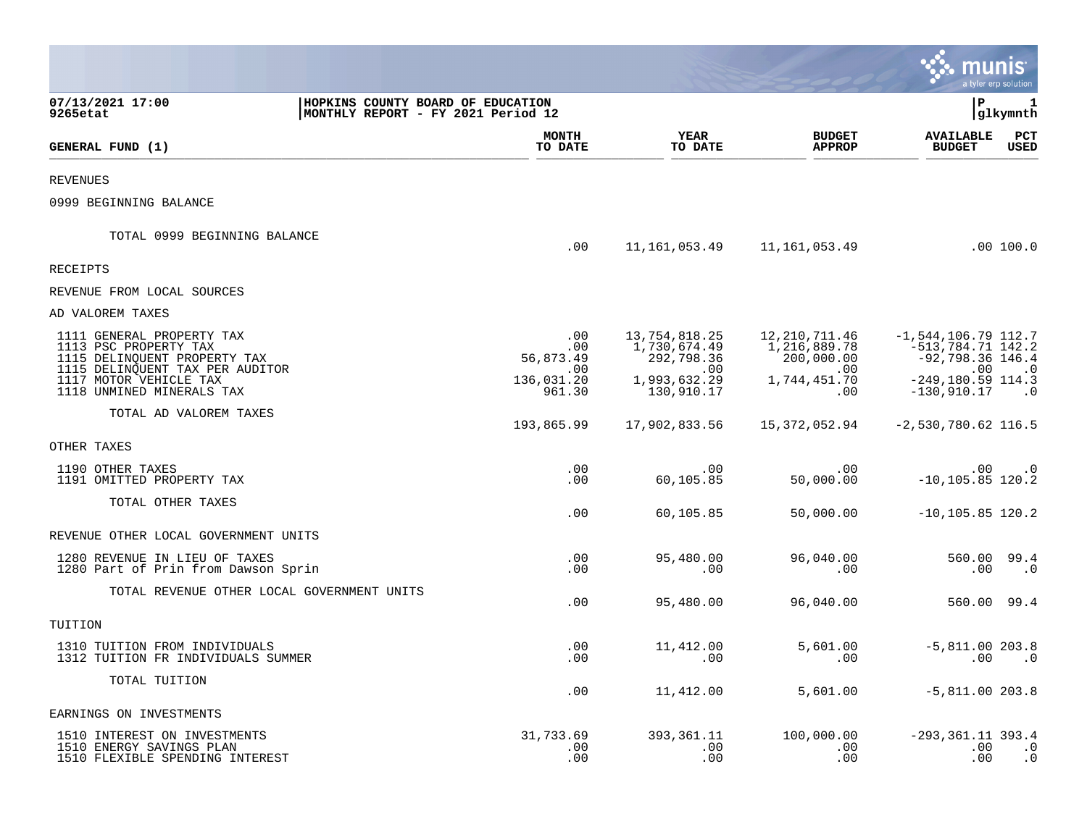|                                                                                             |                                                                         |                             |                                             |                                             | munis                                                                  | a tyler erp solution   |
|---------------------------------------------------------------------------------------------|-------------------------------------------------------------------------|-----------------------------|---------------------------------------------|---------------------------------------------|------------------------------------------------------------------------|------------------------|
| 07/13/2021 17:00<br>9265etat                                                                | HOPKINS COUNTY BOARD OF EDUCATION<br>MONTHLY REPORT - FY 2021 Period 12 |                             |                                             |                                             | l P                                                                    | 1<br>glkymnth          |
| GENERAL FUND (1)                                                                            |                                                                         | <b>MONTH</b><br>TO DATE     | <b>YEAR</b><br>TO DATE                      | <b>BUDGET</b><br><b>APPROP</b>              | <b>AVAILABLE</b><br><b>BUDGET</b>                                      | PCT<br><b>USED</b>     |
| <b>REVENUES</b>                                                                             |                                                                         |                             |                                             |                                             |                                                                        |                        |
| 0999 BEGINNING BALANCE                                                                      |                                                                         |                             |                                             |                                             |                                                                        |                        |
| TOTAL 0999 BEGINNING BALANCE                                                                |                                                                         | .00                         | 11,161,053.49                               | 11, 161, 053.49                             |                                                                        | .00100.0               |
| <b>RECEIPTS</b>                                                                             |                                                                         |                             |                                             |                                             |                                                                        |                        |
| REVENUE FROM LOCAL SOURCES                                                                  |                                                                         |                             |                                             |                                             |                                                                        |                        |
| AD VALOREM TAXES                                                                            |                                                                         |                             |                                             |                                             |                                                                        |                        |
| 1111 GENERAL PROPERTY TAX<br>1113 PSC PROPERTY TAX<br>1115 DELINQUENT PROPERTY TAX          |                                                                         | .00<br>.00<br>56,873.49     | 13,754,818.25<br>1,730,674.49<br>292,798.36 | 12,210,711.46<br>1,216,889.78<br>200,000.00 | $-1, 544, 106.79$ 112.7<br>$-513,784.71$ $142.2$<br>$-92,798.36$ 146.4 |                        |
| 1115 DELINQUENT TAX PER AUDITOR<br>1117 MOTOR VEHICLE TAX<br>1118 UNMINED MINERALS TAX      |                                                                         | .00<br>136,031.20<br>961.30 | .00<br>1,993,632.29<br>130,910.17           | .00<br>1,744,451.70<br>.00                  | .00<br>$-249, 180.59$ 114.3<br>$-130,910.17$                           | $\cdot$ 0<br>$\cdot$ 0 |
| TOTAL AD VALOREM TAXES                                                                      |                                                                         | 193,865.99                  | 17,902,833.56                               | 15,372,052.94                               | $-2,530,780.62$ 116.5                                                  |                        |
| OTHER TAXES                                                                                 |                                                                         |                             |                                             |                                             |                                                                        |                        |
| 1190 OTHER TAXES<br>1191 OMITTED PROPERTY TAX                                               |                                                                         | .00<br>.00                  | .00<br>60,105.85                            | .00<br>50,000.00                            | $.00 \,$<br>$-10, 105.85$ 120.2                                        | $\cdot$ 0              |
| TOTAL OTHER TAXES                                                                           |                                                                         | .00                         | 60,105.85                                   | 50,000.00                                   | $-10, 105.85$ 120.2                                                    |                        |
| REVENUE OTHER LOCAL GOVERNMENT UNITS                                                        |                                                                         |                             |                                             |                                             |                                                                        |                        |
| 1280 REVENUE IN LIEU OF TAXES<br>1280 Part of Prin from Dawson Sprin                        |                                                                         | .00<br>.00                  | 95,480.00<br>.00                            | 96,040.00<br>.00                            | 560.00 99.4<br>$.00 \,$                                                | $\cdot$ 0              |
| TOTAL REVENUE OTHER LOCAL GOVERNMENT UNITS                                                  |                                                                         | .00                         | 95,480.00                                   | 96,040.00                                   | 560.00 99.4                                                            |                        |
| TUITION                                                                                     |                                                                         |                             |                                             |                                             |                                                                        |                        |
| 1310 TUITION FROM INDIVIDUALS<br>1312 TUITION FR INDIVIDUALS SUMMER                         |                                                                         | $.00 \,$<br>.00             | 11,412.00<br>.00                            | 5,601.00<br>.00                             | $-5,811.00 203.8$<br>$.00 \,$                                          | $\cdot$ 0              |
| TOTAL TUITION                                                                               |                                                                         | .00                         | 11,412.00                                   | 5,601.00                                    | $-5,811.00 203.8$                                                      |                        |
| EARNINGS ON INVESTMENTS                                                                     |                                                                         |                             |                                             |                                             |                                                                        |                        |
| 1510 INTEREST ON INVESTMENTS<br>1510 ENERGY SAVINGS PLAN<br>1510 FLEXIBLE SPENDING INTEREST |                                                                         | 31,733.69<br>.00<br>.00     | 393, 361. 11<br>.00<br>.00                  | 100,000.00<br>.00<br>.00                    | $-293, 361.11$ 393.4<br>.00<br>.00                                     | $\cdot$ 0<br>$\cdot$ 0 |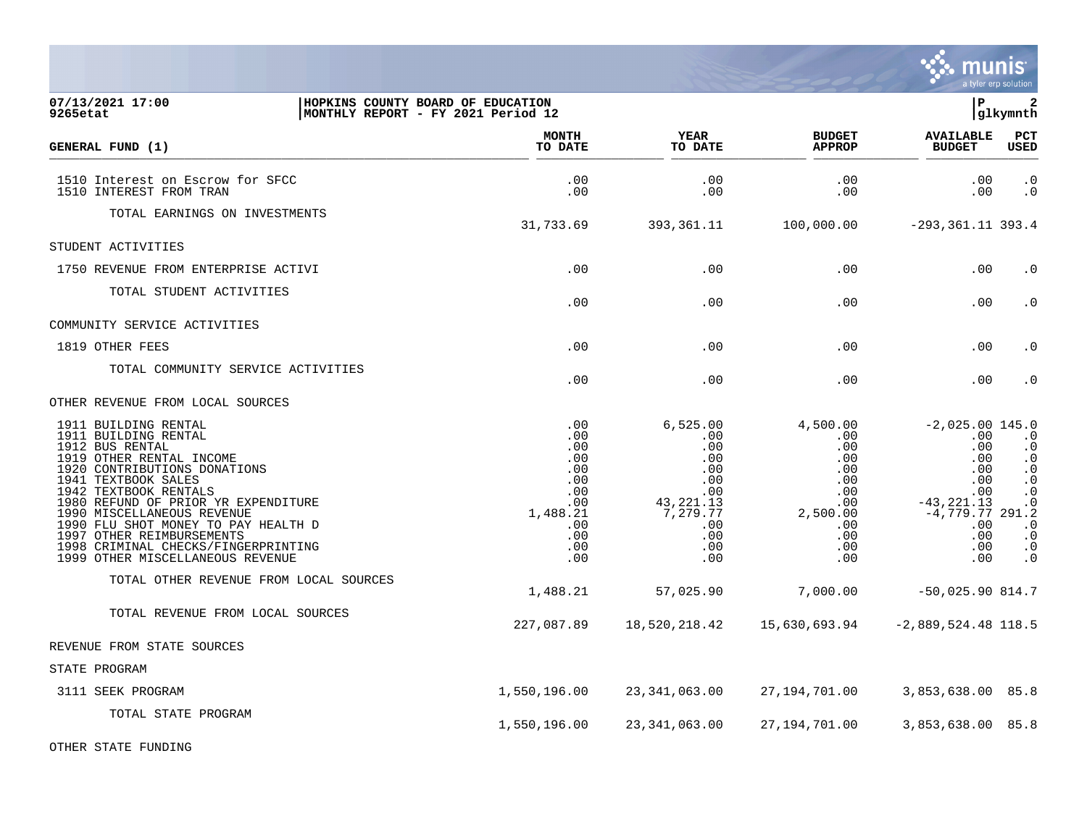|                                                                                                                                                                                                                                                                                                                                                                                                 |                                                                                              |                                                                                                                |                                                                                                                  |                                                                                                                               | a tyler erp solution                                                                                                                  |
|-------------------------------------------------------------------------------------------------------------------------------------------------------------------------------------------------------------------------------------------------------------------------------------------------------------------------------------------------------------------------------------------------|----------------------------------------------------------------------------------------------|----------------------------------------------------------------------------------------------------------------|------------------------------------------------------------------------------------------------------------------|-------------------------------------------------------------------------------------------------------------------------------|---------------------------------------------------------------------------------------------------------------------------------------|
| 07/13/2021 17:00<br>HOPKINS COUNTY BOARD OF EDUCATION<br>9265etat<br>MONTHLY REPORT - FY 2021 Period 12                                                                                                                                                                                                                                                                                         |                                                                                              |                                                                                                                |                                                                                                                  | l P                                                                                                                           | 2<br> glkymnth                                                                                                                        |
| GENERAL FUND (1)                                                                                                                                                                                                                                                                                                                                                                                | <b>MONTH</b><br>TO DATE                                                                      | <b>YEAR</b><br>TO DATE                                                                                         | <b>BUDGET</b><br><b>APPROP</b>                                                                                   | <b>AVAILABLE</b><br><b>BUDGET</b>                                                                                             | PCT<br>USED                                                                                                                           |
| 1510 Interest on Escrow for SFCC<br>1510 INTEREST FROM TRAN                                                                                                                                                                                                                                                                                                                                     | .00<br>.00                                                                                   | .00<br>.00                                                                                                     | .00<br>.00                                                                                                       | .00<br>.00                                                                                                                    | $\cdot$ 0<br>$\cdot$ 0                                                                                                                |
| TOTAL EARNINGS ON INVESTMENTS                                                                                                                                                                                                                                                                                                                                                                   | 31,733.69                                                                                    | 393, 361. 11                                                                                                   | 100,000.00                                                                                                       | $-293, 361.11$ 393.4                                                                                                          |                                                                                                                                       |
| STUDENT ACTIVITIES                                                                                                                                                                                                                                                                                                                                                                              |                                                                                              |                                                                                                                |                                                                                                                  |                                                                                                                               |                                                                                                                                       |
| 1750 REVENUE FROM ENTERPRISE ACTIVI                                                                                                                                                                                                                                                                                                                                                             | .00                                                                                          | .00                                                                                                            | .00                                                                                                              | .00                                                                                                                           | $\cdot$ 0                                                                                                                             |
| TOTAL STUDENT ACTIVITIES                                                                                                                                                                                                                                                                                                                                                                        | .00                                                                                          | .00                                                                                                            | .00                                                                                                              | .00                                                                                                                           | $\cdot$ 0                                                                                                                             |
| COMMUNITY SERVICE ACTIVITIES                                                                                                                                                                                                                                                                                                                                                                    |                                                                                              |                                                                                                                |                                                                                                                  |                                                                                                                               |                                                                                                                                       |
| 1819 OTHER FEES                                                                                                                                                                                                                                                                                                                                                                                 | .00                                                                                          | .00                                                                                                            | .00                                                                                                              | .00                                                                                                                           | $\cdot$ 0                                                                                                                             |
| TOTAL COMMUNITY SERVICE ACTIVITIES                                                                                                                                                                                                                                                                                                                                                              | .00                                                                                          | .00                                                                                                            | .00                                                                                                              | .00                                                                                                                           | $\boldsymbol{\cdot}$ 0                                                                                                                |
| OTHER REVENUE FROM LOCAL SOURCES                                                                                                                                                                                                                                                                                                                                                                |                                                                                              |                                                                                                                |                                                                                                                  |                                                                                                                               |                                                                                                                                       |
| 1911 BUILDING RENTAL<br>1911 BUILDING RENTAL<br>1912 BUS RENTAL<br>1919 OTHER RENTAL INCOME<br>1920 CONTRIBUTIONS DONATIONS<br>1941 TEXTBOOK SALES<br>1942 TEXTBOOK RENTALS<br>1980 REFUND OF PRIOR YR EXPENDITURE<br>1990 MISCELLANEOUS REVENUE<br>1990 FLU SHOT MONEY TO PAY HEALTH D<br>1997 OTHER REIMBURSEMENTS<br>1998 CRIMINAL CHECKS/FINGERPRINTING<br>1999 OTHER MISCELLANEOUS REVENUE | .00<br>.00<br>.00<br>.00<br>.00<br>.00<br>.00<br>.00<br>1,488.21<br>.00<br>.00<br>.00<br>.00 | 6,525.00<br>.00<br>.00<br>.00<br>.00<br>.00<br>$.00 \,$<br>43, 221. 13<br>7,279.77<br>.00<br>.00<br>.00<br>.00 | 4,500.00<br>.00<br>.00<br>.00<br>$.00 \,$<br>.00<br>$.00 \,$<br>$.00 \,$<br>2,500.00<br>.00<br>.00<br>.00<br>.00 | $-2,025.00$ 145.0<br>.00<br>.00<br>.00<br>.00<br>.00<br>.00<br>$-43, 221.13$<br>$-4,779.77$ 291.2<br>.00<br>.00<br>.00<br>.00 | $\cdot$ 0<br>$\cdot$ 0<br>$\cdot$ 0<br>$\cdot$ 0<br>$\cdot$ 0<br>$\cdot$ 0<br>$\cdot$ 0<br>$\cdot$ 0<br>$\cdot$ 0<br>$\cdot$ 0<br>. 0 |
| TOTAL OTHER REVENUE FROM LOCAL SOURCES                                                                                                                                                                                                                                                                                                                                                          | 1,488.21                                                                                     | 57,025.90                                                                                                      | 7,000.00                                                                                                         | $-50,025.90814.7$                                                                                                             |                                                                                                                                       |
| TOTAL REVENUE FROM LOCAL SOURCES                                                                                                                                                                                                                                                                                                                                                                | 227,087.89                                                                                   | 18,520,218.42                                                                                                  | 15,630,693.94                                                                                                    | $-2,889,524.48$ 118.5                                                                                                         |                                                                                                                                       |
| REVENUE FROM STATE SOURCES                                                                                                                                                                                                                                                                                                                                                                      |                                                                                              |                                                                                                                |                                                                                                                  |                                                                                                                               |                                                                                                                                       |
| STATE PROGRAM                                                                                                                                                                                                                                                                                                                                                                                   |                                                                                              |                                                                                                                |                                                                                                                  |                                                                                                                               |                                                                                                                                       |
| 3111 SEEK PROGRAM                                                                                                                                                                                                                                                                                                                                                                               | 1,550,196.00                                                                                 | 23,341,063.00                                                                                                  | 27,194,701.00                                                                                                    | 3,853,638.00 85.8                                                                                                             |                                                                                                                                       |
| TOTAL STATE PROGRAM                                                                                                                                                                                                                                                                                                                                                                             | 1,550,196.00                                                                                 | 23, 341, 063.00                                                                                                | 27,194,701.00                                                                                                    | 3,853,638.00 85.8                                                                                                             |                                                                                                                                       |
| OTHER STATE FUNDING                                                                                                                                                                                                                                                                                                                                                                             |                                                                                              |                                                                                                                |                                                                                                                  |                                                                                                                               |                                                                                                                                       |

 $\ddot{\ddot{\mathbf{u}}}$  munis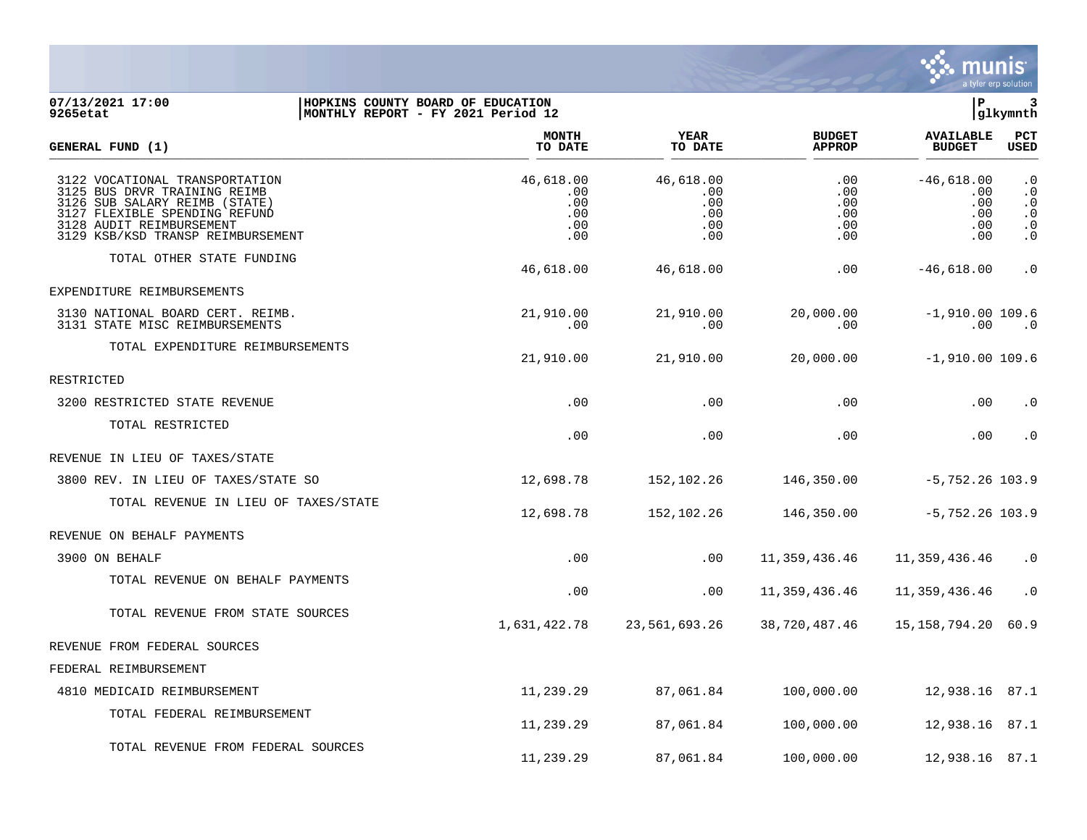

## **07/13/2021 17:00 |HOPKINS COUNTY BOARD OF EDUCATION |P 3 9265etat |MONTHLY REPORT - FY 2021 Period 12 |glkymnth**

| GENERAL FUND (1)                                                                                                                                                                                  | <b>MONTH</b><br>TO DATE                      | <b>YEAR</b><br>TO DATE                       | <b>BUDGET</b><br><b>APPROP</b>          | <b>AVAILABLE</b><br><b>BUDGET</b>               | <b>PCT</b><br><b>USED</b>                                            |
|---------------------------------------------------------------------------------------------------------------------------------------------------------------------------------------------------|----------------------------------------------|----------------------------------------------|-----------------------------------------|-------------------------------------------------|----------------------------------------------------------------------|
| 3122 VOCATIONAL TRANSPORTATION<br>3125 BUS DRVR TRAINING REIMB<br>3126 SUB SALARY REIMB (STATE)<br>3127 FLEXIBLE SPENDING REFUND<br>3128 AUDIT REIMBURSEMENT<br>3129 KSB/KSD TRANSP REIMBURSEMENT | 46,618.00<br>.00<br>.00<br>.00<br>.00<br>.00 | 46,618.00<br>.00<br>.00<br>.00<br>.00<br>.00 | .00<br>.00<br>.00<br>.00<br>.00<br>.00. | $-46,618.00$<br>.00<br>.00<br>.00<br>.00<br>.00 | $\cdot$ 0<br>$\cdot$ 0<br>$\cdot$ 0<br>$\cdot$ 0<br>$\cdot$ 0<br>. 0 |
| TOTAL OTHER STATE FUNDING                                                                                                                                                                         | 46,618.00                                    | 46,618.00                                    | .00                                     | $-46,618.00$                                    | $\cdot$ 0                                                            |
| EXPENDITURE REIMBURSEMENTS                                                                                                                                                                        |                                              |                                              |                                         |                                                 |                                                                      |
| 3130 NATIONAL BOARD CERT. REIMB.<br>3131 STATE MISC REIMBURSEMENTS                                                                                                                                | 21,910.00<br>.00.                            | 21,910.00<br>.00                             | 20,000.00<br>.00                        | $-1,910.00 109.6$<br>$.00 \,$                   | $\cdot$ 0                                                            |
| TOTAL EXPENDITURE REIMBURSEMENTS                                                                                                                                                                  | 21,910.00                                    | 21,910.00                                    | 20,000.00                               | $-1,910.00$ 109.6                               |                                                                      |
| RESTRICTED                                                                                                                                                                                        |                                              |                                              |                                         |                                                 |                                                                      |
| 3200 RESTRICTED STATE REVENUE                                                                                                                                                                     | .00                                          | .00                                          | .00                                     | .00                                             | $\cdot$ 0                                                            |
| TOTAL RESTRICTED                                                                                                                                                                                  | .00                                          | .00                                          | .00                                     | .00                                             | $\cdot$ 0                                                            |
| REVENUE IN LIEU OF TAXES/STATE                                                                                                                                                                    |                                              |                                              |                                         |                                                 |                                                                      |
| 3800 REV. IN LIEU OF TAXES/STATE SO                                                                                                                                                               | 12,698.78                                    | 152,102.26                                   | 146,350.00                              | $-5,752.26$ 103.9                               |                                                                      |
| TOTAL REVENUE IN LIEU OF TAXES/STATE                                                                                                                                                              | 12,698.78                                    | 152,102.26                                   | 146,350.00                              | $-5,752.26$ 103.9                               |                                                                      |
| REVENUE ON BEHALF PAYMENTS                                                                                                                                                                        |                                              |                                              |                                         |                                                 |                                                                      |
| 3900 ON BEHALF                                                                                                                                                                                    | .00                                          | .00                                          | 11,359,436.46                           | 11,359,436.46                                   | $\cdot$ 0                                                            |
| TOTAL REVENUE ON BEHALF PAYMENTS                                                                                                                                                                  | .00                                          | .00                                          | 11,359,436.46                           | 11,359,436.46                                   | $\cdot$ 0                                                            |
| TOTAL REVENUE FROM STATE SOURCES                                                                                                                                                                  | 1,631,422.78                                 | 23,561,693.26                                | 38,720,487.46                           | 15,158,794.20                                   | 60.9                                                                 |
| REVENUE FROM FEDERAL SOURCES                                                                                                                                                                      |                                              |                                              |                                         |                                                 |                                                                      |
| FEDERAL REIMBURSEMENT                                                                                                                                                                             |                                              |                                              |                                         |                                                 |                                                                      |
| 4810 MEDICAID REIMBURSEMENT                                                                                                                                                                       | 11,239.29                                    | 87,061.84                                    | 100,000.00                              | 12,938.16 87.1                                  |                                                                      |
| TOTAL FEDERAL REIMBURSEMENT                                                                                                                                                                       | 11,239.29                                    | 87,061.84                                    | 100,000.00                              | 12,938.16 87.1                                  |                                                                      |
| TOTAL REVENUE FROM FEDERAL SOURCES                                                                                                                                                                | 11,239.29                                    | 87,061.84                                    | 100,000.00                              | 12,938.16 87.1                                  |                                                                      |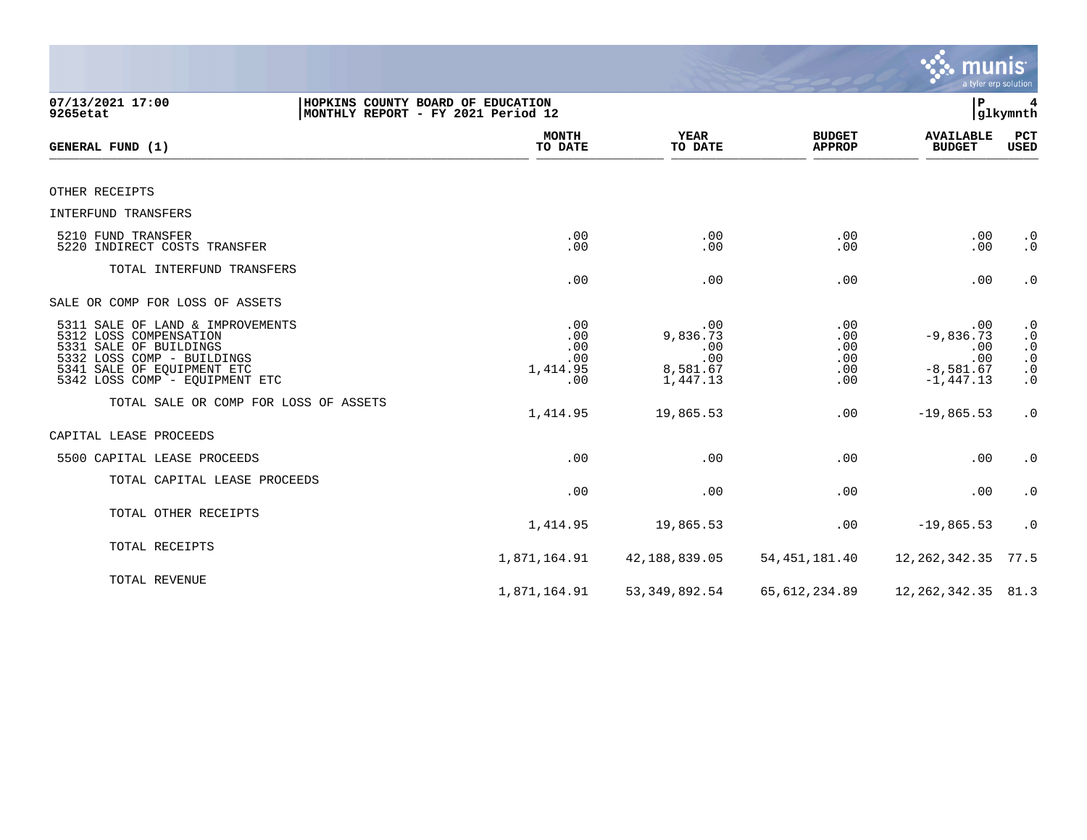|                                                                                                                                                                                    |                                                                         |                                                       |                                        | munis                                                           | a tyler erp solution                                                       |
|------------------------------------------------------------------------------------------------------------------------------------------------------------------------------------|-------------------------------------------------------------------------|-------------------------------------------------------|----------------------------------------|-----------------------------------------------------------------|----------------------------------------------------------------------------|
| 07/13/2021 17:00<br>9265etat                                                                                                                                                       | HOPKINS COUNTY BOARD OF EDUCATION<br>MONTHLY REPORT - FY 2021 Period 12 |                                                       |                                        | P                                                               | 4<br> glkymnth                                                             |
| GENERAL FUND (1)                                                                                                                                                                   | <b>MONTH</b><br>TO DATE                                                 | <b>YEAR</b><br>TO DATE                                | <b>BUDGET</b><br><b>APPROP</b>         | <b>AVAILABLE</b><br><b>BUDGET</b>                               | PCT<br><b>USED</b>                                                         |
| OTHER RECEIPTS                                                                                                                                                                     |                                                                         |                                                       |                                        |                                                                 |                                                                            |
| INTERFUND TRANSFERS                                                                                                                                                                |                                                                         |                                                       |                                        |                                                                 |                                                                            |
| 5210 FUND TRANSFER<br>5220 INDIRECT COSTS TRANSFER                                                                                                                                 | .00<br>.00                                                              | .00<br>.00                                            | .00<br>.00                             | .00<br>.00                                                      | $\cdot$ 0<br>$\cdot$ 0                                                     |
| TOTAL INTERFUND TRANSFERS                                                                                                                                                          | .00                                                                     | .00                                                   | .00                                    | .00                                                             | $\cdot$ 0                                                                  |
| SALE OR COMP FOR LOSS OF ASSETS                                                                                                                                                    |                                                                         |                                                       |                                        |                                                                 |                                                                            |
| 5311 SALE OF LAND & IMPROVEMENTS<br>5312 LOSS COMPENSATION<br>5331 SALE OF BUILDINGS<br>5332 LOSS COMP - BUILDINGS<br>5341 SALE OF EQUIPMENT ETC<br>5342 LOSS COMP - EQUIPMENT ETC | .00<br>.00<br>.00<br>.00<br>1,414.95<br>.00                             | .00<br>9,836.73<br>.00<br>.00<br>8,581.67<br>1,447.13 | .00<br>.00<br>.00<br>.00<br>.00<br>.00 | .00<br>$-9,836.73$<br>.00<br>.00<br>$-8,581.67$<br>$-1, 447.13$ | $\cdot$ 0<br>$\cdot$ 0<br>$\cdot$ 0<br>$\cdot$ 0<br>$\cdot$ 0<br>$\cdot$ 0 |
| TOTAL SALE OR COMP FOR LOSS OF ASSETS                                                                                                                                              | 1,414.95                                                                | 19,865.53                                             | .00                                    | $-19,865.53$                                                    | $\cdot$ 0                                                                  |
| CAPITAL LEASE PROCEEDS                                                                                                                                                             |                                                                         |                                                       |                                        |                                                                 |                                                                            |
| 5500 CAPITAL LEASE PROCEEDS                                                                                                                                                        | .00                                                                     | .00                                                   | .00                                    | .00                                                             | $\cdot$ 0                                                                  |
| TOTAL CAPITAL LEASE PROCEEDS                                                                                                                                                       | .00                                                                     | .00                                                   | .00                                    | .00                                                             | $\cdot$ 0                                                                  |
| TOTAL OTHER RECEIPTS                                                                                                                                                               | 1,414.95                                                                | 19,865.53                                             | .00                                    | $-19,865.53$                                                    | $\cdot$ 0                                                                  |
| TOTAL RECEIPTS                                                                                                                                                                     | 1,871,164.91                                                            | 42,188,839.05                                         | 54, 451, 181.40                        | 12, 262, 342.35                                                 | 77.5                                                                       |
| TOTAL REVENUE                                                                                                                                                                      | 1,871,164.91                                                            | 53, 349, 892.54                                       | 65, 612, 234.89                        | 12, 262, 342. 35 81. 3                                          |                                                                            |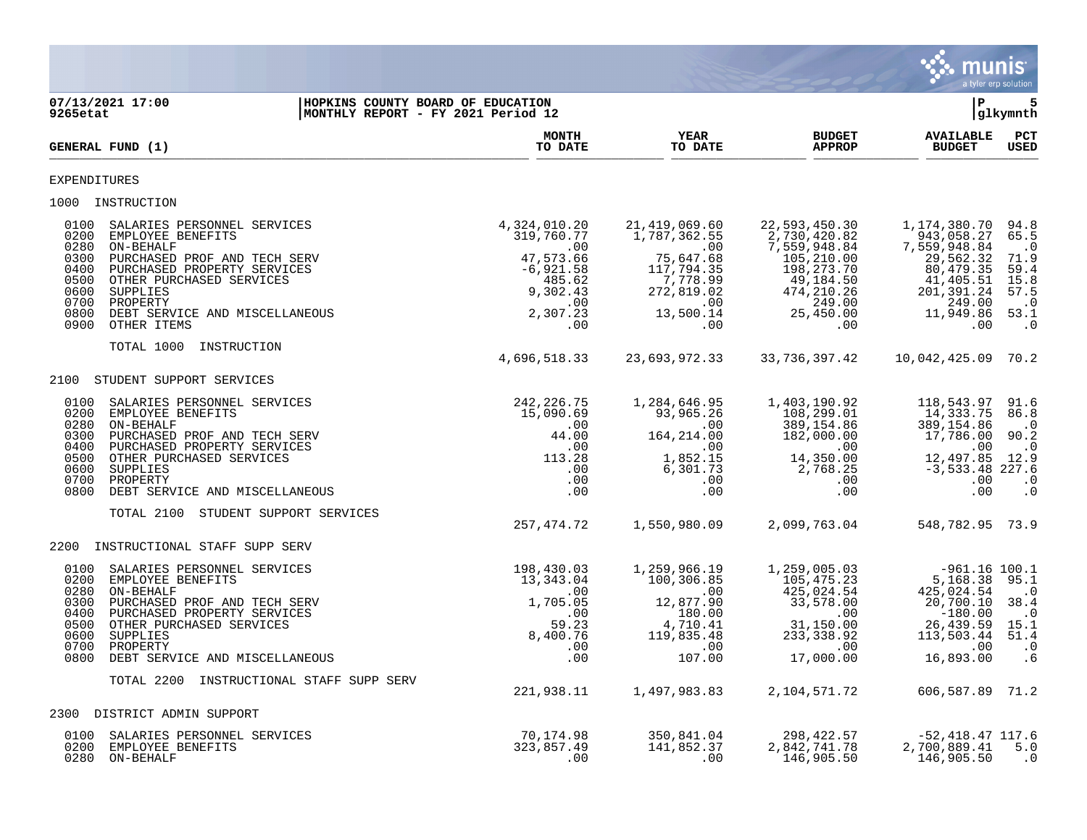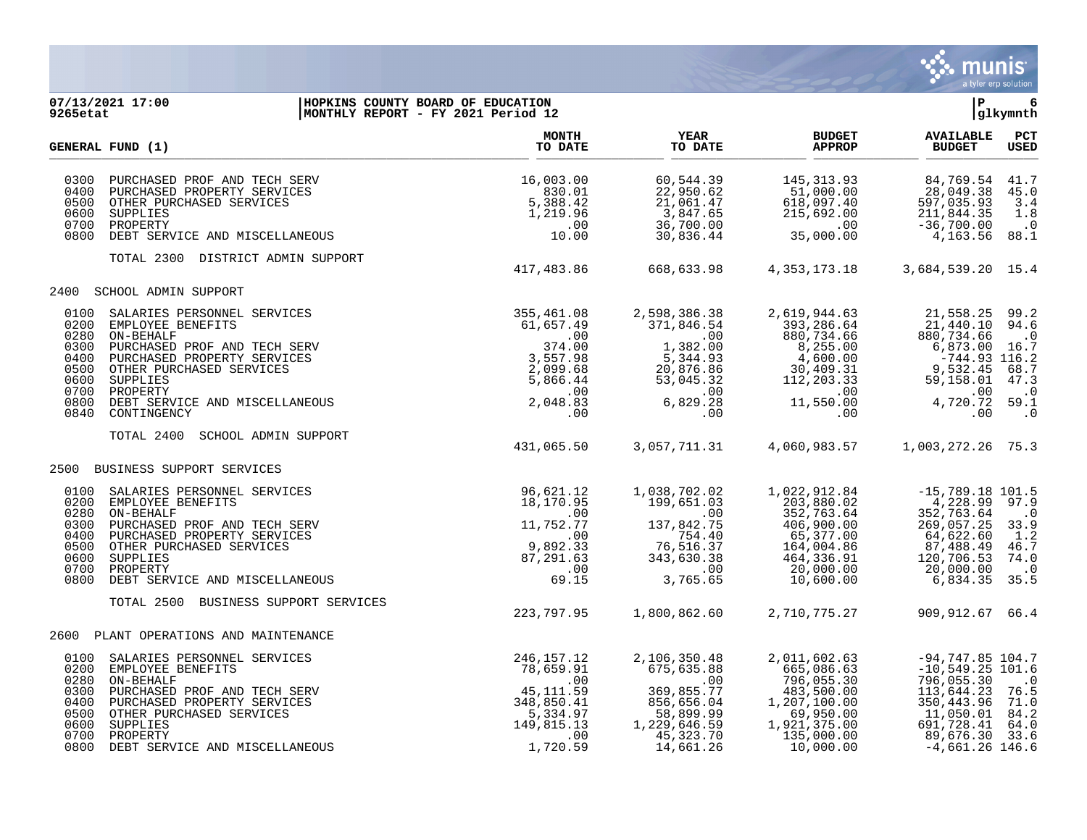

## **07/13/2021 17:00 |HOPKINS COUNTY BOARD OF EDUCATION |P 6 9265etat |MONTHLY REPORT - FY 2021 Period 12 |glkymnth**

|                                                                      | GENERAL FUND (1)                                                                                                                                                                                                                       | <b>MONTH</b><br>TO DATE                                                                                  | <b>YEAR</b><br>TO DATE                                                                                                 | <b>BUDGET</b><br><b>APPROP</b>                                                                                                 | <b>AVAILABLE</b><br><b>BUDGET</b>                                                                                                                      | PCT<br><b>USED</b>                                                    |
|----------------------------------------------------------------------|----------------------------------------------------------------------------------------------------------------------------------------------------------------------------------------------------------------------------------------|----------------------------------------------------------------------------------------------------------|------------------------------------------------------------------------------------------------------------------------|--------------------------------------------------------------------------------------------------------------------------------|--------------------------------------------------------------------------------------------------------------------------------------------------------|-----------------------------------------------------------------------|
| 0300<br>0400<br>0500<br>0600<br>0700<br>0800                         | PURCHASED PROF AND TECH SERV<br>PURCHASED PROPERTY SERVICES<br>OTHER PURCHASED SERVICES<br>SUPPLIES<br>PROPERTY<br>DEBT SERVICE AND MISCELLANEOUS                                                                                      | 16,003.00<br>830.01<br>5,388.42<br>1,219.96<br>.00<br>10.00                                              | 60,544.39<br>22,950.62<br>21,061.47<br>3,847.65<br>36,700.00<br>30,836.44                                              | 145, 313.93<br>51,000.00<br>618,097.40<br>215,692.00<br>.00<br>35,000.00                                                       | 84,769.54<br>28,049.38<br>597,035.93<br>211,844.35<br>$-36,700.00$<br>4,163.56                                                                         | 41.7<br>45.0<br>3.4<br>1.8<br>$\cdot$ 0<br>88.1                       |
|                                                                      | TOTAL 2300 DISTRICT ADMIN SUPPORT                                                                                                                                                                                                      | 417,483.86                                                                                               | 668,633.98                                                                                                             | 4, 353, 173. 18                                                                                                                | 3,684,539.20 15.4                                                                                                                                      |                                                                       |
| 2400                                                                 | SCHOOL ADMIN SUPPORT                                                                                                                                                                                                                   |                                                                                                          |                                                                                                                        |                                                                                                                                |                                                                                                                                                        |                                                                       |
| 0100<br>0200<br>0280<br>0300<br>0400<br>0500<br>0600<br>0800<br>0840 | SALARIES PERSONNEL SERVICES<br>EMPLOYEE BENEFITS<br>ON-BEHALF<br>PURCHASED PROF AND TECH SERV<br>PURCHASED PROPERTY SERVICES<br>OTHER PURCHASED SERVICES<br>SUPPLIES<br>0700 PROPERTY<br>DEBT SERVICE AND MISCELLANEOUS<br>CONTINGENCY | 355,461.08<br>61,657.49<br>.00<br>374.00<br>3,557.98<br>2,099.68<br>5,866.44<br>.00<br>2,048.83<br>.00   | 2,598,386.38<br>371,846.54<br>.00<br>1,382.00<br>5,344.93<br>20,876.86<br>53,045.32<br>.00<br>6,829.28<br>.00          | 2,619,944.63<br>393,286.64<br>880,734.66<br>8,255.00<br>4,600.00<br>30,409.31<br>112,203.33<br>.00<br>11,550.00<br>.00         | 21,558.25<br>21,440.10<br>880,734.66<br>6,873.00 16.7<br>$-744.93$ 116.2<br>9,532.45<br>59,158.01<br>.00<br>4,720.72 59.1<br>.00                       | 99.2<br>94.6<br>$\cdot$ 0<br>68.7<br>47.3<br>$\cdot$ 0<br>$\cdot$ 0   |
|                                                                      | <b>SCHOOL ADMIN SUPPORT</b><br>TOTAL 2400                                                                                                                                                                                              | 431,065.50                                                                                               | 3,057,711.31                                                                                                           | 4,060,983.57                                                                                                                   | 1,003,272.26 75.3                                                                                                                                      |                                                                       |
| 2500                                                                 | BUSINESS SUPPORT SERVICES                                                                                                                                                                                                              |                                                                                                          |                                                                                                                        |                                                                                                                                |                                                                                                                                                        |                                                                       |
| 0280<br>0300<br>0500<br>0600<br>0800                                 | 0100 SALARIES PERSONNEL SERVICES<br>0200 EMPLOYEE BENEFITS<br>ON-BEHALF<br>PURCHASED PROF AND TECH SERV<br>0400 PURCHASED PROPERTY SERVICES<br>OTHER PURCHASED SERVICES<br>SUPPLIES<br>0700 PROPERTY<br>DEBT SERVICE AND MISCELLANEOUS | 96,621.12<br>18,170.95<br>.00<br>11,752.77<br>.00<br>9,892.33<br>87,291.63<br>.00<br>69.15               | 1,038,702.02<br>199,651.03<br>.00<br>137,842.75<br>754.40<br>76,516.37<br>343,630.38<br>.00<br>3,765.65                | 1,022,912.84<br>203,880.02<br>352,763.64<br>406,900.00<br>65,377.00<br>164,004.86<br>464,336.91<br>20,000.00<br>10,600.00      | $-15,789.18$ 101.5<br>4,228.99<br>352,763.64<br>269,057.25<br>64,622.60<br>87,488.49<br>120,706.53<br>20,000.00<br>6,834.35                            | 97.9<br>$\cdot$ 0<br>33.9<br>1.2<br>46.7<br>74.0<br>$\cdot$ 0<br>35.5 |
|                                                                      | TOTAL 2500<br>BUSINESS SUPPORT SERVICES                                                                                                                                                                                                | 223,797.95                                                                                               | 1,800,862.60                                                                                                           | 2,710,775.27                                                                                                                   | 909,912.67 66.4                                                                                                                                        |                                                                       |
|                                                                      | 2600 PLANT OPERATIONS AND MAINTENANCE                                                                                                                                                                                                  |                                                                                                          |                                                                                                                        |                                                                                                                                |                                                                                                                                                        |                                                                       |
| 0100<br>0200<br>0280<br>0300<br>0400<br>0500<br>0600<br>0700         | SALARIES PERSONNEL SERVICES<br>EMPLOYEE BENEFITS<br>ON-BEHALF<br>PURCHASED PROF AND TECH SERV<br>PURCHASED PROPERTY SERVICES<br>OTHER PURCHASED SERVICES<br>SUPPLIES<br>PROPERTY<br>0800 DEBT SERVICE AND MISCELLANEOUS                | 246, 157. 12<br>78,659.91<br>.00<br>45,111.59<br>348,850.41<br>5,334.97<br>149,815.13<br>.00<br>1,720.59 | 2,106,350.48<br>675,635.88<br>.00<br>369,855.77<br>856,656.04<br>58,899.99<br>1,229,646.59<br>45, 323. 70<br>14,661.26 | 2,011,602.63<br>665,086.63<br>796,055.30<br>483,500.00<br>1,207,100.00<br>69,950.00<br>1,921,375.00<br>135,000.00<br>10,000.00 | $-94, 747.85$ 104.7<br>$-10,549.25$ 101.6<br>796,055.30<br>113,644.23<br>350, 443.96<br>11,050.01<br>691,728.41<br>89,676.30 33.6<br>$-4,661.26$ 146.6 | $\cdot$ 0<br>76.5<br>71.0<br>84.2<br>64.0                             |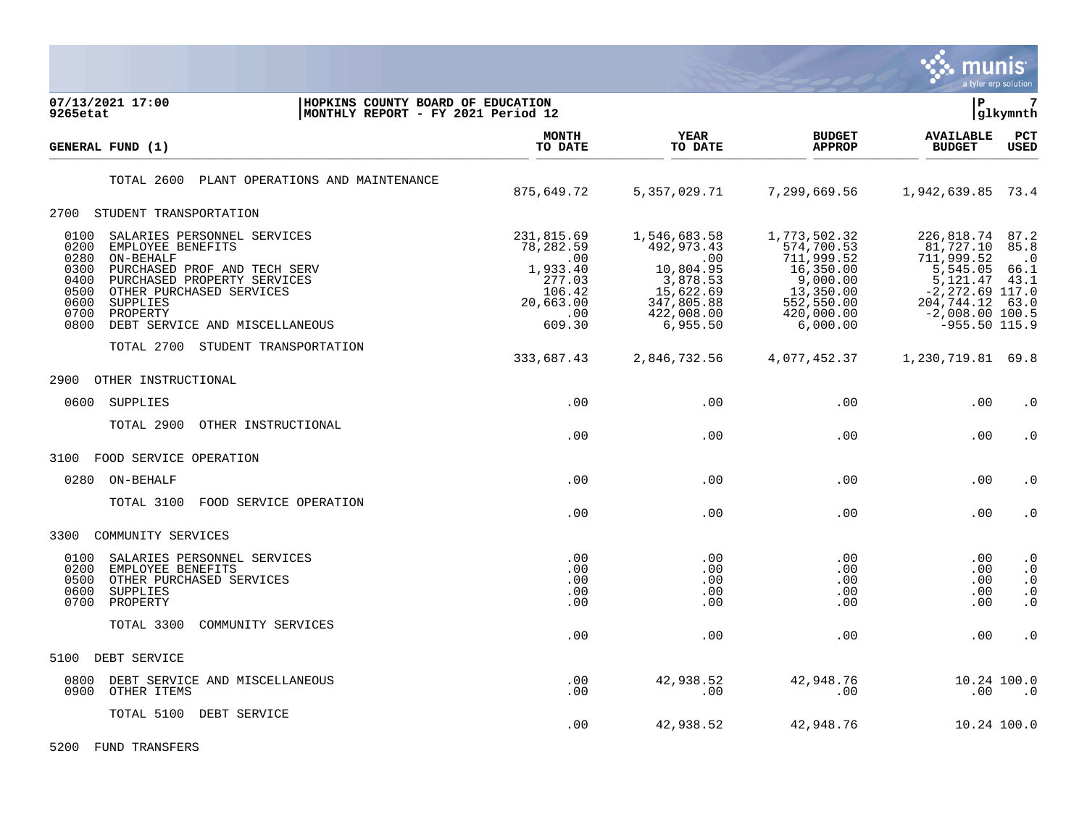

| 07/13/2021 17:00<br>9265etat                                         | HOPKINS COUNTY BOARD OF EDUCATION<br>MONTHLY REPORT - FY 2021 Period 12                                                                                                                                                                                    |                                                                                              |                                                                                                                 |                                                                                                                        | lР                                                                                                                                        | 7<br> glkymnth                                                |
|----------------------------------------------------------------------|------------------------------------------------------------------------------------------------------------------------------------------------------------------------------------------------------------------------------------------------------------|----------------------------------------------------------------------------------------------|-----------------------------------------------------------------------------------------------------------------|------------------------------------------------------------------------------------------------------------------------|-------------------------------------------------------------------------------------------------------------------------------------------|---------------------------------------------------------------|
| GENERAL FUND (1)                                                     |                                                                                                                                                                                                                                                            | <b>MONTH</b><br>TO DATE                                                                      | <b>YEAR</b><br>TO DATE                                                                                          | <b>BUDGET</b><br><b>APPROP</b>                                                                                         | <b>AVAILABLE</b><br><b>BUDGET</b>                                                                                                         | PCT<br><b>USED</b>                                            |
|                                                                      | TOTAL 2600<br>PLANT OPERATIONS AND MAINTENANCE                                                                                                                                                                                                             | 875,649.72                                                                                   | 5,357,029.71                                                                                                    | 7,299,669.56                                                                                                           | 1,942,639.85 73.4                                                                                                                         |                                                               |
|                                                                      | 2700 STUDENT TRANSPORTATION                                                                                                                                                                                                                                |                                                                                              |                                                                                                                 |                                                                                                                        |                                                                                                                                           |                                                               |
| 0100<br>0200<br>0280<br>0300<br>0400<br>0500<br>0600<br>0700<br>0800 | SALARIES PERSONNEL SERVICES<br>EMPLOYEE BENEFITS<br>ON-BEHALF<br>PURCHASED PROF AND TECH SERV<br>PURCHASED PROPERTY SERVICES<br>OTHER PURCHASED SERVICES<br>SUPPLIES<br>PROPERTY<br>DEBT SERVICE AND MISCELLANEOUS<br>TOTAL 2700<br>STUDENT TRANSPORTATION | 231,815.69<br>78,282.59<br>.00<br>1,933.40<br>277.03<br>106.42<br>20,663.00<br>.00<br>609.30 | 1,546,683.58<br>492,973.43<br>.00<br>10,804.95<br>3,878.53<br>15,622.69<br>347,805.88<br>422,008.00<br>6,955.50 | 1,773,502.32<br>574,700.53<br>711,999.52<br>16,350.00<br>9,000.00<br>13,350.00<br>552,550.00<br>420,000.00<br>6,000.00 | 226,818.74<br>81,727.10<br>711,999.52<br>5,545.05<br>5,121.47<br>$-2, 272.69$ 117.0<br>204,744.12<br>$-2,008.00$ 100.5<br>$-955.50$ 115.9 | 87.2<br>85.8<br>$\cdot$ .0<br>66.1<br>43.1<br>63.0            |
|                                                                      |                                                                                                                                                                                                                                                            | 333,687.43                                                                                   | 2,846,732.56                                                                                                    | 4,077,452.37                                                                                                           | 1,230,719.81 69.8                                                                                                                         |                                                               |
| 2900                                                                 | OTHER INSTRUCTIONAL                                                                                                                                                                                                                                        |                                                                                              |                                                                                                                 |                                                                                                                        |                                                                                                                                           |                                                               |
| 0600                                                                 | SUPPLIES                                                                                                                                                                                                                                                   | .00                                                                                          | .00                                                                                                             | .00                                                                                                                    | .00                                                                                                                                       | $\cdot$ 0                                                     |
|                                                                      | TOTAL 2900<br>OTHER INSTRUCTIONAL                                                                                                                                                                                                                          | .00                                                                                          | .00                                                                                                             | .00                                                                                                                    | .00                                                                                                                                       | . 0                                                           |
| 3100                                                                 | FOOD SERVICE OPERATION                                                                                                                                                                                                                                     |                                                                                              |                                                                                                                 |                                                                                                                        |                                                                                                                                           |                                                               |
| 0280                                                                 | ON-BEHALF                                                                                                                                                                                                                                                  | .00                                                                                          | .00                                                                                                             | .00                                                                                                                    | .00                                                                                                                                       | $\cdot$ 0                                                     |
|                                                                      | TOTAL 3100<br>FOOD SERVICE OPERATION                                                                                                                                                                                                                       | .00                                                                                          | .00                                                                                                             | .00                                                                                                                    | .00                                                                                                                                       | $\cdot$ 0                                                     |
| 3300                                                                 | COMMUNITY SERVICES                                                                                                                                                                                                                                         |                                                                                              |                                                                                                                 |                                                                                                                        |                                                                                                                                           |                                                               |
| 0100<br>0200<br>0500<br>0600<br>0700                                 | SALARIES PERSONNEL SERVICES<br>EMPLOYEE BENEFITS<br>OTHER PURCHASED SERVICES<br>SUPPLIES<br>PROPERTY                                                                                                                                                       | .00<br>.00<br>.00<br>.00<br>.00                                                              | .00<br>.00<br>.00<br>.00<br>.00                                                                                 | $.00 \,$<br>.00<br>.00<br>.00<br>.00                                                                                   | .00<br>.00<br>.00<br>.00<br>.00                                                                                                           | $\cdot$ 0<br>$\cdot$ 0<br>$\cdot$ 0<br>$\cdot$ 0<br>$\cdot$ 0 |
|                                                                      | TOTAL 3300<br>COMMUNITY SERVICES                                                                                                                                                                                                                           | .00                                                                                          | .00                                                                                                             | .00                                                                                                                    | .00                                                                                                                                       | $\cdot$ 0                                                     |
| 5100                                                                 | DEBT SERVICE                                                                                                                                                                                                                                               |                                                                                              |                                                                                                                 |                                                                                                                        |                                                                                                                                           |                                                               |
| 0800<br>0900                                                         | DEBT SERVICE AND MISCELLANEOUS<br>OTHER ITEMS                                                                                                                                                                                                              | .00<br>.00                                                                                   | 42,938.52<br>.00                                                                                                | 42,948.76<br>.00                                                                                                       | .00                                                                                                                                       | 10.24 100.0<br>$\cdot$ 0                                      |
|                                                                      | TOTAL 5100 DEBT SERVICE                                                                                                                                                                                                                                    | .00                                                                                          | 42,938.52                                                                                                       | 42,948.76                                                                                                              |                                                                                                                                           | 10.24 100.0                                                   |

5200 FUND TRANSFERS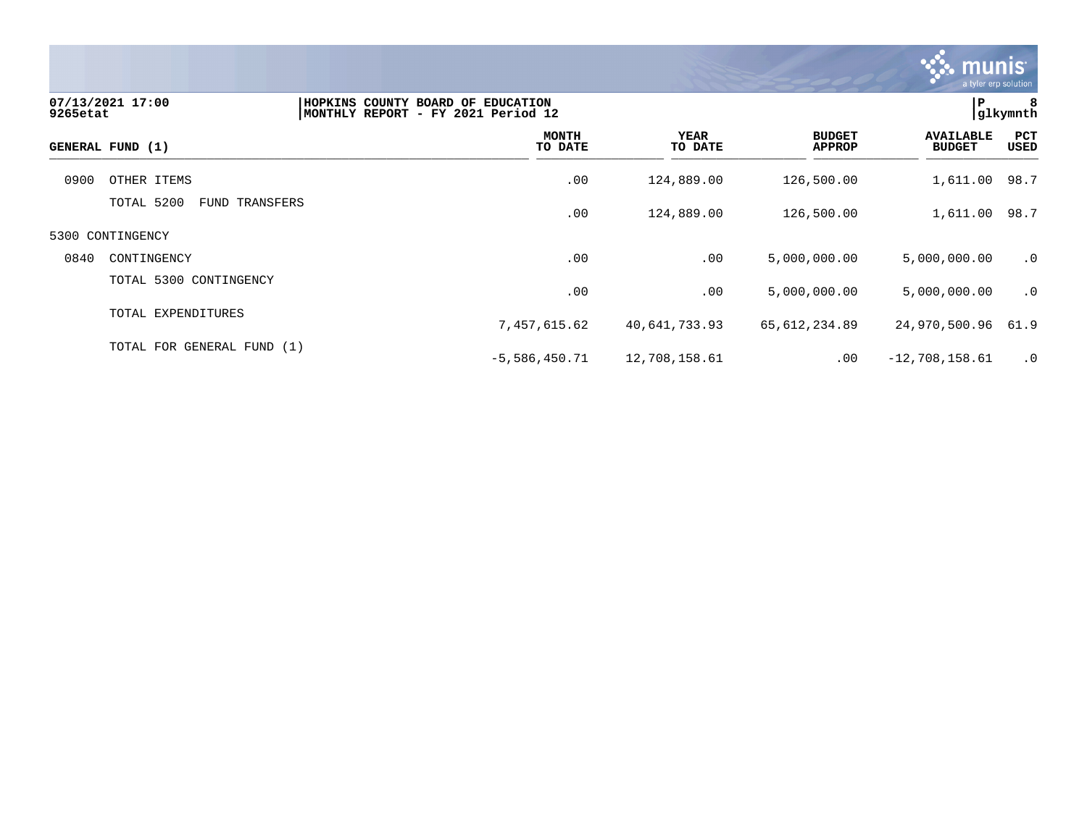

| 9265etat | 07/13/2021 17:00                | HOPKINS COUNTY BOARD OF EDUCATION<br>MONTHLY REPORT - FY 2021 Period 12 |                 |                                | P                                 | 8<br> glkymnth |
|----------|---------------------------------|-------------------------------------------------------------------------|-----------------|--------------------------------|-----------------------------------|----------------|
|          | GENERAL FUND (1)                | <b>MONTH</b><br>TO DATE                                                 | YEAR<br>TO DATE | <b>BUDGET</b><br><b>APPROP</b> | <b>AVAILABLE</b><br><b>BUDGET</b> | PCT<br>USED    |
| 0900     | OTHER ITEMS                     | .00                                                                     | 124,889.00      | 126,500.00                     | 1,611.00 98.7                     |                |
|          | TOTAL 5200<br>TRANSFERS<br>FUND | .00                                                                     | 124,889.00      | 126,500.00                     | 1,611.00 98.7                     |                |
|          | 5300 CONTINGENCY                |                                                                         |                 |                                |                                   |                |
| 0840     | CONTINGENCY                     | .00                                                                     | .00             | 5,000,000.00                   | 5,000,000.00                      | $\cdot$ 0      |
|          | TOTAL 5300 CONTINGENCY          | .00                                                                     | .00             | 5,000,000.00                   | 5,000,000.00                      | .0             |
|          | TOTAL EXPENDITURES              | 7,457,615.62                                                            | 40,641,733.93   | 65,612,234.89                  | 24,970,500.96                     | 61.9           |
|          | TOTAL FOR GENERAL FUND (1)      | $-5,586,450.71$                                                         | 12,708,158.61   | .00                            | $-12,708,158.61$                  | $\cdot$ 0      |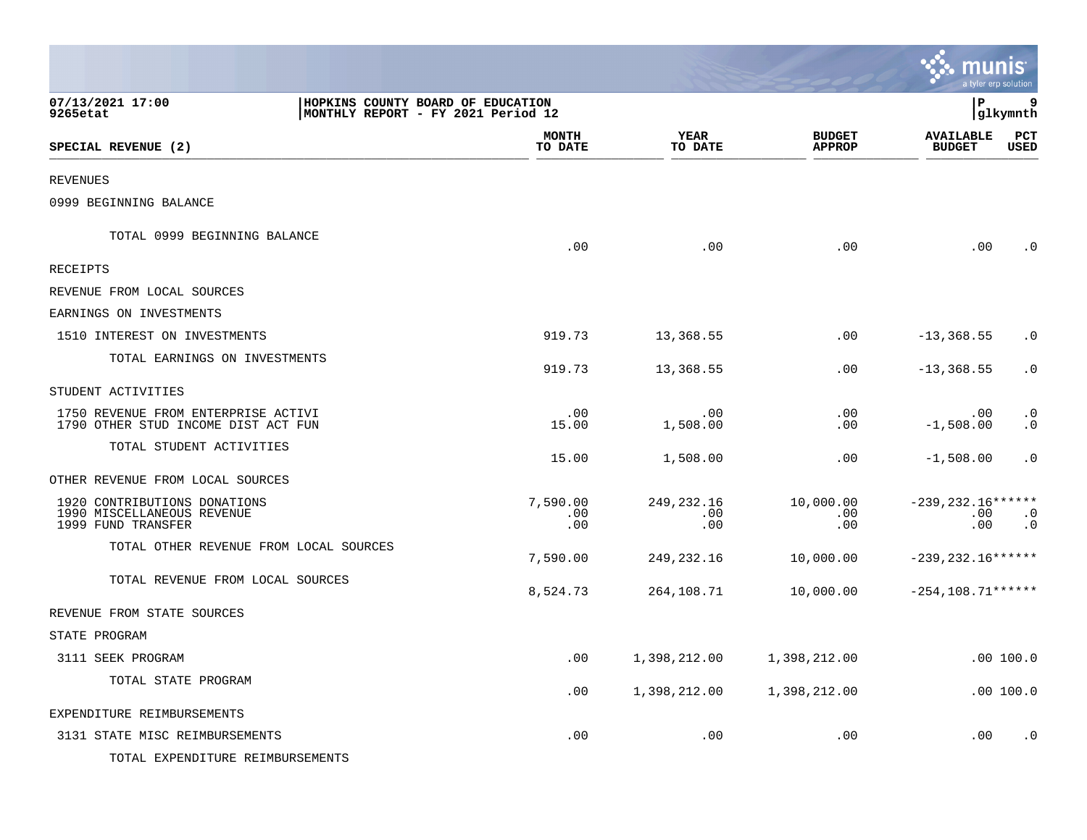|                                                                                                         |                         |                            |                                | munis<br>a tyler erp solution      |                        |
|---------------------------------------------------------------------------------------------------------|-------------------------|----------------------------|--------------------------------|------------------------------------|------------------------|
| 07/13/2021 17:00<br>HOPKINS COUNTY BOARD OF EDUCATION<br>9265etat<br>MONTHLY REPORT - FY 2021 Period 12 |                         |                            |                                | l P                                | 9<br> glkymnth         |
| SPECIAL REVENUE (2)                                                                                     | <b>MONTH</b><br>TO DATE | <b>YEAR</b><br>TO DATE     | <b>BUDGET</b><br><b>APPROP</b> | <b>AVAILABLE</b><br><b>BUDGET</b>  | PCT<br><b>USED</b>     |
| <b>REVENUES</b>                                                                                         |                         |                            |                                |                                    |                        |
| 0999 BEGINNING BALANCE                                                                                  |                         |                            |                                |                                    |                        |
| TOTAL 0999 BEGINNING BALANCE                                                                            | .00                     | .00                        | .00                            | .00                                | $\cdot$ 0              |
| RECEIPTS                                                                                                |                         |                            |                                |                                    |                        |
| REVENUE FROM LOCAL SOURCES                                                                              |                         |                            |                                |                                    |                        |
| EARNINGS ON INVESTMENTS                                                                                 |                         |                            |                                |                                    |                        |
| 1510 INTEREST ON INVESTMENTS                                                                            | 919.73                  | 13,368.55                  | .00                            | $-13, 368.55$                      | $\cdot$ 0              |
| TOTAL EARNINGS ON INVESTMENTS                                                                           | 919.73                  | 13,368.55                  | .00                            | $-13, 368.55$                      | $\cdot$ 0              |
| STUDENT ACTIVITIES                                                                                      |                         |                            |                                |                                    |                        |
| 1750 REVENUE FROM ENTERPRISE ACTIVI<br>1790 OTHER STUD INCOME DIST ACT FUN                              | .00<br>15.00            | .00<br>1,508.00            | .00<br>.00                     | $.00 \,$<br>$-1,508.00$            | $\cdot$ 0<br>$\cdot$ 0 |
| TOTAL STUDENT ACTIVITIES                                                                                | 15.00                   | 1,508.00                   | .00                            | $-1,508.00$                        | $\cdot$ 0              |
| OTHER REVENUE FROM LOCAL SOURCES                                                                        |                         |                            |                                |                                    |                        |
| 1920 CONTRIBUTIONS DONATIONS<br>1990 MISCELLANEOUS REVENUE<br>1999 FUND TRANSFER                        | 7,590.00<br>.00<br>.00  | 249, 232. 16<br>.00<br>.00 | 10,000.00<br>.00<br>.00        | $-239, 232.16******$<br>.00<br>.00 | $\cdot$ 0<br>$\cdot$ 0 |
| TOTAL OTHER REVENUE FROM LOCAL SOURCES                                                                  | 7,590.00                | 249,232.16                 | 10,000.00                      | $-239, 232.16*****$                |                        |
| TOTAL REVENUE FROM LOCAL SOURCES                                                                        | 8,524.73                | 264,108.71                 | 10,000.00                      | $-254, 108.71***$                  |                        |
| REVENUE FROM STATE SOURCES                                                                              |                         |                            |                                |                                    |                        |
| STATE PROGRAM                                                                                           |                         |                            |                                |                                    |                        |
| 3111 SEEK PROGRAM                                                                                       | .00                     | 1,398,212.00               | 1,398,212.00                   |                                    | .00 100.0              |
| TOTAL STATE PROGRAM                                                                                     | .00                     | 1,398,212.00               | 1,398,212.00                   |                                    | .00 100.0              |
| EXPENDITURE REIMBURSEMENTS                                                                              |                         |                            |                                |                                    |                        |
| 3131 STATE MISC REIMBURSEMENTS                                                                          | .00                     | .00                        | .00                            | .00                                | $\cdot$ 0              |
| TOTAL EXPENDITURE REIMBURSEMENTS                                                                        |                         |                            |                                |                                    |                        |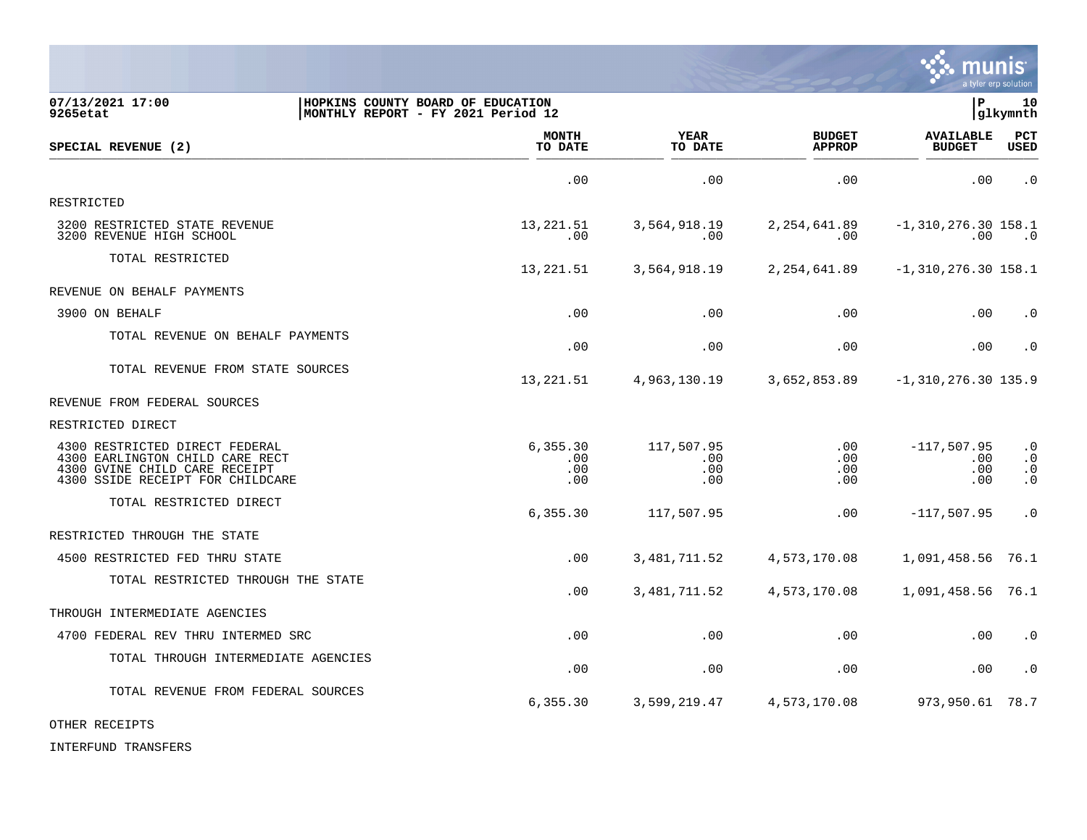

| 07/13/2021 17:00<br>9265etat                                                                                                           |  | HOPKINS COUNTY BOARD OF EDUCATION<br>MONTHLY REPORT - FY 2021 Period 12 |                                 |                                | lР                                      | 10<br>glkymnth                                   |
|----------------------------------------------------------------------------------------------------------------------------------------|--|-------------------------------------------------------------------------|---------------------------------|--------------------------------|-----------------------------------------|--------------------------------------------------|
| SPECIAL REVENUE (2)                                                                                                                    |  | <b>MONTH</b><br>TO DATE                                                 | YEAR<br>TO DATE                 | <b>BUDGET</b><br><b>APPROP</b> | <b>AVAILABLE</b><br><b>BUDGET</b>       | PCT<br><b>USED</b>                               |
|                                                                                                                                        |  | .00                                                                     | .00                             | .00                            | .00                                     | $\cdot$ 0                                        |
| RESTRICTED                                                                                                                             |  |                                                                         |                                 |                                |                                         |                                                  |
| 3200 RESTRICTED STATE REVENUE<br>3200 REVENUE HIGH SCHOOL                                                                              |  | 13, 221.51<br>.00                                                       | 3,564,918.19<br>.00             | 2,254,641.89<br>.00            | $-1,310,276.30$ 158.1<br>.00            | $\cdot$ 0                                        |
| TOTAL RESTRICTED                                                                                                                       |  | 13, 221.51                                                              | 3,564,918.19                    | 2, 254, 641.89                 | $-1, 310, 276.30$ 158.1                 |                                                  |
| REVENUE ON BEHALF PAYMENTS                                                                                                             |  |                                                                         |                                 |                                |                                         |                                                  |
| 3900 ON BEHALF                                                                                                                         |  | .00                                                                     | .00                             | .00                            | .00                                     | $\cdot$ 0                                        |
| TOTAL REVENUE ON BEHALF PAYMENTS                                                                                                       |  | .00                                                                     | .00                             | .00                            | .00                                     | $\cdot$ 0                                        |
| TOTAL REVENUE FROM STATE SOURCES                                                                                                       |  | 13,221.51                                                               | 4,963,130.19                    | 3,652,853.89                   | $-1, 310, 276.30$ 135.9                 |                                                  |
| REVENUE FROM FEDERAL SOURCES                                                                                                           |  |                                                                         |                                 |                                |                                         |                                                  |
| RESTRICTED DIRECT                                                                                                                      |  |                                                                         |                                 |                                |                                         |                                                  |
| 4300 RESTRICTED DIRECT FEDERAL<br>4300 EARLINGTON CHILD CARE RECT<br>4300 GVINE CHILD CARE RECEIPT<br>4300 SSIDE RECEIPT FOR CHILDCARE |  | 6, 355.30<br>.00<br>.00<br>.00                                          | 117,507.95<br>.00<br>.00<br>.00 | .00<br>.00<br>.00<br>.00       | $-117,507.95$<br>$.00 \,$<br>.00<br>.00 | $\cdot$ 0<br>$\cdot$ 0<br>$\cdot$ 0<br>$\cdot$ 0 |
| TOTAL RESTRICTED DIRECT                                                                                                                |  | 6,355.30                                                                | 117,507.95                      | .00                            | $-117,507.95$                           | $\cdot$ 0                                        |
| RESTRICTED THROUGH THE STATE                                                                                                           |  |                                                                         |                                 |                                |                                         |                                                  |
| 4500 RESTRICTED FED THRU STATE                                                                                                         |  | .00                                                                     | 3, 481, 711.52                  | 4,573,170.08                   | 1,091,458.56                            | 76.1                                             |
| TOTAL RESTRICTED THROUGH THE STATE                                                                                                     |  | .00                                                                     | 3,481,711.52                    | 4,573,170.08                   | 1,091,458.56 76.1                       |                                                  |
| THROUGH INTERMEDIATE AGENCIES                                                                                                          |  |                                                                         |                                 |                                |                                         |                                                  |
| 4700 FEDERAL REV THRU INTERMED SRC                                                                                                     |  | .00                                                                     | .00                             | .00                            | .00                                     | $\cdot$ 0                                        |
| TOTAL THROUGH INTERMEDIATE AGENCIES                                                                                                    |  | .00                                                                     | .00                             | .00                            | .00                                     | $\cdot$ 0                                        |
| TOTAL REVENUE FROM FEDERAL SOURCES                                                                                                     |  | 6, 355.30                                                               | 3,599,219.47                    | 4,573,170.08                   | 973,950.61                              | 78.7                                             |

OTHER RECEIPTS

INTERFUND TRANSFERS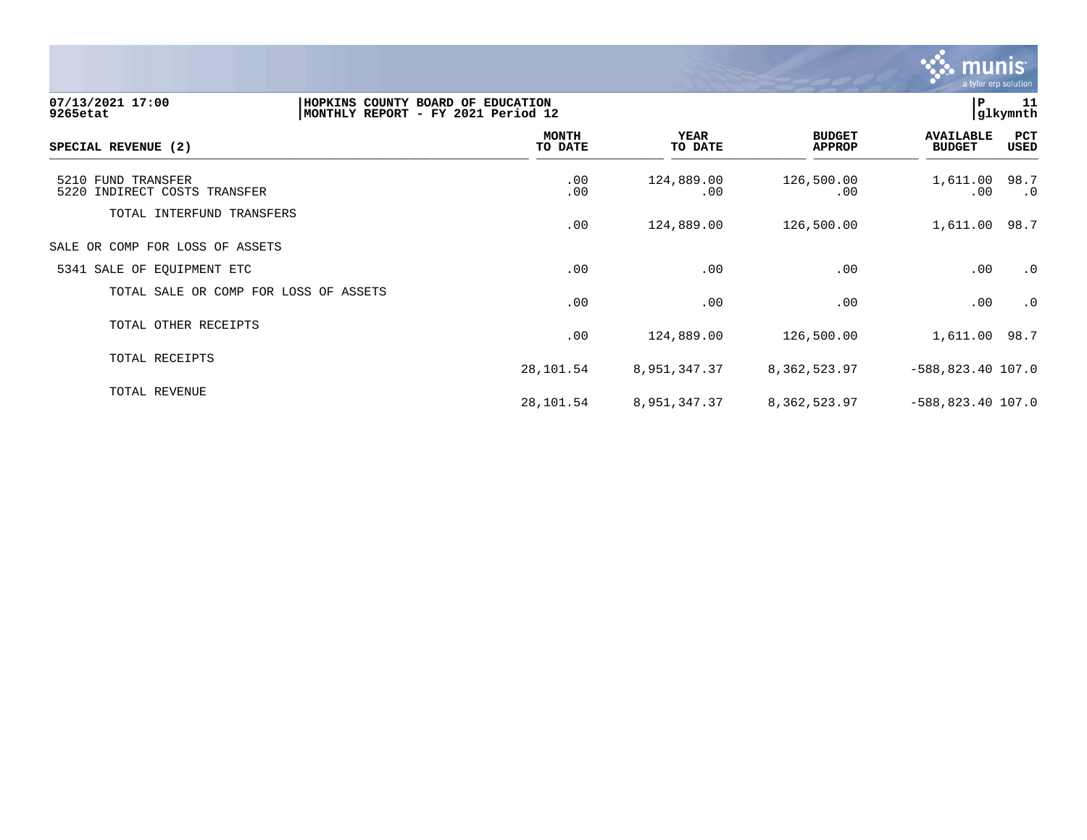

| 07/13/2021 17:00<br>9265etat                       | HOPKINS COUNTY BOARD OF EDUCATION<br>MONTHLY REPORT - FY 2021 Period 12 |                         |                        |                                | P                                 | 11<br>glkymnth |
|----------------------------------------------------|-------------------------------------------------------------------------|-------------------------|------------------------|--------------------------------|-----------------------------------|----------------|
| SPECIAL REVENUE (2)                                |                                                                         | <b>MONTH</b><br>TO DATE | <b>YEAR</b><br>TO DATE | <b>BUDGET</b><br><b>APPROP</b> | <b>AVAILABLE</b><br><b>BUDGET</b> | PCT<br>USED    |
| 5210 FUND TRANSFER<br>5220 INDIRECT COSTS TRANSFER |                                                                         | .00<br>.00              | 124,889.00<br>.00      | 126,500.00<br>.00              | 1,611.00 98.7<br>$.00 \,$         | $\cdot$ 0      |
| TOTAL INTERFUND TRANSFERS                          |                                                                         | .00                     | 124,889.00             | 126,500.00                     | 1,611.00 98.7                     |                |
| SALE OR COMP FOR LOSS OF ASSETS                    |                                                                         |                         |                        |                                |                                   |                |
| 5341 SALE OF EQUIPMENT ETC                         |                                                                         | .00                     | .00                    | .00                            | .00                               | $\cdot$ 0      |
| TOTAL SALE OR COMP FOR LOSS OF ASSETS              |                                                                         | .00                     | .00                    | .00                            | .00                               | $\cdot$ 0      |
| TOTAL OTHER RECEIPTS                               |                                                                         | .00                     | 124,889.00             | 126,500.00                     | 1,611.00 98.7                     |                |
| TOTAL RECEIPTS                                     |                                                                         | 28,101.54               | 8,951,347.37           | 8,362,523.97                   | $-588,823.40$ 107.0               |                |
| TOTAL REVENUE                                      |                                                                         | 28,101.54               | 8,951,347.37           | 8, 362, 523.97                 | $-588,823.40$ 107.0               |                |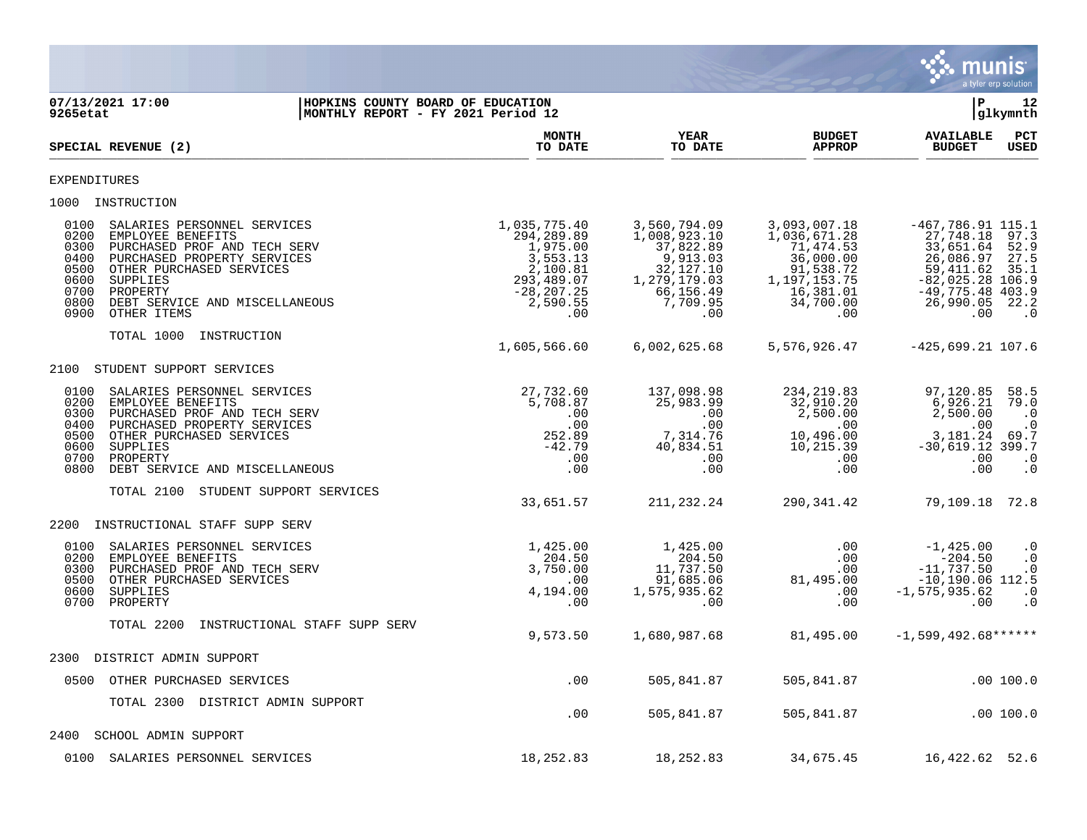

**07/13/2021 17:00 |HOPKINS COUNTY BOARD OF EDUCATION |P 12 MONTHLY REPORT - FY 2021 Period 12 MONTH YEAR BUDGET AVAILABLE PCT**<br>TO DATE TO DATE APPROP BUDGET USED SPECIAL REVENUE (2)  $\frac{10 \text{ B}}{10 \text{ B}}$   $\frac{10 \text{ B}}{10 \text{ B}}$   $\frac{10 \text{ B}}{10 \text{ B}}$   $\frac{10 \text{ B}}{10 \text{ B}}$   $\frac{10 \text{ B}}{10 \text{ B}}$   $\frac{10 \text{ B}}{10 \text{ B}}$   $\frac{10 \text{ B}}{10 \text{ B}}$ EXPENDITURES 1000 INSTRUCTION 0100 SALARIES PERSONNEL SERVICES 1,035,775.40 3,560,794.09 3,093,007.18 -467,786.91 115.1 0200 EMPLOYEE BENEFITS 294,289.89 1,008,923.10 1,036,671.28 27,748.18 97.3 0300 PURCHASED PROF AND TECH SERV 1,975.00 37,822.89 71,474.53 33,651.64 52.9 0400 PURCHASED PROPERTY SERVICES 3,553.13 9,913.03 36,000.00 26,086.97 27.5 0500 OTHER PURCHASED SERVICES 2,100.81 32,127.10 91,538.72 59,411.62 35.1 0600 SUPPLIES 293,489.07 1,279,179.03 1,197,153.75 -82,025.28 106.9 0700 PROPERTY -28,207.25 66,156.49 16,381.01 -49,775.48 403.9 0800 DEBT SERVICE AND MISCELLANEOUS 2,590.55 7,709.95 34,700.00 26,990.05 22.2 0900 OTHER ITEMS .00 .00 .00 .00 .0 TOTAL 1000 INSTRUCTION 1,605,566.60 6,002,625.68 5,576,926.47 -425,699.21 107.6 2100 STUDENT SUPPORT SERVICES 0100 SALARIES PERSONNEL SERVICES 27,732.60 137,098.98 234,219.83 97,120.85 58.5 0200 EMPLOYEE BENEFITS 5,708.87 25,983.99 32,910.20 6,926.21 79.0 0300 PURCHASED PROF AND TECH SERV ... والمستخدم المستخدم المستخدم المستخدم المستخدم المستخدم المستخدم المستخدم المستخدم المستخدم المستخدم المستخدم المستخدم المستخدم المستخدم المستخدم المستخدم المستخدم المستخدم المستخدم ال 0400 PURCHASED PROPERTY SERVICES .00 .00 .00 .00 .0 0500 OTHER PURCHASED SERVICES 252.89 7,314.76 10,496.00 3,181.24 69.7 0600 SUPPLIES -42.79 40,834.51 10,215.39 -30,619.12 399.7 0700 PROPERTY .00 .00 .00 .00 .0 0800 DEBT SERVICE AND MISCELLANEOUS .00 .00 .00 .00 .0 TOTAL 2100 STUDENT SUPPORT SERVICES 33,651.57 211,232.24 290,341.42 79,109.18 72.8 2200 INSTRUCTIONAL STAFF SUPP SERV 0100 SALARIES PERSONNEL SERVICES 1,425.00 1,425.00 .00 -1,425.00 .0 0 ـ 200 ـ 200 ـ 000 ـ 200 ـ 200 ـ 200 ـ 200 ـ 204.50 ـ 204.50 ـ 204.50 ـ 204.50 ـ 204.50 ـ 204.50 ـ 000 ـ 204. 0300 PURCHASED PROF AND TECH SERV 3,750.00 11,737.50 .00 -11,737.50 .0 0500 OTHER PURCHASED SERVICES .00 91,685.06 81,495.00 -10,190.06 112.5 0600 SUPPLIES 4,194.00 1,575,935.62 .00 -1,575,935.62 .0 0700 PROPERTY .00 .00 .00 .00 .0 TOTAL 2200 INSTRUCTIONAL STAFF SUPP SERV 9,573.50 1,680,987.68 81,495.00 -1,599,492.68\*\*\*\*\*\* 2300 DISTRICT ADMIN SUPPORT 0500 OTHER PURCHASED SERVICES .00 505,841.87 505,841.87 .00 100.0 TOTAL 2300 DISTRICT ADMIN SUPPORT .00 505,841.87 505,841.87 .00 100.0 2400 SCHOOL ADMIN SUPPORT 0100 SALARIES PERSONNEL SERVICES 18,252.83 18,252.83 34,675.45 16,422.62 52.6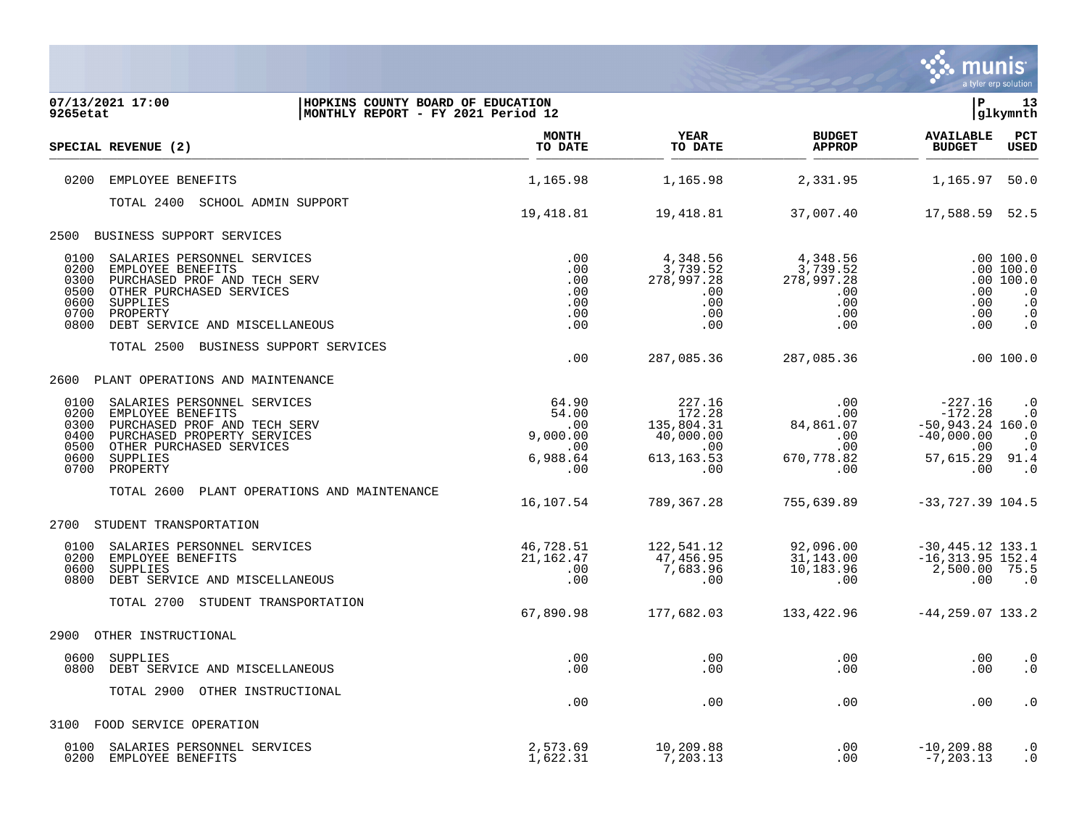

| 07/13/2021 17:00<br>HOPKINS COUNTY BOARD OF EDUCATION<br>MONTHLY REPORT - FY 2021 Period 12<br>9265etat                                                                                                                        |                                                             |                                                                          |                                                                      | lР                                                                                           | 13<br> glkymnth                                                                         |
|--------------------------------------------------------------------------------------------------------------------------------------------------------------------------------------------------------------------------------|-------------------------------------------------------------|--------------------------------------------------------------------------|----------------------------------------------------------------------|----------------------------------------------------------------------------------------------|-----------------------------------------------------------------------------------------|
| SPECIAL REVENUE (2)                                                                                                                                                                                                            | <b>MONTH</b><br>TO DATE                                     | <b>YEAR</b><br>TO DATE                                                   | <b>BUDGET</b><br><b>APPROP</b>                                       | <b>AVAILABLE</b><br><b>BUDGET</b>                                                            | $_{\rm PCT}$<br><b>USED</b>                                                             |
| 0200<br>EMPLOYEE BENEFITS                                                                                                                                                                                                      | 1,165.98                                                    | 1,165.98                                                                 | 2,331.95                                                             | 1,165.97                                                                                     | 50.0                                                                                    |
| TOTAL 2400 SCHOOL ADMIN SUPPORT                                                                                                                                                                                                | 19,418.81                                                   | 19,418.81                                                                | 37,007.40                                                            | 17,588.59 52.5                                                                               |                                                                                         |
| BUSINESS SUPPORT SERVICES<br>2500                                                                                                                                                                                              |                                                             |                                                                          |                                                                      |                                                                                              |                                                                                         |
| 0100<br>SALARIES PERSONNEL SERVICES<br>0200<br>EMPLOYEE BENEFITS<br>0300<br>PURCHASED PROF AND TECH SERV<br>0500<br>OTHER PURCHASED SERVICES<br>0600<br>SUPPLIES<br>0700<br>PROPERTY<br>0800<br>DEBT SERVICE AND MISCELLANEOUS | $.00 \,$<br>.00<br>.00<br>.00<br>.00<br>.00<br>.00          | 4,348.56<br>3,739.52<br>278,997.28<br>.00<br>.00<br>.00<br>.00           | 4,348.56<br>3,739.52<br>278,997.28<br>.00<br>$.00 \,$<br>.00<br>.00  | .00<br>.00<br>.00<br>.00                                                                     | .00 100.0<br>.00 100.0<br>.00 100.0<br>$\cdot$ 0<br>$\cdot$ 0<br>$\cdot$ 0<br>$\cdot$ 0 |
| TOTAL 2500 BUSINESS SUPPORT SERVICES                                                                                                                                                                                           | .00                                                         | 287,085.36                                                               | 287,085.36                                                           |                                                                                              | .00 100.0                                                                               |
| PLANT OPERATIONS AND MAINTENANCE<br>2600                                                                                                                                                                                       |                                                             |                                                                          |                                                                      |                                                                                              |                                                                                         |
| 0100<br>SALARIES PERSONNEL SERVICES<br>0200<br>EMPLOYEE BENEFITS<br>0300<br>PURCHASED PROF AND TECH SERV<br>0400<br>PURCHASED PROPERTY SERVICES<br>0500<br>OTHER PURCHASED SERVICES<br>0600<br>SUPPLIES<br>0700<br>PROPERTY    | 64.90<br>54.00<br>.00<br>9,000.00<br>.00<br>6,988.64<br>.00 | 227.16<br>172.28<br>135,804.31<br>40,000.00<br>.00<br>613, 163.53<br>.00 | .00<br>$.00 \,$<br>84,861.07<br>.00<br>.00<br>670,778.82<br>$.00 \,$ | $-227.16$<br>$-172.28$<br>$-50,943.24$ 160.0<br>$-40,000.00$<br>.00<br>57,615.29 91.4<br>.00 | $\cdot$ 0<br>$\cdot$ 0<br>$\cdot$ 0<br>$\cdot$ 0<br>$\cdot$ 0                           |
| PLANT OPERATIONS AND MAINTENANCE<br>TOTAL 2600                                                                                                                                                                                 | 16,107.54                                                   | 789,367.28                                                               | 755,639.89                                                           | $-33,727.39$ 104.5                                                                           |                                                                                         |
| STUDENT TRANSPORTATION<br>2700                                                                                                                                                                                                 |                                                             |                                                                          |                                                                      |                                                                                              |                                                                                         |
| 0100<br>SALARIES PERSONNEL SERVICES<br>0200<br>EMPLOYEE BENEFITS<br>SUPPLIES<br>0600<br>0800<br>DEBT SERVICE AND MISCELLANEOUS                                                                                                 | 46,728.51<br>21, 162. 47<br>$.00 \,$<br>.00                 | 122,541.12<br>47,456.95<br>7,683.96<br>.00                               | 92,096.00<br>31,143.00<br>10,183.96<br>.00                           | $-30,445.12$ 133.1<br>$-16, 313.95$ 152.4<br>2,500.00 75.5<br>.00                            | $\cdot$ 0                                                                               |
| TOTAL 2700 STUDENT TRANSPORTATION                                                                                                                                                                                              | 67,890.98                                                   | 177,682.03                                                               | 133,422.96                                                           | $-44, 259.07$ 133.2                                                                          |                                                                                         |
| 2900<br>OTHER INSTRUCTIONAL                                                                                                                                                                                                    |                                                             |                                                                          |                                                                      |                                                                                              |                                                                                         |
| 0600<br>SUPPLIES<br>0800<br>DEBT SERVICE AND MISCELLANEOUS                                                                                                                                                                     | .00<br>.00                                                  | .00<br>.00                                                               | $.00 \,$<br>$.00 \,$                                                 | .00<br>.00                                                                                   | $\cdot$ 0<br>$\cdot$ 0                                                                  |
| TOTAL 2900 OTHER INSTRUCTIONAL                                                                                                                                                                                                 | .00                                                         | .00                                                                      | .00                                                                  | .00                                                                                          | $\cdot$ 0                                                                               |
| 3100 FOOD SERVICE OPERATION                                                                                                                                                                                                    |                                                             |                                                                          |                                                                      |                                                                                              |                                                                                         |
| 0100<br>SALARIES PERSONNEL SERVICES<br>0200<br>EMPLOYEE BENEFITS                                                                                                                                                               | 2,573.69<br>1,622.31                                        | 10,209.88<br>7,203.13                                                    | .00<br>.00                                                           | $-10, 209.88$<br>$-7, 203.13$                                                                | $\cdot$ 0<br>$\cdot$ 0                                                                  |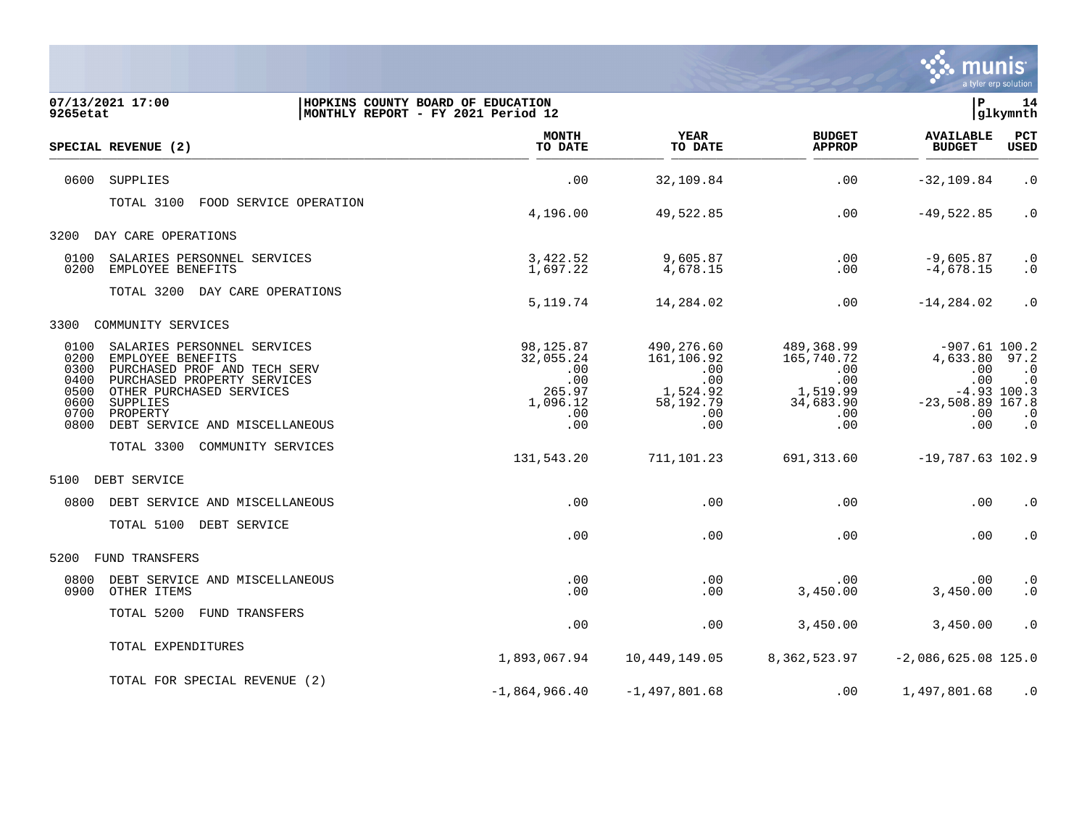

| 9265etat                                                     | 07/13/2021 17:00                                                                                                                                                                                      | HOPKINS COUNTY BOARD OF EDUCATION | MONTHLY REPORT - FY 2021 Period 12                                            |                                                                               |                                                                                | $\mathbf{P}$                                                                                                                                                                                                                                                   | 14<br>glkymnth                                           |
|--------------------------------------------------------------|-------------------------------------------------------------------------------------------------------------------------------------------------------------------------------------------------------|-----------------------------------|-------------------------------------------------------------------------------|-------------------------------------------------------------------------------|--------------------------------------------------------------------------------|----------------------------------------------------------------------------------------------------------------------------------------------------------------------------------------------------------------------------------------------------------------|----------------------------------------------------------|
|                                                              | SPECIAL REVENUE (2)                                                                                                                                                                                   |                                   | <b>MONTH</b><br>TO DATE                                                       | YEAR<br>TO DATE                                                               | <b>BUDGET</b><br><b>APPROP</b>                                                 | <b>AVAILABLE</b><br><b>BUDGET</b>                                                                                                                                                                                                                              | PCT<br>USED                                              |
| 0600                                                         | SUPPLIES                                                                                                                                                                                              |                                   | .00                                                                           | 32,109.84                                                                     | .00                                                                            | $-32, 109.84$                                                                                                                                                                                                                                                  | $\cdot$ 0                                                |
|                                                              | TOTAL 3100                                                                                                                                                                                            | FOOD SERVICE OPERATION            | 4,196.00                                                                      | 49,522.85                                                                     | .00                                                                            | $-49,522.85$                                                                                                                                                                                                                                                   | $\cdot$ 0                                                |
| 3200                                                         | DAY CARE OPERATIONS                                                                                                                                                                                   |                                   |                                                                               |                                                                               |                                                                                |                                                                                                                                                                                                                                                                |                                                          |
| 0100<br>0200                                                 | SALARIES PERSONNEL SERVICES<br>EMPLOYEE BENEFITS                                                                                                                                                      |                                   | 3,422.52<br>1,697.22                                                          | 9,605.87<br>4,678.15                                                          | .00<br>.00                                                                     | $-9,605.87$<br>$-4,678.15$<br>$-14, 284.02$<br>$-907.61$ 100.2<br>4,633.80<br>.00<br>.00<br>$-4.93$ 100.3<br>$-23,508.89$ 167.8<br>$.00 \,$<br>.00<br>$-19,787.63$ 102.9<br>.00<br>.00<br>.00<br>3,450.00<br>3,450.00<br>$-2,086,625.08$ 125.0<br>1,497,801.68 | $\cdot$ 0<br>$\cdot$ 0                                   |
|                                                              | TOTAL 3200 DAY CARE OPERATIONS                                                                                                                                                                        |                                   | 5,119.74                                                                      | 14,284.02                                                                     | .00                                                                            |                                                                                                                                                                                                                                                                | $\cdot$ 0                                                |
| 3300                                                         | COMMUNITY SERVICES                                                                                                                                                                                    |                                   |                                                                               |                                                                               |                                                                                |                                                                                                                                                                                                                                                                |                                                          |
| 0100<br>0200<br>0300<br>0400<br>0500<br>0600<br>0700<br>0800 | SALARIES PERSONNEL SERVICES<br>EMPLOYEE BENEFITS<br>PURCHASED PROF AND TECH SERV<br>PURCHASED PROPERTY SERVICES<br>OTHER PURCHASED SERVICES<br>SUPPLIES<br>PROPERTY<br>DEBT SERVICE AND MISCELLANEOUS |                                   | 98,125.87<br>32,055.24<br>.00<br>.00<br>265.97<br>1,096.12<br>$.00 \,$<br>.00 | 490,276.60<br>161,106.92<br>.00<br>.00<br>1,524.92<br>58,192.79<br>.00<br>.00 | 489,368.99<br>165,740.72<br>.00<br>.00<br>1,519.99<br>34,683.90<br>.00.<br>.00 |                                                                                                                                                                                                                                                                | 97.2<br>$\cdot$ 0<br>$\cdot$ 0<br>$\cdot$ 0<br>$\cdot$ 0 |
|                                                              | TOTAL 3300 COMMUNITY SERVICES                                                                                                                                                                         |                                   | 131,543.20                                                                    | 711,101.23                                                                    | 691,313.60                                                                     |                                                                                                                                                                                                                                                                |                                                          |
| 5100                                                         | DEBT SERVICE                                                                                                                                                                                          |                                   |                                                                               |                                                                               |                                                                                |                                                                                                                                                                                                                                                                |                                                          |
| 0800                                                         | DEBT SERVICE AND MISCELLANEOUS                                                                                                                                                                        |                                   | $.00 \,$                                                                      | .00                                                                           | .00                                                                            |                                                                                                                                                                                                                                                                | $\cdot$ 0                                                |
|                                                              | TOTAL 5100 DEBT SERVICE                                                                                                                                                                               |                                   | .00                                                                           | .00                                                                           | .00                                                                            |                                                                                                                                                                                                                                                                | $\cdot$ 0                                                |
| 5200                                                         | FUND TRANSFERS                                                                                                                                                                                        |                                   |                                                                               |                                                                               |                                                                                |                                                                                                                                                                                                                                                                |                                                          |
| 0800<br>0900                                                 | DEBT SERVICE AND MISCELLANEOUS<br>OTHER ITEMS                                                                                                                                                         |                                   | .00<br>.00                                                                    | .00<br>.00                                                                    | .00<br>3,450.00                                                                |                                                                                                                                                                                                                                                                | $\cdot$ 0<br>$\boldsymbol{\cdot}$ 0                      |
|                                                              | TOTAL 5200<br>FUND TRANSFERS                                                                                                                                                                          |                                   | .00                                                                           | .00                                                                           | 3,450.00                                                                       |                                                                                                                                                                                                                                                                | $\cdot$ 0                                                |
|                                                              | TOTAL EXPENDITURES                                                                                                                                                                                    |                                   | 1,893,067.94                                                                  | 10,449,149.05                                                                 | 8,362,523.97                                                                   |                                                                                                                                                                                                                                                                |                                                          |
|                                                              | TOTAL FOR SPECIAL REVENUE (2)                                                                                                                                                                         |                                   | $-1,864,966.40$                                                               | $-1,497,801.68$                                                               | $.00 \,$                                                                       |                                                                                                                                                                                                                                                                | $\cdot$ 0                                                |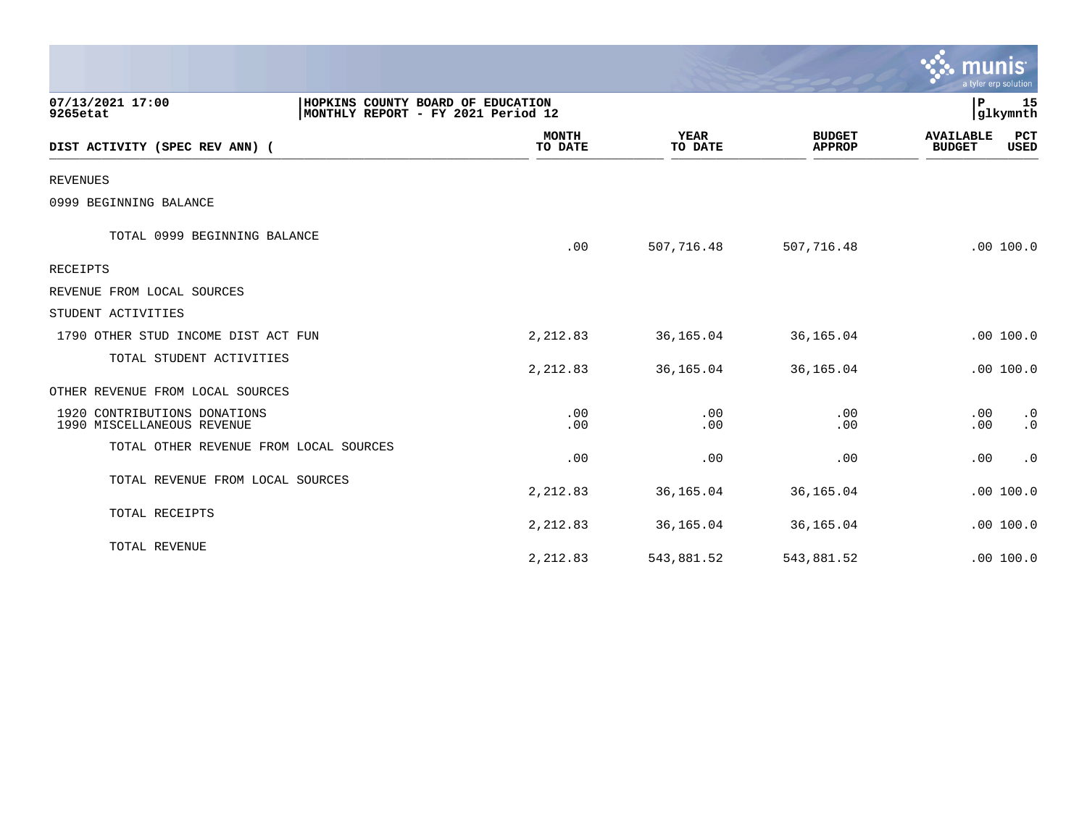|                                                            |                                                                         |                         |                        |                                | $\mathbf{\ddot{\cdot}}\mathbf{\ddot{\cdot}}$ munis<br>a tyler erp solution |                        |
|------------------------------------------------------------|-------------------------------------------------------------------------|-------------------------|------------------------|--------------------------------|----------------------------------------------------------------------------|------------------------|
| 07/13/2021 17:00<br>9265etat                               | HOPKINS COUNTY BOARD OF EDUCATION<br>MONTHLY REPORT - FY 2021 Period 12 |                         |                        |                                | P                                                                          | 15<br>glkymnth         |
| DIST ACTIVITY (SPEC REV ANN) (                             |                                                                         | <b>MONTH</b><br>TO DATE | <b>YEAR</b><br>TO DATE | <b>BUDGET</b><br><b>APPROP</b> | <b>AVAILABLE</b><br><b>BUDGET</b>                                          | PCT<br>USED            |
| <b>REVENUES</b>                                            |                                                                         |                         |                        |                                |                                                                            |                        |
| 0999 BEGINNING BALANCE                                     |                                                                         |                         |                        |                                |                                                                            |                        |
| TOTAL 0999 BEGINNING BALANCE                               |                                                                         | .00                     | 507,716.48             | 507,716.48                     |                                                                            | .00 100.0              |
| RECEIPTS                                                   |                                                                         |                         |                        |                                |                                                                            |                        |
| REVENUE FROM LOCAL SOURCES                                 |                                                                         |                         |                        |                                |                                                                            |                        |
| STUDENT ACTIVITIES                                         |                                                                         |                         |                        |                                |                                                                            |                        |
| 1790 OTHER STUD INCOME DIST ACT FUN                        |                                                                         | 2,212.83                | 36,165.04              | 36,165.04                      |                                                                            | .00 100.0              |
| TOTAL STUDENT ACTIVITIES                                   |                                                                         | 2,212.83                | 36,165.04              | 36,165.04                      |                                                                            | .00 100.0              |
| OTHER REVENUE FROM LOCAL SOURCES                           |                                                                         |                         |                        |                                |                                                                            |                        |
| 1920 CONTRIBUTIONS DONATIONS<br>1990 MISCELLANEOUS REVENUE |                                                                         | .00<br>.00              | .00<br>.00             | .00<br>.00                     | .00<br>.00                                                                 | $\cdot$ 0<br>$\cdot$ 0 |
| TOTAL OTHER REVENUE FROM LOCAL SOURCES                     |                                                                         | .00                     | .00                    | .00                            | .00                                                                        | $\cdot$ 0              |
| TOTAL REVENUE FROM LOCAL SOURCES                           |                                                                         | 2,212.83                | 36,165.04              | 36,165.04                      |                                                                            | .00 100.0              |
| TOTAL RECEIPTS                                             |                                                                         | 2,212.83                | 36,165.04              | 36,165.04                      |                                                                            | .00 100.0              |
| TOTAL REVENUE                                              |                                                                         | 2,212.83                | 543,881.52             | 543,881.52                     |                                                                            | .00 100.0              |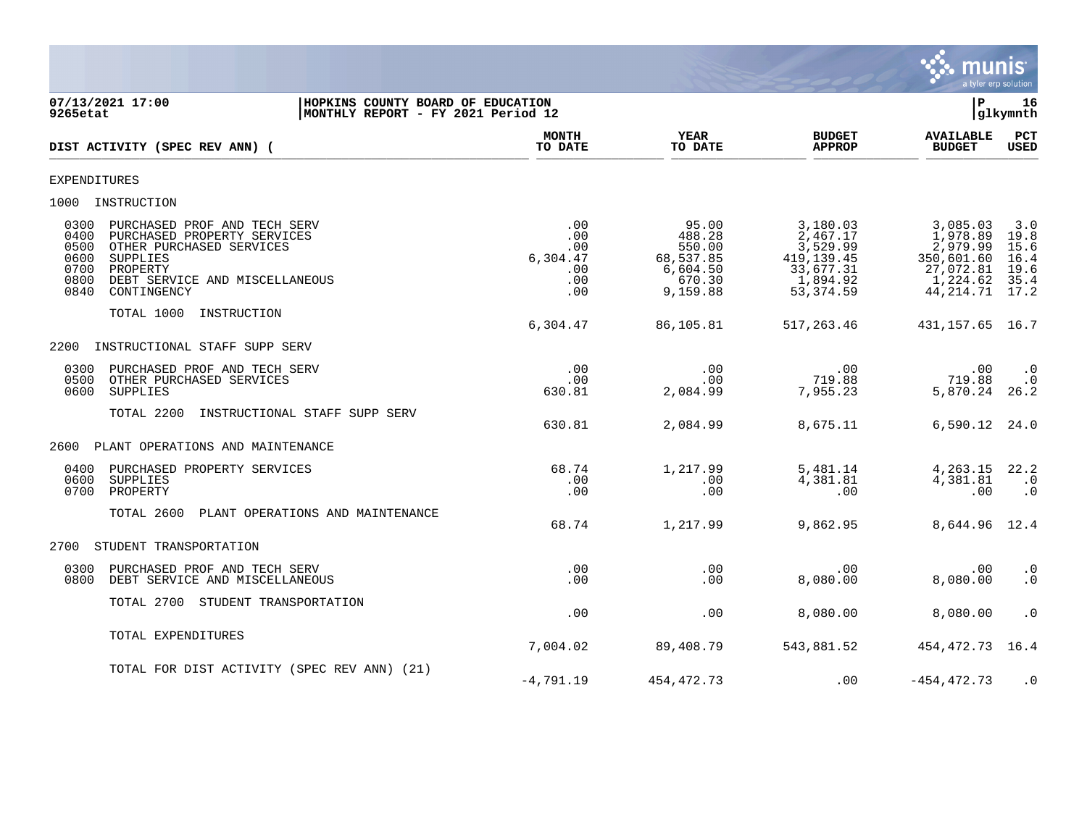

07/13/2021 17:00 **| HOPKINS COUNTY BOARD OF EDUCATION**<br>9265etat | MONTHLY REPORT - FY 2021 Period 12 **MONTHLY REPORT - FY 2021 Period 12 MONTH YEAR BUDGET AVAILABLE PCT**<br>TO DATE TO DATE APPROP BUDGET USED **DIST ACTIVITY (SPEC REV ANN) (**  $\frac{10 \text{ Bhe}}{10 \text{ Bhe}}$   $\frac{10 \text{ Bhe}}{10 \text{ Bhe}}$   $\frac{10 \text{ Bhe}}{10 \text{ Bhe}}$   $\frac{10 \text{ Bhe}}{10 \text{ Bhe}}$   $\frac{10 \text{ Bhe}}{10 \text{ Bhe}}$   $\frac{10 \text{ Bhe}}{10 \text{ Bhe}}$   $\frac{10 \text{ Bhe}}{10 \text{ Bhe}}$ EXPENDITURES 1000 INSTRUCTION 0300 PURCHASED PROF AND TECH SERV .00 95.00 3,180.03 3,085.03 3.0 0400 PURCHASED PROPERTY SERVICES .00 488.28 2,467.17 1,978.89 19.8 0500 OTHER PURCHASED SERVICES ... وَالْمَالَ يَا 100 550.00 550.00 550.00 3,529.99 2,979.99 15.6<br>16.4 560,537.85 419,139.45 350,601.60 16.4 5304.47 568,537.85 419,139.45 0600 SUPPLIES 6,304.47 68,537.85 419,139.45 350,601.60 16.4 0700 PROPERTY .00 6,604.50 33,677.31 27,072.81 19.6 0800 DEBT SERVICE AND MISCELLANEOUS .00 670.30 1,894.92 1,224.62 35.4 0840 CONTINGENCY .00 9,159.88 53,374.59 44,214.71 17.2 TOTAL 1000 INSTRUCTION 6,304.47 86,105.81 517,263.46 431,157.65 16.7 2200 INSTRUCTIONAL STAFF SUPP SERV 0300 PURCHASED PROF AND TECH SERV .00 .00 .00 .00 .0 0500 OTHER PURCHASED SERVICES .00 .00 719.88 719.88 .0 0600 SUPPLIES 630.81 2,084.99 7,955.23 5,870.24 26.2 TOTAL 2200 INSTRUCTIONAL STAFF SUPP SERV 630.81 2,084.99 8,675.11 6,590.12 24.0 2600 PLANT OPERATIONS AND MAINTENANCE 0400 PURCHASED PROPERTY SERVICES 68.74 1,217.99 5,481.14 4,263.15 22.2 0600 SUPPLIES .00 .00 4,381.81 4,381.81 .0 0700 PROPERTY .00 .00 .00 .00 .0 TOTAL 2600 PLANT OPERATIONS AND MAINTENANCE 68.74 1,217.99 9,862.95 8,644.96 12.4 2700 STUDENT TRANSPORTATION 0300 PURCHASED PROF AND TECH SERV .00 .00 .00 .00 .0 0800 DEBT SERVICE AND MISCELLANEOUS TOTAL 2700 STUDENT TRANSPORTATION .00 .00 8,080.00 8,080.00 .0 TOTAL EXPENDITURES 7,004.02 89,408.79 543,881.52 454,472.73 16.4 TOTAL FOR DIST ACTIVITY (SPEC REV ANN) (21) -4,791.19 454,472.73 .00 -454,472.73 .0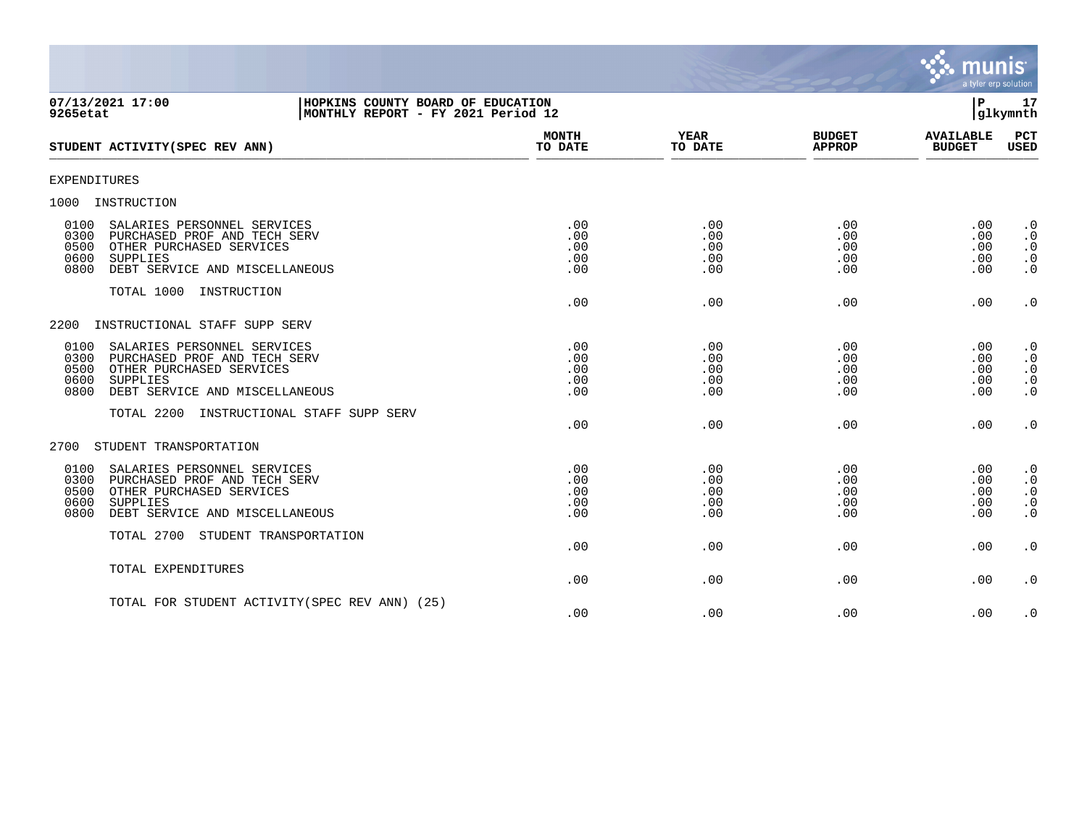

| 07/13/2021 17:00<br>HOPKINS COUNTY BOARD OF EDUCATION<br>9265etat                                                                                                                    | MONTHLY REPORT - FY 2021 Period 12 |                                 |                                 | $\mathbf{P}$                              | 17<br> glkymnth                                               |
|--------------------------------------------------------------------------------------------------------------------------------------------------------------------------------------|------------------------------------|---------------------------------|---------------------------------|-------------------------------------------|---------------------------------------------------------------|
| STUDENT ACTIVITY (SPEC REV ANN)                                                                                                                                                      | <b>MONTH</b><br>TO DATE            | <b>YEAR</b><br>TO DATE          | <b>BUDGET</b><br><b>APPROP</b>  | <b>AVAILABLE</b><br><b>BUDGET</b>         | PCT<br>USED                                                   |
| <b>EXPENDITURES</b>                                                                                                                                                                  |                                    |                                 |                                 |                                           |                                                               |
| 1000<br>INSTRUCTION                                                                                                                                                                  |                                    |                                 |                                 |                                           |                                                               |
| SALARIES PERSONNEL SERVICES<br>0100<br>0300<br>PURCHASED PROF AND TECH SERV<br>0500<br>OTHER PURCHASED SERVICES<br>0600<br>SUPPLIES<br>0800<br>DEBT SERVICE AND MISCELLANEOUS        | .00<br>.00<br>.00<br>.00<br>.00    | .00<br>.00<br>.00<br>.00<br>.00 | .00<br>.00<br>.00<br>.00<br>.00 | .00<br>.00<br>.00<br>.00<br>.00           | $\cdot$ 0<br>$\cdot$ 0<br>$\cdot$ 0<br>$\cdot$ 0<br>$\cdot$ 0 |
| TOTAL 1000 INSTRUCTION                                                                                                                                                               | .00                                | .00                             | .00                             | .00                                       | $\cdot$ 0                                                     |
| 2200<br>INSTRUCTIONAL STAFF SUPP SERV                                                                                                                                                |                                    |                                 |                                 |                                           |                                                               |
| 0100<br>SALARIES PERSONNEL SERVICES<br>0300<br>PURCHASED PROF AND TECH SERV<br>0500<br>OTHER PURCHASED SERVICES<br>0600<br><b>SUPPLIES</b><br>0800<br>DEBT SERVICE AND MISCELLANEOUS | .00<br>.00<br>.00<br>.00<br>.00    | .00<br>.00<br>.00<br>.00<br>.00 | .00<br>.00<br>.00<br>.00<br>.00 | .00<br>.00<br>.00<br>.00<br>.00           | $\cdot$ 0<br>$\cdot$ 0<br>$\cdot$ 0<br>$\cdot$ 0<br>$\cdot$ 0 |
| TOTAL 2200<br>INSTRUCTIONAL STAFF SUPP SERV                                                                                                                                          | .00                                | .00                             | .00                             | .00                                       | $\cdot$ 0                                                     |
| STUDENT TRANSPORTATION<br>2700                                                                                                                                                       |                                    |                                 |                                 |                                           |                                                               |
| 0100<br>SALARIES PERSONNEL SERVICES<br>0300<br>PURCHASED PROF AND TECH SERV<br>0500<br>OTHER PURCHASED SERVICES<br>0600<br>SUPPLIES<br>0800<br>DEBT SERVICE AND MISCELLANEOUS        | .00<br>.00<br>.00<br>.00<br>.00    | .00<br>.00<br>.00<br>.00<br>.00 | .00<br>.00<br>.00<br>.00<br>.00 | .00<br>$.00 \,$<br>.00<br>$.00 \,$<br>.00 | $\cdot$ 0<br>$\cdot$ 0<br>$\cdot$ 0<br>$\cdot$ 0<br>$\cdot$ 0 |
| TOTAL 2700 STUDENT TRANSPORTATION                                                                                                                                                    | .00                                | .00                             | .00                             | .00                                       | $\cdot$ 0                                                     |
| TOTAL EXPENDITURES                                                                                                                                                                   | .00                                | .00                             | .00                             | .00                                       | $\cdot$ 0                                                     |
| TOTAL FOR STUDENT ACTIVITY (SPEC REV ANN) (25)                                                                                                                                       | .00                                | .00                             | .00                             | .00                                       | $\cdot$ 0                                                     |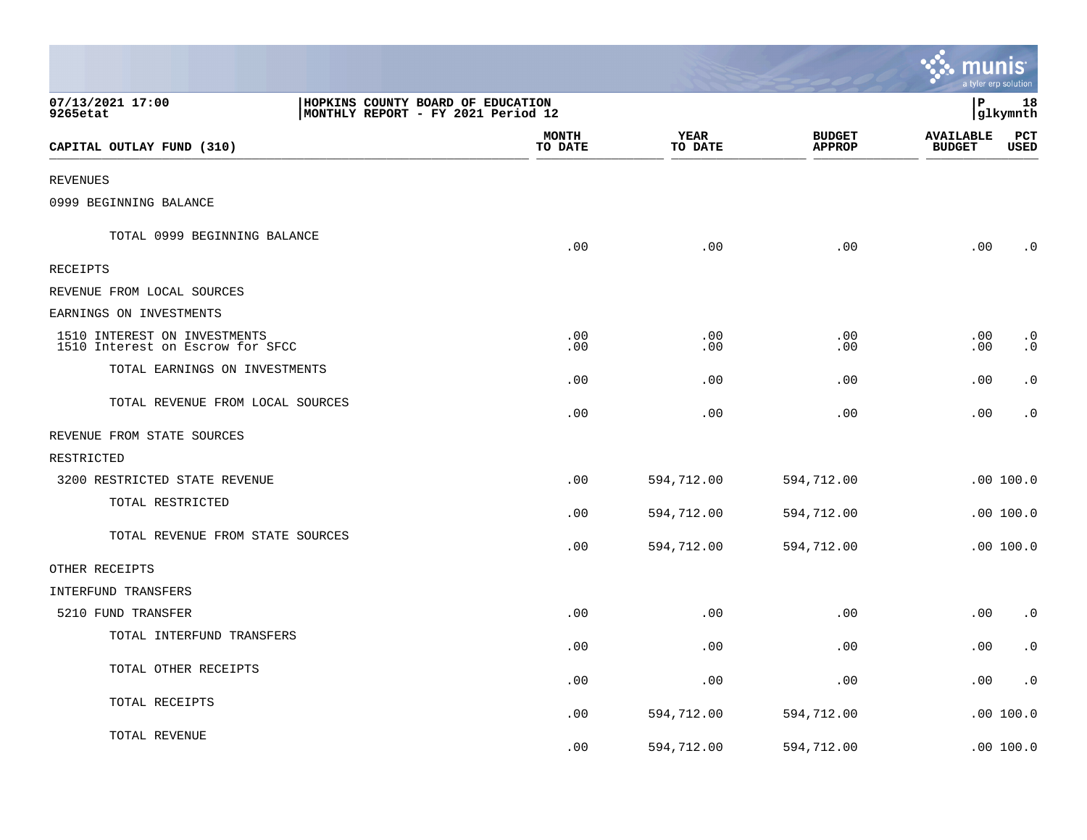|                                                                                                         |                         |                        |                                | mun                               | a tyler erp solution |
|---------------------------------------------------------------------------------------------------------|-------------------------|------------------------|--------------------------------|-----------------------------------|----------------------|
| 07/13/2021 17:00<br>HOPKINS COUNTY BOARD OF EDUCATION<br>9265etat<br>MONTHLY REPORT - FY 2021 Period 12 |                         |                        |                                | P                                 | 18<br>glkymnth       |
| CAPITAL OUTLAY FUND (310)                                                                               | <b>MONTH</b><br>TO DATE | <b>YEAR</b><br>TO DATE | <b>BUDGET</b><br><b>APPROP</b> | <b>AVAILABLE</b><br><b>BUDGET</b> | $_{\rm PCT}$<br>USED |
| <b>REVENUES</b>                                                                                         |                         |                        |                                |                                   |                      |
| 0999 BEGINNING BALANCE                                                                                  |                         |                        |                                |                                   |                      |
| TOTAL 0999 BEGINNING BALANCE                                                                            | .00                     | .00                    | .00                            | .00                               | . 0                  |
| RECEIPTS                                                                                                |                         |                        |                                |                                   |                      |
| REVENUE FROM LOCAL SOURCES                                                                              |                         |                        |                                |                                   |                      |
| EARNINGS ON INVESTMENTS                                                                                 |                         |                        |                                |                                   |                      |
| 1510 INTEREST ON INVESTMENTS<br>1510 Interest on Escrow for SFCC                                        | .00<br>.00              | .00<br>.00             | .00<br>.00                     | .00<br>.00                        | $\cdot$ 0<br>. 0     |
| TOTAL EARNINGS ON INVESTMENTS                                                                           | .00                     | .00                    | .00                            | .00                               | $\cdot$ 0            |
| TOTAL REVENUE FROM LOCAL SOURCES                                                                        | .00                     | .00                    | .00                            | .00                               | $\cdot$ 0            |
| REVENUE FROM STATE SOURCES                                                                              |                         |                        |                                |                                   |                      |
| RESTRICTED                                                                                              |                         |                        |                                |                                   |                      |
| 3200 RESTRICTED STATE REVENUE                                                                           | .00                     | 594,712.00             | 594,712.00                     |                                   | .00100.0             |
| TOTAL RESTRICTED                                                                                        | .00                     | 594,712.00             | 594,712.00                     |                                   | .00100.0             |
| TOTAL REVENUE FROM STATE SOURCES                                                                        | .00                     | 594,712.00             | 594,712.00                     |                                   | .00 100.0            |
| OTHER RECEIPTS                                                                                          |                         |                        |                                |                                   |                      |
| INTERFUND TRANSFERS                                                                                     |                         |                        |                                |                                   |                      |
| 5210 FUND TRANSFER                                                                                      | .00                     | .00                    | .00                            | .00                               | $\cdot$ 0            |
| TOTAL INTERFUND TRANSFERS                                                                               | .00                     | .00                    | .00                            | .00                               | $\cdot$ 0            |
| TOTAL OTHER RECEIPTS                                                                                    | .00                     | .00                    | .00                            | .00                               | $\cdot$ 0            |
| TOTAL RECEIPTS                                                                                          | .00                     | 594,712.00             | 594,712.00                     |                                   | .00100.0             |
| TOTAL REVENUE                                                                                           | .00                     | 594,712.00             | 594,712.00                     |                                   | .00100.0             |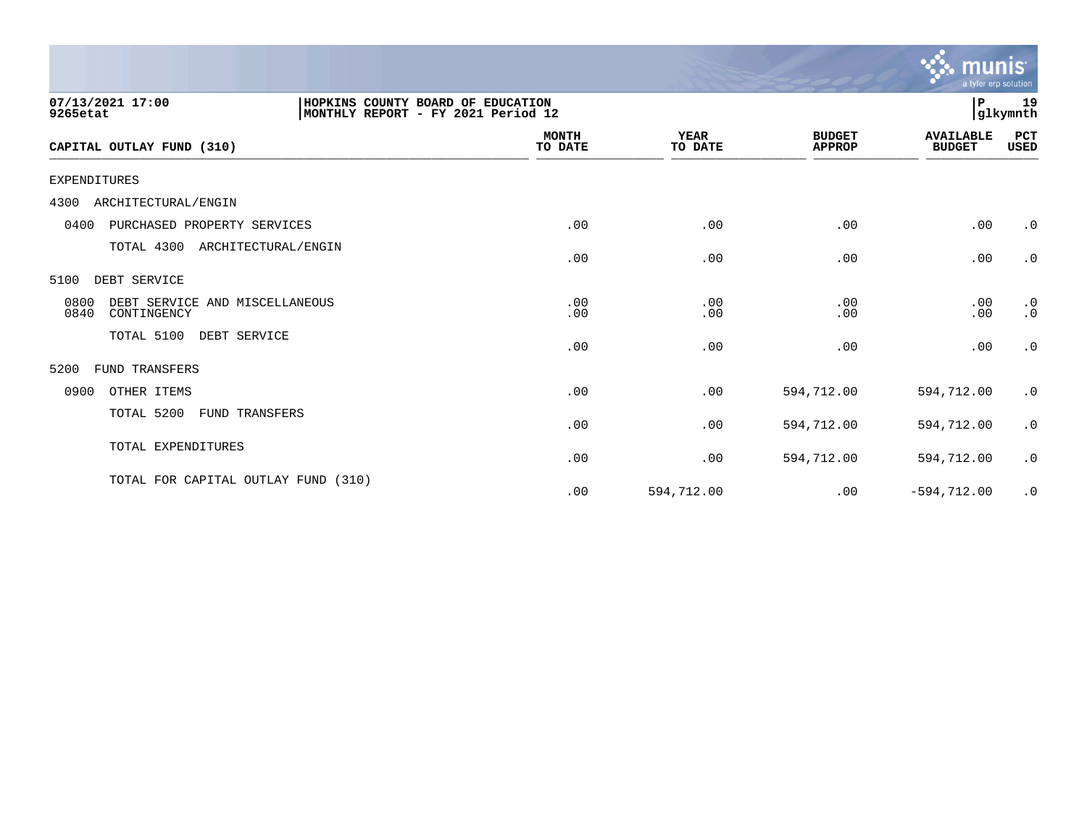|                                                               |                                                                         |                        |                                | munis<br>a tyler erp solution     |                        |
|---------------------------------------------------------------|-------------------------------------------------------------------------|------------------------|--------------------------------|-----------------------------------|------------------------|
| 07/13/2021 17:00<br>9265etat                                  | HOPKINS COUNTY BOARD OF EDUCATION<br>MONTHLY REPORT - FY 2021 Period 12 |                        |                                | ΙP                                | 19<br>glkymnth         |
| CAPITAL OUTLAY FUND (310)                                     | <b>MONTH</b><br>TO DATE                                                 | <b>YEAR</b><br>TO DATE | <b>BUDGET</b><br><b>APPROP</b> | <b>AVAILABLE</b><br><b>BUDGET</b> | PCT<br>USED            |
| <b>EXPENDITURES</b>                                           |                                                                         |                        |                                |                                   |                        |
| ARCHITECTURAL/ENGIN<br>4300                                   |                                                                         |                        |                                |                                   |                        |
| PURCHASED PROPERTY SERVICES<br>0400                           | .00                                                                     | .00                    | .00                            | .00                               | $\cdot$ 0              |
| TOTAL 4300<br>ARCHITECTURAL/ENGIN                             | .00                                                                     | .00                    | .00                            | .00                               | $\cdot$ 0              |
| 5100<br>DEBT SERVICE                                          |                                                                         |                        |                                |                                   |                        |
| 0800<br>DEBT SERVICE AND MISCELLANEOUS<br>0840<br>CONTINGENCY | .00<br>.00                                                              | .00<br>.00             | .00<br>.00                     | .00<br>.00                        | $\cdot$ 0<br>$\cdot$ 0 |
| TOTAL 5100<br>DEBT SERVICE                                    | .00                                                                     | .00                    | .00                            | .00                               | $\cdot$ 0              |
| 5200<br>FUND TRANSFERS                                        |                                                                         |                        |                                |                                   |                        |
| 0900<br>OTHER ITEMS                                           | .00                                                                     | .00                    | 594,712.00                     | 594,712.00                        | $\cdot$ 0              |
| TOTAL 5200<br>FUND TRANSFERS                                  | .00                                                                     | .00                    | 594,712.00                     | 594,712.00                        | $\cdot$ 0              |
| TOTAL EXPENDITURES                                            | .00                                                                     | .00                    | 594,712.00                     | 594,712.00                        | $\cdot$ 0              |
| TOTAL FOR CAPITAL OUTLAY FUND (310)                           | .00                                                                     | 594,712.00             | .00                            | $-594, 712.00$                    | $\cdot$ 0              |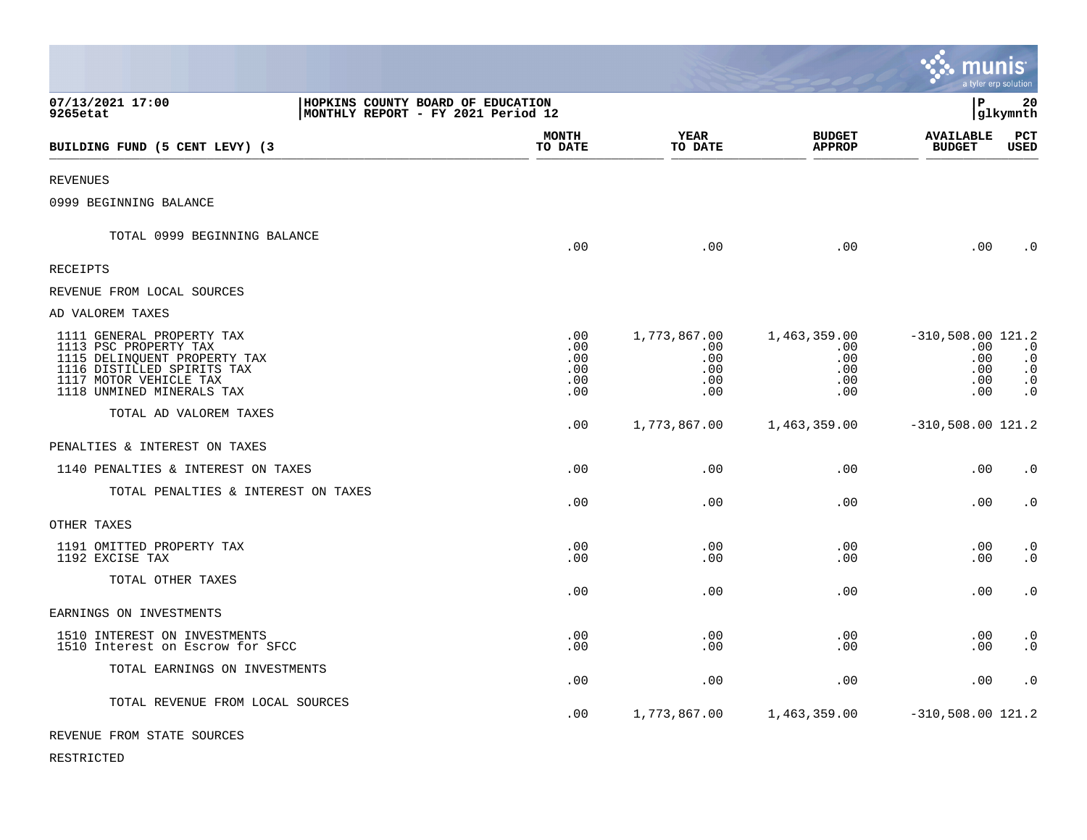|                                                                                                                                                                         |                                                                         |                                             |                                                 |                                                      |                                                             | munıs<br>a tyler erp solution                                 |
|-------------------------------------------------------------------------------------------------------------------------------------------------------------------------|-------------------------------------------------------------------------|---------------------------------------------|-------------------------------------------------|------------------------------------------------------|-------------------------------------------------------------|---------------------------------------------------------------|
| 07/13/2021 17:00<br>9265etat                                                                                                                                            | HOPKINS COUNTY BOARD OF EDUCATION<br>MONTHLY REPORT - FY 2021 Period 12 |                                             |                                                 |                                                      | l P                                                         | 20<br> glkymnth                                               |
| BUILDING FUND (5 CENT LEVY) (3                                                                                                                                          |                                                                         | <b>MONTH</b><br>TO DATE                     | <b>YEAR</b><br>TO DATE                          | <b>BUDGET</b><br><b>APPROP</b>                       | <b>AVAILABLE</b><br><b>BUDGET</b>                           | PCT<br><b>USED</b>                                            |
| <b>REVENUES</b>                                                                                                                                                         |                                                                         |                                             |                                                 |                                                      |                                                             |                                                               |
| 0999 BEGINNING BALANCE                                                                                                                                                  |                                                                         |                                             |                                                 |                                                      |                                                             |                                                               |
| TOTAL 0999 BEGINNING BALANCE                                                                                                                                            |                                                                         | .00                                         | .00                                             | .00                                                  | $.00 \,$                                                    | $\cdot$ 0                                                     |
| <b>RECEIPTS</b>                                                                                                                                                         |                                                                         |                                             |                                                 |                                                      |                                                             |                                                               |
| REVENUE FROM LOCAL SOURCES                                                                                                                                              |                                                                         |                                             |                                                 |                                                      |                                                             |                                                               |
| AD VALOREM TAXES                                                                                                                                                        |                                                                         |                                             |                                                 |                                                      |                                                             |                                                               |
| 1111 GENERAL PROPERTY TAX<br>1113 PSC PROPERTY TAX<br>1115 DELINQUENT PROPERTY TAX<br>1116 DISTILLED SPIRITS TAX<br>1117 MOTOR VEHICLE TAX<br>1118 UNMINED MINERALS TAX |                                                                         | $.00 \,$<br>.00<br>.00<br>.00<br>.00<br>.00 | 1,773,867.00<br>.00<br>.00<br>.00<br>.00<br>.00 | 1,463,359.00<br>$.00 \,$<br>.00<br>.00<br>.00<br>.00 | $-310,508.00$ 121.2<br>.00<br>.00<br>.00<br>$.00 \,$<br>.00 | $\cdot$ 0<br>$\cdot$ 0<br>$\cdot$ 0<br>$\cdot$ 0<br>$\cdot$ 0 |
| TOTAL AD VALOREM TAXES                                                                                                                                                  |                                                                         | .00                                         | 1,773,867.00                                    | 1,463,359.00                                         | $-310,508.00$ 121.2                                         |                                                               |
| PENALTIES & INTEREST ON TAXES                                                                                                                                           |                                                                         |                                             |                                                 |                                                      |                                                             |                                                               |
| 1140 PENALTIES & INTEREST ON TAXES                                                                                                                                      |                                                                         | .00                                         | .00                                             | .00                                                  | .00                                                         | $\cdot$ 0                                                     |
| TOTAL PENALTIES & INTEREST ON TAXES                                                                                                                                     |                                                                         | .00                                         | .00                                             | .00                                                  | .00                                                         | $\cdot$ 0                                                     |
| OTHER TAXES                                                                                                                                                             |                                                                         |                                             |                                                 |                                                      |                                                             |                                                               |
| 1191 OMITTED PROPERTY TAX<br>1192 EXCISE TAX                                                                                                                            |                                                                         | .00<br>.00                                  | .00<br>.00                                      | .00<br>.00                                           | .00<br>.00                                                  | $\cdot$ 0<br>$\cdot$ 0                                        |
| TOTAL OTHER TAXES                                                                                                                                                       |                                                                         | .00                                         | .00                                             | .00                                                  | .00                                                         | $\cdot$ 0                                                     |
| EARNINGS ON INVESTMENTS                                                                                                                                                 |                                                                         |                                             |                                                 |                                                      |                                                             |                                                               |
| 1510 INTEREST ON INVESTMENTS<br>1510 Interest on Escrow for SFCC                                                                                                        |                                                                         | .00<br>.00                                  | .00<br>.00                                      | .00<br>.00                                           | .00<br>.00                                                  | $\cdot$ 0<br>$\cdot$ 0                                        |
| TOTAL EARNINGS ON INVESTMENTS                                                                                                                                           |                                                                         | .00                                         | .00                                             | .00                                                  | .00                                                         | $\cdot$ 0                                                     |
| TOTAL REVENUE FROM LOCAL SOURCES                                                                                                                                        |                                                                         | .00                                         | 1,773,867.00                                    | 1,463,359.00                                         | $-310,508.00$ 121.2                                         |                                                               |
| REVENUE FROM STATE SOURCES                                                                                                                                              |                                                                         |                                             |                                                 |                                                      |                                                             |                                                               |

RESTRICTED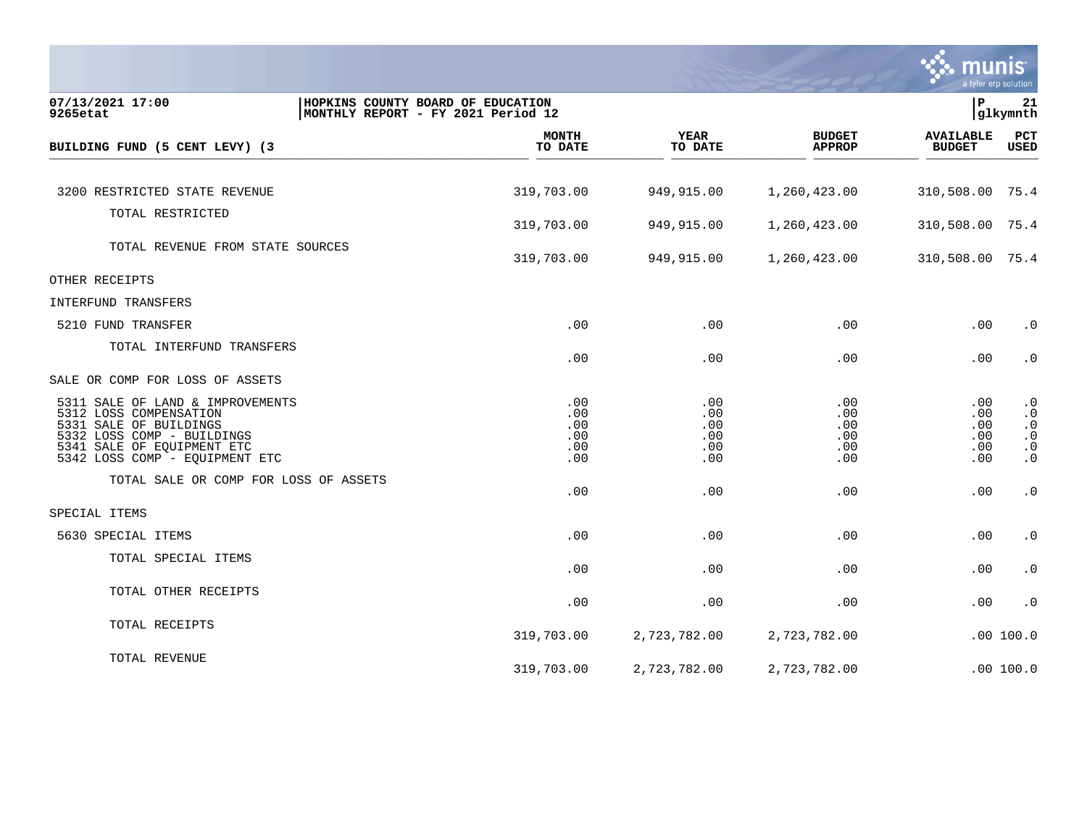

| 07/13/2021 17:00<br>9265etat                                                                                                                                                       | HOPKINS COUNTY BOARD OF EDUCATION<br>MONTHLY REPORT - FY 2021 Period 12 |                                        |                                        |                                        | lР                                     | 21<br> glkymnth                                                            |
|------------------------------------------------------------------------------------------------------------------------------------------------------------------------------------|-------------------------------------------------------------------------|----------------------------------------|----------------------------------------|----------------------------------------|----------------------------------------|----------------------------------------------------------------------------|
| BUILDING FUND (5 CENT LEVY) (3                                                                                                                                                     |                                                                         | <b>MONTH</b><br>TO DATE                | <b>YEAR</b><br>TO DATE                 | <b>BUDGET</b><br><b>APPROP</b>         | <b>AVAILABLE</b><br><b>BUDGET</b>      | PCT<br>USED                                                                |
|                                                                                                                                                                                    |                                                                         |                                        |                                        |                                        |                                        |                                                                            |
| 3200 RESTRICTED STATE REVENUE                                                                                                                                                      |                                                                         | 319,703.00                             | 949,915.00                             | 1,260,423.00                           | 310,508.00                             | 75.4                                                                       |
| TOTAL RESTRICTED                                                                                                                                                                   |                                                                         | 319,703.00                             | 949,915.00                             | 1,260,423.00                           | 310,508.00 75.4                        |                                                                            |
| TOTAL REVENUE FROM STATE SOURCES                                                                                                                                                   |                                                                         | 319,703.00                             | 949,915.00                             | 1,260,423.00                           | 310,508.00 75.4                        |                                                                            |
| OTHER RECEIPTS                                                                                                                                                                     |                                                                         |                                        |                                        |                                        |                                        |                                                                            |
| INTERFUND TRANSFERS                                                                                                                                                                |                                                                         |                                        |                                        |                                        |                                        |                                                                            |
| 5210 FUND TRANSFER                                                                                                                                                                 |                                                                         | .00                                    | .00                                    | .00                                    | .00                                    | $\cdot$ 0                                                                  |
| TOTAL INTERFUND TRANSFERS                                                                                                                                                          |                                                                         | .00                                    | .00                                    | .00                                    | .00                                    | $\cdot$ 0                                                                  |
| SALE OR COMP FOR LOSS OF ASSETS                                                                                                                                                    |                                                                         |                                        |                                        |                                        |                                        |                                                                            |
| 5311 SALE OF LAND & IMPROVEMENTS<br>5312 LOSS COMPENSATION<br>5331 SALE OF BUILDINGS<br>5332 LOSS COMP - BUILDINGS<br>5341 SALE OF EOUIPMENT ETC<br>5342 LOSS COMP - EQUIPMENT ETC |                                                                         | .00<br>.00<br>.00<br>.00<br>.00<br>.00 | .00<br>.00<br>.00<br>.00<br>.00<br>.00 | .00<br>.00<br>.00<br>.00<br>.00<br>.00 | .00<br>.00<br>.00<br>.00<br>.00<br>.00 | $\cdot$ 0<br>$\cdot$ 0<br>$\cdot$ 0<br>$\cdot$ 0<br>$\cdot$ 0<br>$\cdot$ 0 |
| TOTAL SALE OR COMP FOR LOSS OF ASSETS                                                                                                                                              |                                                                         | .00                                    | .00                                    | .00                                    | .00                                    | $\cdot$ 0                                                                  |
| SPECIAL ITEMS                                                                                                                                                                      |                                                                         |                                        |                                        |                                        |                                        |                                                                            |
| 5630 SPECIAL ITEMS                                                                                                                                                                 |                                                                         | .00                                    | .00                                    | .00                                    | .00                                    | $\cdot$ 0                                                                  |
| TOTAL SPECIAL ITEMS                                                                                                                                                                |                                                                         | .00                                    | .00                                    | .00                                    | .00                                    | $\cdot$ 0                                                                  |
| TOTAL OTHER RECEIPTS                                                                                                                                                               |                                                                         | .00                                    | .00                                    | .00                                    | .00                                    | $\cdot$ 0                                                                  |
| TOTAL RECEIPTS                                                                                                                                                                     |                                                                         | 319,703.00                             | 2,723,782.00                           | 2,723,782.00                           |                                        | .00 100.0                                                                  |
| TOTAL REVENUE                                                                                                                                                                      |                                                                         | 319,703.00                             | 2,723,782.00                           | 2,723,782.00                           |                                        | .00 100.0                                                                  |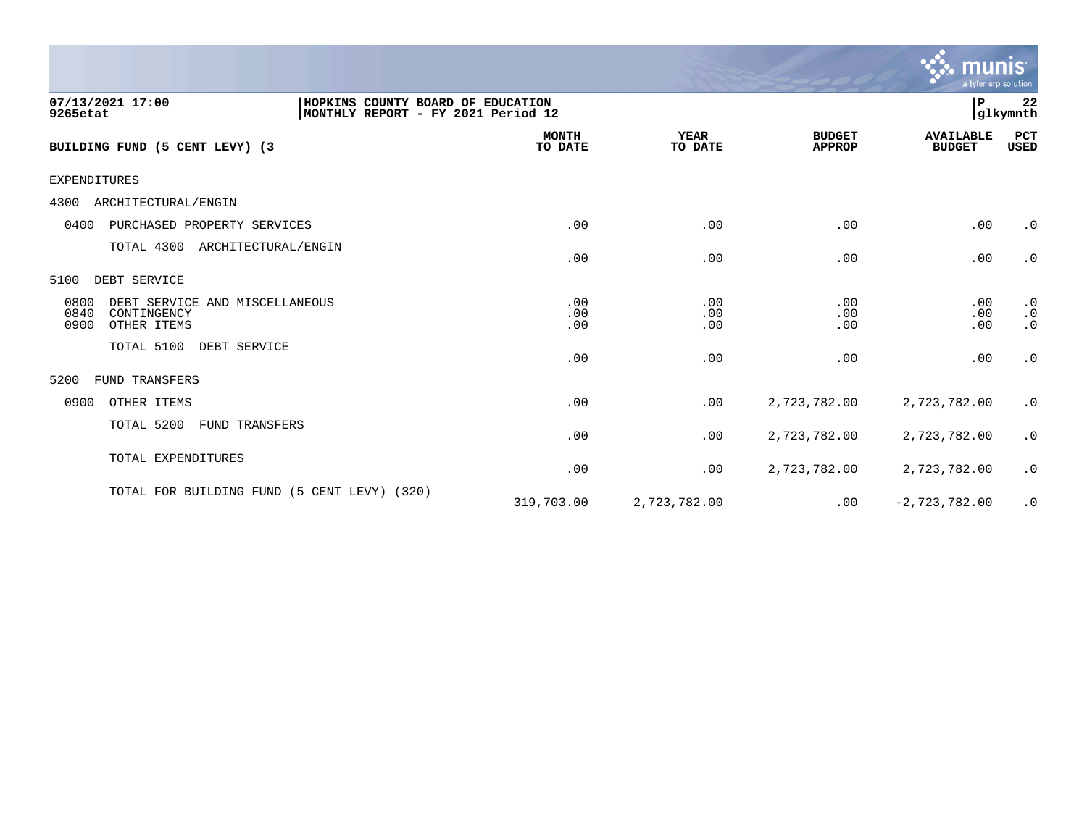|                                                                                                         |                         |                        |                                | <b>munis</b><br>a tyler erp solution |                                     |
|---------------------------------------------------------------------------------------------------------|-------------------------|------------------------|--------------------------------|--------------------------------------|-------------------------------------|
| 07/13/2021 17:00<br>HOPKINS COUNTY BOARD OF EDUCATION<br>9265etat<br>MONTHLY REPORT - FY 2021 Period 12 |                         |                        |                                | ΙP                                   | 22<br>glkymnth                      |
| BUILDING FUND (5 CENT LEVY) (3                                                                          | <b>MONTH</b><br>TO DATE | <b>YEAR</b><br>TO DATE | <b>BUDGET</b><br><b>APPROP</b> | <b>AVAILABLE</b><br><b>BUDGET</b>    | PCT<br>USED                         |
| <b>EXPENDITURES</b>                                                                                     |                         |                        |                                |                                      |                                     |
| 4300<br>ARCHITECTURAL/ENGIN                                                                             |                         |                        |                                |                                      |                                     |
| 0400<br>PURCHASED PROPERTY SERVICES                                                                     | .00                     | .00                    | .00                            | .00                                  | $\cdot$ 0                           |
| TOTAL 4300<br>ARCHITECTURAL/ENGIN                                                                       | .00                     | .00                    | .00                            | .00                                  | $\cdot$ 0                           |
| 5100<br>DEBT SERVICE                                                                                    |                         |                        |                                |                                      |                                     |
| 0800<br>DEBT SERVICE AND MISCELLANEOUS<br>0840<br>CONTINGENCY<br>0900<br>OTHER ITEMS                    | .00<br>.00<br>.00       | .00<br>.00<br>.00      | .00<br>.00<br>.00              | .00<br>.00<br>.00                    | $\cdot$ 0<br>$\cdot$ 0<br>$\cdot$ 0 |
| TOTAL 5100<br>DEBT SERVICE                                                                              | .00                     | .00                    | .00                            | .00                                  | $\cdot$ 0                           |
| <b>FUND TRANSFERS</b><br>5200                                                                           |                         |                        |                                |                                      |                                     |
| 0900<br>OTHER ITEMS                                                                                     | .00                     | .00                    | 2,723,782.00                   | 2,723,782.00                         | $\cdot$ 0                           |
| TOTAL 5200<br>FUND TRANSFERS                                                                            | .00                     | .00                    | 2,723,782.00                   | 2,723,782.00                         | $\cdot$ 0                           |
| TOTAL EXPENDITURES                                                                                      | .00                     | .00                    | 2,723,782.00                   | 2,723,782.00                         | $\cdot$ 0                           |
| TOTAL FOR BUILDING FUND (5 CENT LEVY) (320)                                                             | 319,703.00              | 2,723,782.00           | .00                            | $-2,723,782.00$                      | $\cdot$ 0                           |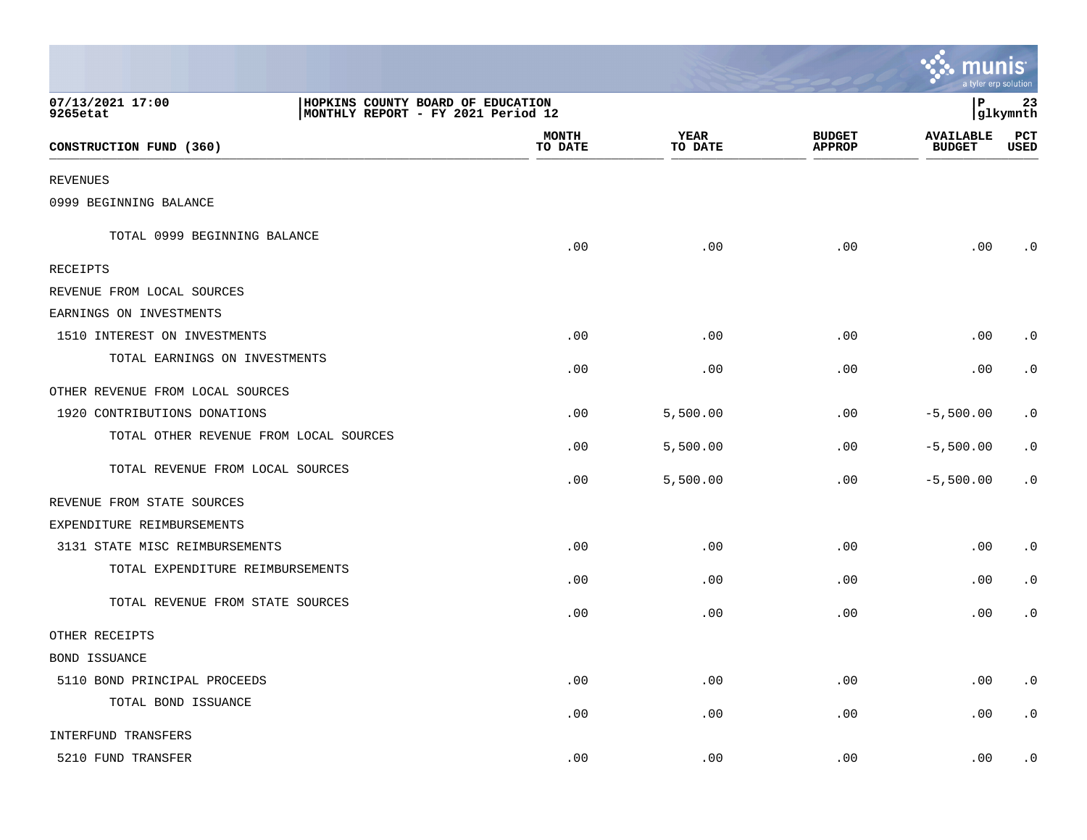|                                                                                                         |                         |                 |                                | <b>A: munis</b><br>a tyler erp solution |                 |
|---------------------------------------------------------------------------------------------------------|-------------------------|-----------------|--------------------------------|-----------------------------------------|-----------------|
| 07/13/2021 17:00<br>HOPKINS COUNTY BOARD OF EDUCATION<br>MONTHLY REPORT - FY 2021 Period 12<br>9265etat |                         |                 |                                | l P                                     | 23<br> glkymnth |
| CONSTRUCTION FUND (360)                                                                                 | <b>MONTH</b><br>TO DATE | YEAR<br>TO DATE | <b>BUDGET</b><br><b>APPROP</b> | <b>AVAILABLE</b><br><b>BUDGET</b>       | PCT<br>USED     |
| <b>REVENUES</b>                                                                                         |                         |                 |                                |                                         |                 |
| 0999 BEGINNING BALANCE                                                                                  |                         |                 |                                |                                         |                 |
| TOTAL 0999 BEGINNING BALANCE                                                                            | .00                     | .00             | .00                            | .00                                     | $\cdot$ 0       |
| RECEIPTS                                                                                                |                         |                 |                                |                                         |                 |
| REVENUE FROM LOCAL SOURCES                                                                              |                         |                 |                                |                                         |                 |
| EARNINGS ON INVESTMENTS                                                                                 |                         |                 |                                |                                         |                 |
| 1510 INTEREST ON INVESTMENTS                                                                            | .00                     | .00             | .00                            | .00                                     | $\cdot$ 0       |
| TOTAL EARNINGS ON INVESTMENTS                                                                           | .00                     | .00             | .00                            | .00                                     | $\cdot$ 0       |
| OTHER REVENUE FROM LOCAL SOURCES                                                                        |                         |                 |                                |                                         |                 |
| 1920 CONTRIBUTIONS DONATIONS                                                                            | .00                     | 5,500.00        | .00                            | $-5,500.00$                             | $\cdot$ 0       |
| TOTAL OTHER REVENUE FROM LOCAL SOURCES                                                                  | .00                     | 5,500.00        | .00                            | $-5,500.00$                             | $\cdot$ 0       |
| TOTAL REVENUE FROM LOCAL SOURCES                                                                        | .00                     | 5,500.00        | .00                            | $-5,500.00$                             | $\cdot$ 0       |
| REVENUE FROM STATE SOURCES                                                                              |                         |                 |                                |                                         |                 |
| EXPENDITURE REIMBURSEMENTS                                                                              |                         |                 |                                |                                         |                 |
| 3131 STATE MISC REIMBURSEMENTS                                                                          | .00                     | .00             | .00                            | .00                                     | $\cdot$ 0       |
| TOTAL EXPENDITURE REIMBURSEMENTS                                                                        | .00                     | .00             | .00                            | .00                                     | $\cdot$ 0       |
| TOTAL REVENUE FROM STATE SOURCES                                                                        | .00                     | .00             | .00                            | .00                                     | $\cdot$ 0       |
| OTHER RECEIPTS                                                                                          |                         |                 |                                |                                         |                 |
| BOND ISSUANCE                                                                                           |                         |                 |                                |                                         |                 |
| 5110 BOND PRINCIPAL PROCEEDS                                                                            | .00                     | .00             | .00                            | .00                                     | $\cdot$ 0       |
| TOTAL BOND ISSUANCE                                                                                     | .00                     | .00             | .00                            | .00                                     | $\cdot$ 0       |
| INTERFUND TRANSFERS                                                                                     |                         |                 |                                |                                         |                 |
| 5210 FUND TRANSFER                                                                                      | .00                     | .00             | .00                            | .00                                     | $\cdot$ 0       |

and the contract of the contract of the contract of the contract of the contract of the contract of the contract of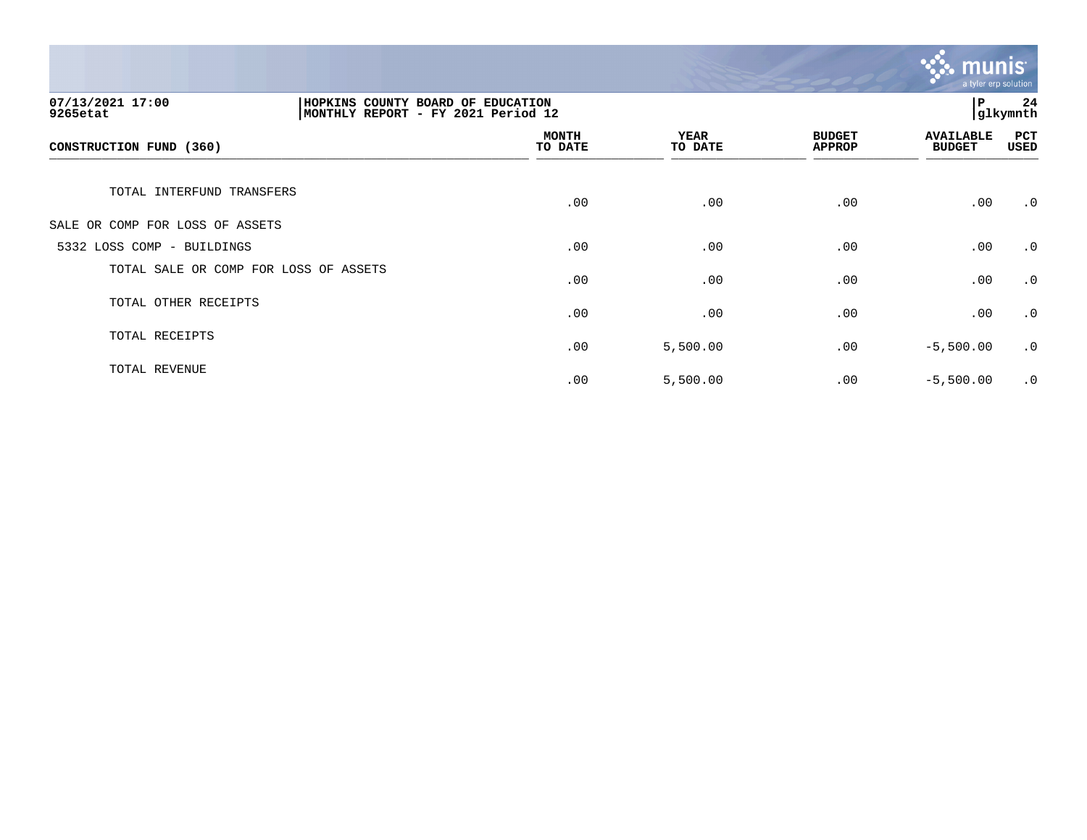

| 07/13/2021 17:00<br>HOPKINS COUNTY BOARD OF EDUCATION<br>MONTHLY REPORT - FY 2021 Period 12<br>9265etat |  |                         |                        | ∣P                             | 24<br>glkymnth                    |                    |
|---------------------------------------------------------------------------------------------------------|--|-------------------------|------------------------|--------------------------------|-----------------------------------|--------------------|
| CONSTRUCTION FUND (360)                                                                                 |  | <b>MONTH</b><br>TO DATE | <b>YEAR</b><br>TO DATE | <b>BUDGET</b><br><b>APPROP</b> | <b>AVAILABLE</b><br><b>BUDGET</b> | PCT<br><b>USED</b> |
| TOTAL INTERFUND TRANSFERS                                                                               |  | .00                     | .00                    | .00                            | .00                               | $\cdot$ 0          |
| SALE OR COMP FOR LOSS OF ASSETS                                                                         |  |                         |                        |                                |                                   |                    |
| 5332 LOSS COMP - BUILDINGS                                                                              |  | .00                     | .00                    | .00                            | .00                               | $\cdot$ 0          |
| TOTAL SALE OR COMP FOR LOSS OF ASSETS                                                                   |  | .00                     | .00                    | .00                            | .00                               | $\cdot$ 0          |
| TOTAL OTHER RECEIPTS                                                                                    |  | .00                     | .00                    | .00                            | .00                               | $\cdot$ 0          |
| TOTAL RECEIPTS                                                                                          |  | .00                     | 5,500.00               | .00                            | $-5,500.00$                       | $\cdot$ 0          |
| TOTAL REVENUE                                                                                           |  | .00                     | 5,500.00               | .00                            | $-5,500.00$                       | $\cdot$ 0          |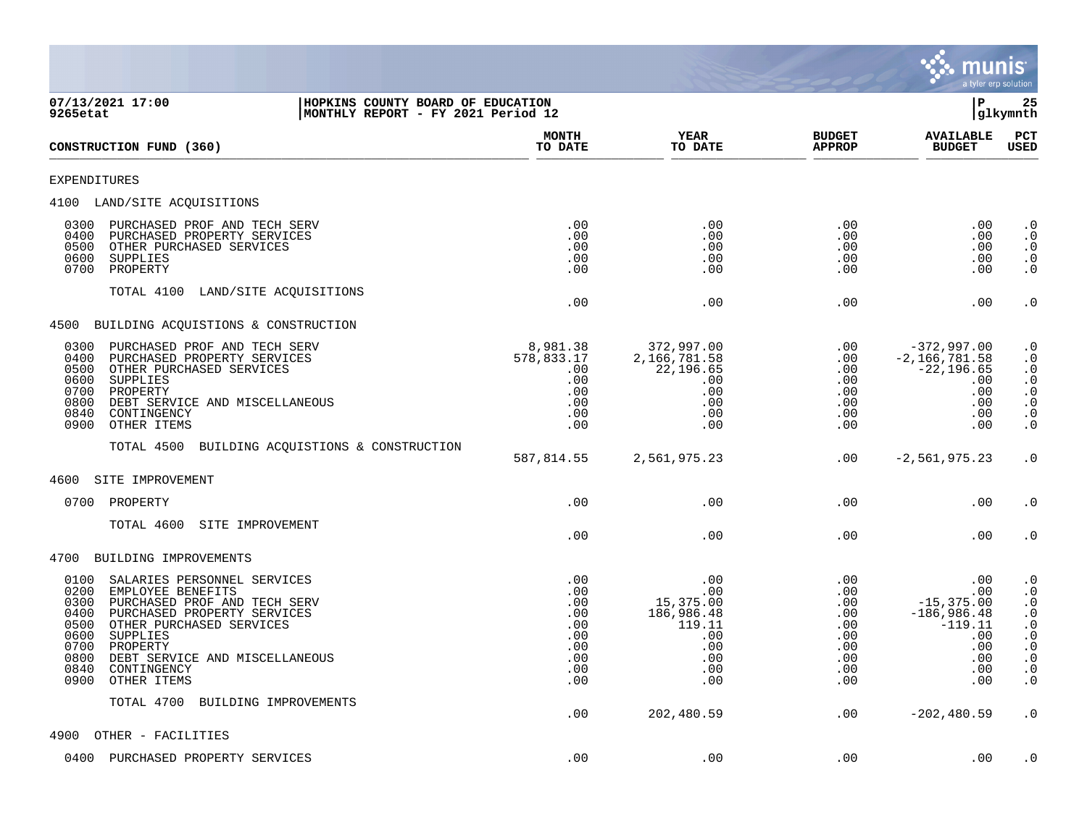

| 07/13/2021 17:00<br>HOPKINS COUNTY BOARD OF EDUCATION<br>9265etat<br>MONTHLY REPORT - FY 2021 Period 12                                                                                                                                                                                                             |                                                                    |                                                                                    |                                                                    | l P                                                                                          | 25<br> glkymnth                                                                                                                                                                                                     |  |
|---------------------------------------------------------------------------------------------------------------------------------------------------------------------------------------------------------------------------------------------------------------------------------------------------------------------|--------------------------------------------------------------------|------------------------------------------------------------------------------------|--------------------------------------------------------------------|----------------------------------------------------------------------------------------------|---------------------------------------------------------------------------------------------------------------------------------------------------------------------------------------------------------------------|--|
| CONSTRUCTION FUND (360)                                                                                                                                                                                                                                                                                             | <b>MONTH</b><br>TO DATE                                            | YEAR<br>TO DATE                                                                    | <b>BUDGET</b><br><b>APPROP</b>                                     | <b>AVAILABLE</b><br><b>BUDGET</b>                                                            | PCT<br><b>USED</b>                                                                                                                                                                                                  |  |
| <b>EXPENDITURES</b>                                                                                                                                                                                                                                                                                                 |                                                                    |                                                                                    |                                                                    |                                                                                              |                                                                                                                                                                                                                     |  |
| 4100 LAND/SITE ACQUISITIONS                                                                                                                                                                                                                                                                                         |                                                                    |                                                                                    |                                                                    |                                                                                              |                                                                                                                                                                                                                     |  |
| 0300<br>PURCHASED PROF AND TECH SERV<br>0400<br>PURCHASED PROPERTY SERVICES<br>0500<br>OTHER PURCHASED SERVICES<br>0600<br>SUPPLIES<br>0700<br>PROPERTY                                                                                                                                                             | .00<br>.00<br>.00<br>.00<br>.00                                    | .00<br>.00<br>.00<br>.00<br>.00                                                    | .00<br>.00<br>.00<br>.00<br>.00                                    | $.00 \,$<br>.00<br>$.00 \,$<br>.00<br>.00                                                    | $\cdot$ 0<br>$\boldsymbol{\cdot}$ 0<br>$\cdot$ 0<br>$\begin{smallmatrix} 0.1 \\ 0.1 \end{smallmatrix}$                                                                                                              |  |
| TOTAL 4100<br>LAND/SITE ACQUISITIONS                                                                                                                                                                                                                                                                                | .00                                                                | .00                                                                                | .00                                                                | .00                                                                                          | $\cdot$ 0                                                                                                                                                                                                           |  |
| 4500 BUILDING ACQUISTIONS & CONSTRUCTION                                                                                                                                                                                                                                                                            |                                                                    |                                                                                    |                                                                    |                                                                                              |                                                                                                                                                                                                                     |  |
| PURCHASED PROF AND TECH SERV<br>0300<br>0400<br>PURCHASED PROPERTY SERVICES<br>0500<br>OTHER PURCHASED SERVICES<br>0600<br>SUPPLIES<br>0700<br>PROPERTY<br>0800<br>DEBT SERVICE AND MISCELLANEOUS<br>0840<br>CONTINGENCY<br>0900<br>OTHER ITEMS                                                                     | 8,981.38<br>578,833.17<br>.00<br>.00<br>.00<br>.00<br>.00<br>.00   | 372,997.00<br>2,166,781.58<br>22,196.65<br>.00<br>.00<br>.00<br>.00<br>.00         | .00<br>.00<br>.00<br>.00<br>.00<br>.00<br>.00<br>.00               | $-372,997.00$<br>$-2,166,781.58$<br>$-22, 196.65$<br>.00<br>.00<br>.00<br>.00<br>.00         | $\cdot$ 0<br>$\cdot$ 0<br>$\begin{smallmatrix} 0.1 \\ 0.1 \end{smallmatrix}$<br>$\cdot$ 0<br>$\cdot$ 0<br>$\cdot$ 0<br>$\cdot$ 0                                                                                    |  |
| TOTAL 4500 BUILDING ACQUISTIONS & CONSTRUCTION                                                                                                                                                                                                                                                                      | 587,814.55                                                         | 2,561,975.23                                                                       | .00                                                                | $-2,561,975.23$                                                                              | $\cdot$ 0                                                                                                                                                                                                           |  |
| 4600<br>SITE IMPROVEMENT                                                                                                                                                                                                                                                                                            |                                                                    |                                                                                    |                                                                    |                                                                                              |                                                                                                                                                                                                                     |  |
| 0700<br>PROPERTY                                                                                                                                                                                                                                                                                                    | .00                                                                | .00                                                                                | .00                                                                | .00                                                                                          | $\cdot$ 0                                                                                                                                                                                                           |  |
| TOTAL 4600<br>SITE IMPROVEMENT                                                                                                                                                                                                                                                                                      | .00                                                                | .00                                                                                | .00                                                                | .00                                                                                          | $\cdot$ 0                                                                                                                                                                                                           |  |
| 4700 BUILDING IMPROVEMENTS                                                                                                                                                                                                                                                                                          |                                                                    |                                                                                    |                                                                    |                                                                                              |                                                                                                                                                                                                                     |  |
| 0100<br>SALARIES PERSONNEL SERVICES<br>0200<br>EMPLOYEE BENEFITS<br>0300<br>PURCHASED PROF AND TECH SERV<br>0400<br>PURCHASED PROPERTY SERVICES<br>0500<br>OTHER PURCHASED SERVICES<br>0600<br>SUPPLIES<br>0700<br>PROPERTY<br>0800<br>DEBT SERVICE AND MISCELLANEOUS<br>0840<br>CONTINGENCY<br>0900<br>OTHER ITEMS | .00<br>.00<br>.00<br>.00<br>.00<br>.00<br>.00<br>.00<br>.00<br>.00 | .00<br>.00<br>15,375.00<br>186,986.48<br>119.11<br>.00<br>.00<br>.00<br>.00<br>.00 | .00<br>.00<br>.00<br>.00<br>.00<br>.00<br>.00<br>.00<br>.00<br>.00 | .00<br>.00<br>$-15, 375.00$<br>$-186,986.48$<br>$-119.11$<br>.00<br>.00<br>.00<br>.00<br>.00 | $\cdot$ 0<br>$\begin{smallmatrix} 0.1 \\ 0.1 \end{smallmatrix}$<br>$\begin{array}{c} 0 \\ 0 \end{array}$<br>$\begin{smallmatrix} 0 \\ 0 \\ 0 \end{smallmatrix}$<br>$\boldsymbol{\cdot}$ 0<br>$\cdot$ 0<br>$\cdot$ 0 |  |
| TOTAL 4700<br>BUILDING IMPROVEMENTS                                                                                                                                                                                                                                                                                 | .00                                                                | 202,480.59                                                                         | .00                                                                | $-202, 480.59$                                                                               | $\cdot$ 0                                                                                                                                                                                                           |  |
| 4900<br>OTHER - FACILITIES                                                                                                                                                                                                                                                                                          |                                                                    |                                                                                    |                                                                    |                                                                                              |                                                                                                                                                                                                                     |  |
| 0400<br>PURCHASED PROPERTY SERVICES                                                                                                                                                                                                                                                                                 | .00                                                                | .00                                                                                | .00                                                                | .00                                                                                          | $\cdot$ 0                                                                                                                                                                                                           |  |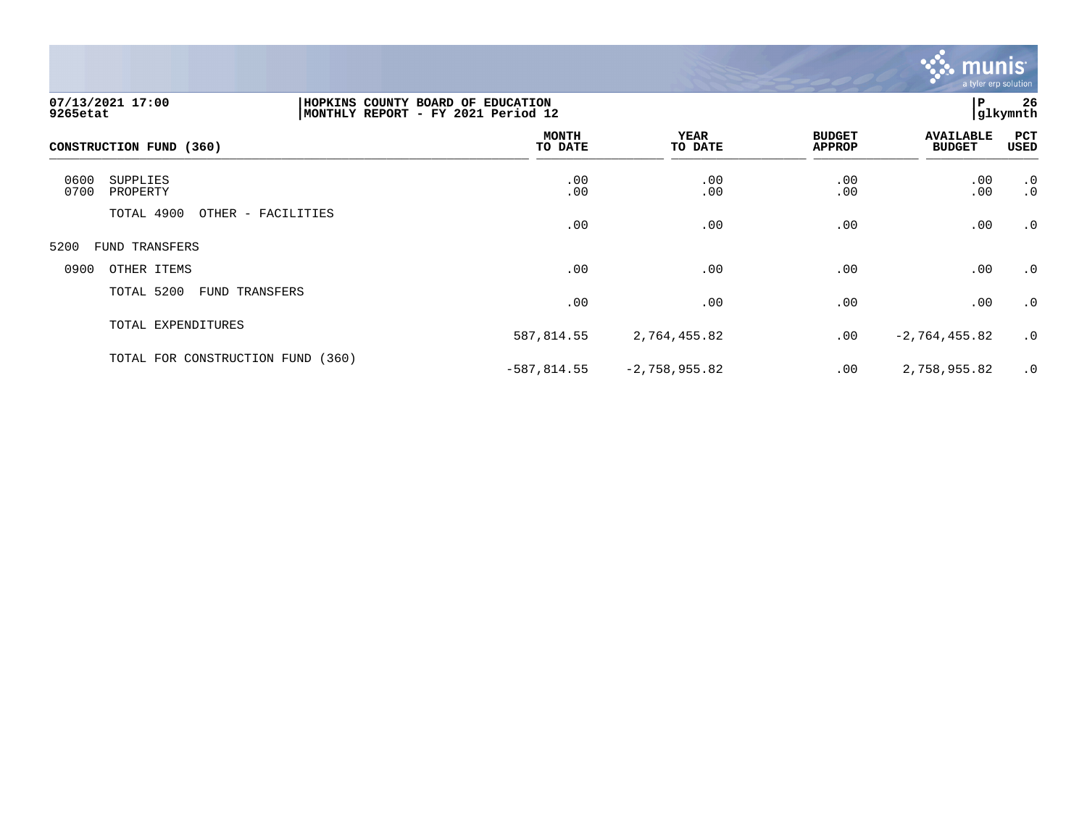

| 07/13/2021 17:00<br>9265etat         | HOPKINS COUNTY BOARD OF EDUCATION<br>MONTHLY REPORT - FY 2021 Period 12 |                         |                 |                                | P                                 | 26<br>glkymnth  |
|--------------------------------------|-------------------------------------------------------------------------|-------------------------|-----------------|--------------------------------|-----------------------------------|-----------------|
| CONSTRUCTION FUND (360)              |                                                                         | <b>MONTH</b><br>TO DATE | YEAR<br>TO DATE | <b>BUDGET</b><br><b>APPROP</b> | <b>AVAILABLE</b><br><b>BUDGET</b> | PCT<br>USED     |
| 0600<br>SUPPLIES<br>0700<br>PROPERTY |                                                                         | .00<br>.00              | .00<br>.00      | .00<br>.00                     | .00<br>.00                        | .0<br>$\cdot$ 0 |
| TOTAL 4900                           | OTHER - FACILITIES                                                      | .00                     | .00             | .00                            | .00                               | $\cdot$ 0       |
| 5200<br>FUND TRANSFERS               |                                                                         |                         |                 |                                |                                   |                 |
| 0900<br>OTHER ITEMS                  |                                                                         | .00                     | .00             | .00                            | .00                               | $\cdot$ 0       |
| TOTAL 5200                           | FUND TRANSFERS                                                          | .00                     | .00             | .00                            | .00                               | .0              |
| TOTAL EXPENDITURES                   |                                                                         | 587,814.55              | 2,764,455.82    | .00                            | $-2, 764, 455.82$                 | .0              |
| TOTAL FOR CONSTRUCTION FUND          | (360)                                                                   | $-587,814.55$           | $-2,758,955.82$ | .00                            | 2,758,955.82                      | .0              |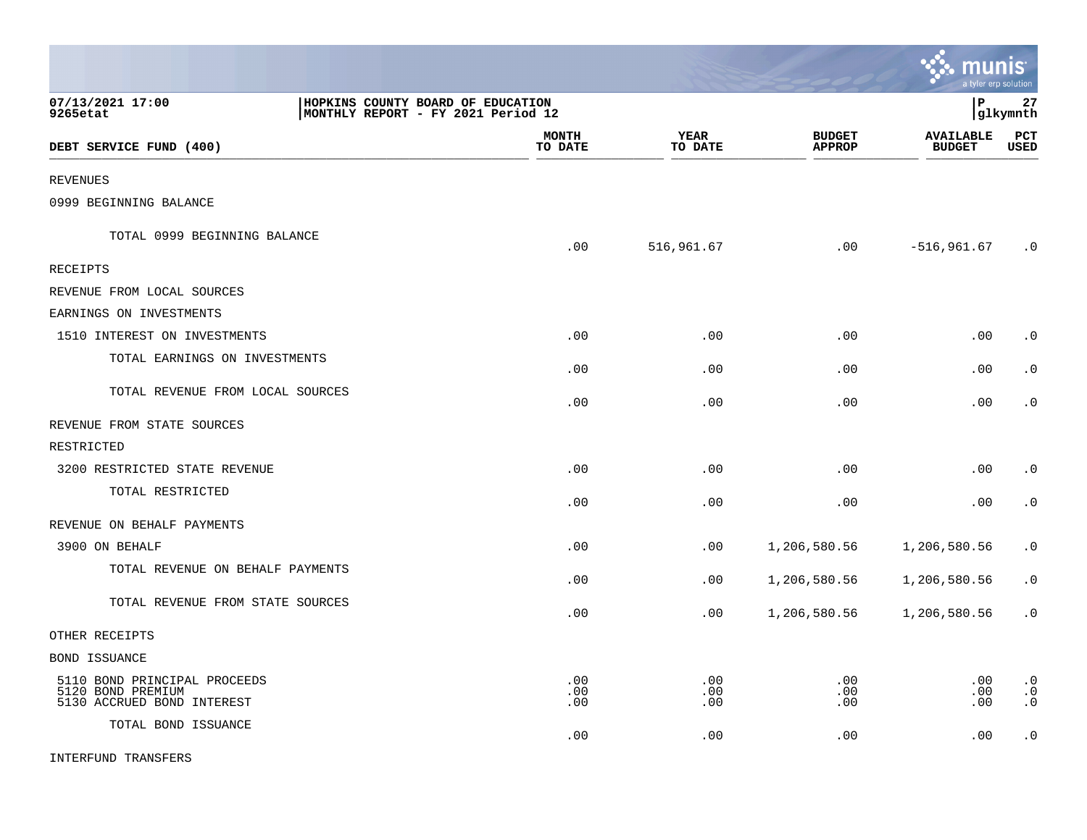|                                                                                 |                                                                         |                        |                                | munis                             | a tyler erp solution                |
|---------------------------------------------------------------------------------|-------------------------------------------------------------------------|------------------------|--------------------------------|-----------------------------------|-------------------------------------|
| 07/13/2021 17:00<br>9265etat                                                    | HOPKINS COUNTY BOARD OF EDUCATION<br>MONTHLY REPORT - FY 2021 Period 12 |                        |                                | l P                               | 27<br> glkymnth                     |
| DEBT SERVICE FUND (400)                                                         | <b>MONTH</b><br>TO DATE                                                 | <b>YEAR</b><br>TO DATE | <b>BUDGET</b><br><b>APPROP</b> | <b>AVAILABLE</b><br><b>BUDGET</b> | PCT<br><b>USED</b>                  |
| <b>REVENUES</b>                                                                 |                                                                         |                        |                                |                                   |                                     |
| 0999 BEGINNING BALANCE                                                          |                                                                         |                        |                                |                                   |                                     |
| TOTAL 0999 BEGINNING BALANCE                                                    | .00                                                                     | 516,961.67             | .00                            | $-516, 961.67$                    | $\cdot$ 0                           |
| <b>RECEIPTS</b>                                                                 |                                                                         |                        |                                |                                   |                                     |
| REVENUE FROM LOCAL SOURCES                                                      |                                                                         |                        |                                |                                   |                                     |
| EARNINGS ON INVESTMENTS                                                         |                                                                         |                        |                                |                                   |                                     |
| 1510 INTEREST ON INVESTMENTS                                                    | .00                                                                     | .00                    | .00                            | .00                               | $\cdot$ 0                           |
| TOTAL EARNINGS ON INVESTMENTS                                                   | .00                                                                     | .00                    | .00                            | .00                               | $\cdot$ 0                           |
| TOTAL REVENUE FROM LOCAL SOURCES                                                | .00                                                                     | .00                    | .00                            | .00                               | $\cdot$ 0                           |
| REVENUE FROM STATE SOURCES                                                      |                                                                         |                        |                                |                                   |                                     |
| RESTRICTED                                                                      |                                                                         |                        |                                |                                   |                                     |
| 3200 RESTRICTED STATE REVENUE                                                   | .00                                                                     | .00                    | .00                            | .00                               | $\cdot$ 0                           |
| TOTAL RESTRICTED                                                                | .00                                                                     | .00                    | .00                            | .00                               | $\cdot$ 0                           |
| REVENUE ON BEHALF PAYMENTS                                                      |                                                                         |                        |                                |                                   |                                     |
| 3900 ON BEHALF                                                                  | .00                                                                     | .00                    | 1,206,580.56                   | 1,206,580.56                      | $\cdot$ 0                           |
| TOTAL REVENUE ON BEHALF PAYMENTS                                                | .00                                                                     | .00                    | 1,206,580.56                   | 1,206,580.56                      | $\cdot$ 0                           |
| TOTAL REVENUE FROM STATE SOURCES                                                | .00                                                                     | .00                    | 1,206,580.56                   | 1,206,580.56                      | $\cdot$ 0                           |
| OTHER RECEIPTS                                                                  |                                                                         |                        |                                |                                   |                                     |
| <b>BOND ISSUANCE</b>                                                            |                                                                         |                        |                                |                                   |                                     |
| 5110 BOND PRINCIPAL PROCEEDS<br>5120 BOND PREMIUM<br>5130 ACCRUED BOND INTEREST | .00<br>.00<br>.00                                                       | .00<br>.00<br>.00      | .00<br>.00<br>.00              | .00<br>.00<br>.00                 | $\cdot$ 0<br>$\cdot$ 0<br>$\cdot$ 0 |
| TOTAL BOND ISSUANCE                                                             | .00                                                                     | .00                    | .00                            | .00                               | $\cdot$ 0                           |

 $\bullet$ 

INTERFUND TRANSFERS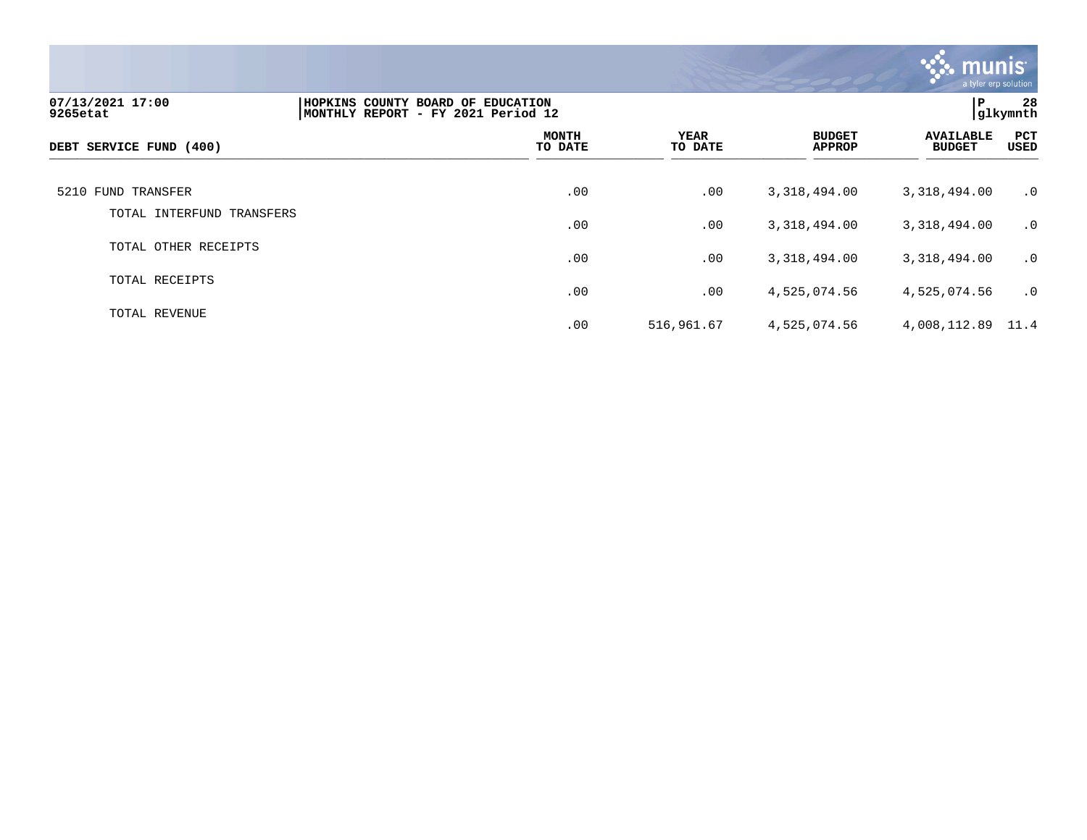

| 07/13/2021 17:00<br>9265etat | HOPKINS COUNTY BOARD OF EDUCATION<br>MONTHLY REPORT - FY 2021 Period 12 |                         |                 |                                | P                                 | 28<br>glkymnth |
|------------------------------|-------------------------------------------------------------------------|-------------------------|-----------------|--------------------------------|-----------------------------------|----------------|
| DEBT SERVICE FUND (400)      |                                                                         | <b>MONTH</b><br>TO DATE | YEAR<br>TO DATE | <b>BUDGET</b><br><b>APPROP</b> | <b>AVAILABLE</b><br><b>BUDGET</b> | PCT<br>USED    |
| 5210 FUND TRANSFER           |                                                                         | .00                     | .00             | 3,318,494.00                   | 3,318,494.00                      | $\cdot$ 0      |
| TOTAL INTERFUND TRANSFERS    |                                                                         | .00                     | .00             | 3,318,494.00                   | 3,318,494.00                      | $\cdot$ 0      |
| TOTAL OTHER RECEIPTS         |                                                                         | .00                     | .00             | 3, 318, 494.00                 | 3,318,494.00                      | $\cdot$ 0      |
| TOTAL RECEIPTS               |                                                                         | .00                     | .00             | 4,525,074.56                   | 4,525,074.56                      | $\cdot$ 0      |
| TOTAL REVENUE                |                                                                         | .00                     | 516,961.67      | 4,525,074.56                   | 4,008,112.89 11.4                 |                |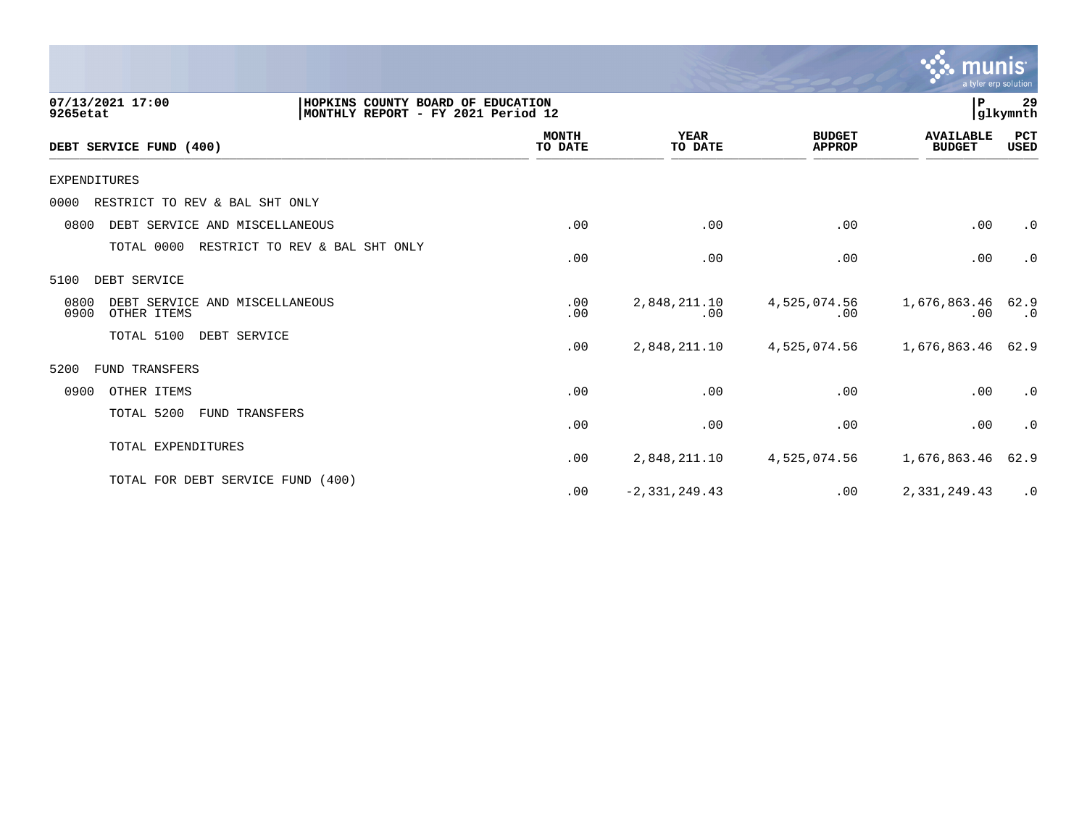|                                                                                                         |                         |                        |                                | munis<br>a tyler erp solution     |                   |
|---------------------------------------------------------------------------------------------------------|-------------------------|------------------------|--------------------------------|-----------------------------------|-------------------|
| 07/13/2021 17:00<br>HOPKINS COUNTY BOARD OF EDUCATION<br>MONTHLY REPORT - FY 2021 Period 12<br>9265etat |                         |                        |                                | P.                                | 29<br>glkymnth    |
| DEBT SERVICE FUND (400)                                                                                 | <b>MONTH</b><br>TO DATE | <b>YEAR</b><br>TO DATE | <b>BUDGET</b><br><b>APPROP</b> | <b>AVAILABLE</b><br><b>BUDGET</b> | PCT<br>USED       |
| <b>EXPENDITURES</b>                                                                                     |                         |                        |                                |                                   |                   |
| RESTRICT TO REV & BAL SHT ONLY<br>0000                                                                  |                         |                        |                                |                                   |                   |
| 0800<br>DEBT SERVICE AND MISCELLANEOUS                                                                  | .00                     | .00                    | .00                            | .00                               | $\cdot$ 0         |
| TOTAL 0000<br>RESTRICT TO REV & BAL SHT ONLY                                                            | .00                     | .00                    | .00                            | .00                               | $\cdot$ 0         |
| DEBT SERVICE<br>5100                                                                                    |                         |                        |                                |                                   |                   |
| 0800<br>DEBT SERVICE AND MISCELLANEOUS<br>0900<br>OTHER ITEMS                                           | .00<br>.00              | 2,848,211.10<br>.00    | 4,525,074.56<br>.00            | 1,676,863.46<br>.00               | 62.9<br>$\cdot$ 0 |
| TOTAL 5100<br>DEBT SERVICE                                                                              | .00                     | 2,848,211.10           | 4,525,074.56                   | 1,676,863.46                      | 62.9              |
| FUND TRANSFERS<br>5200                                                                                  |                         |                        |                                |                                   |                   |
| 0900<br>OTHER ITEMS                                                                                     | .00                     | .00                    | .00                            | .00                               | $\cdot$ 0         |
| TOTAL 5200<br>FUND TRANSFERS                                                                            | .00                     | .00                    | .00                            | .00                               | $\cdot$ 0         |
| TOTAL EXPENDITURES                                                                                      | .00                     | 2,848,211.10           | 4,525,074.56                   | 1,676,863.46                      | 62.9              |
| TOTAL FOR DEBT SERVICE FUND (400)                                                                       | .00                     | $-2, 331, 249.43$      | .00                            | 2,331,249.43                      | $\cdot$ 0         |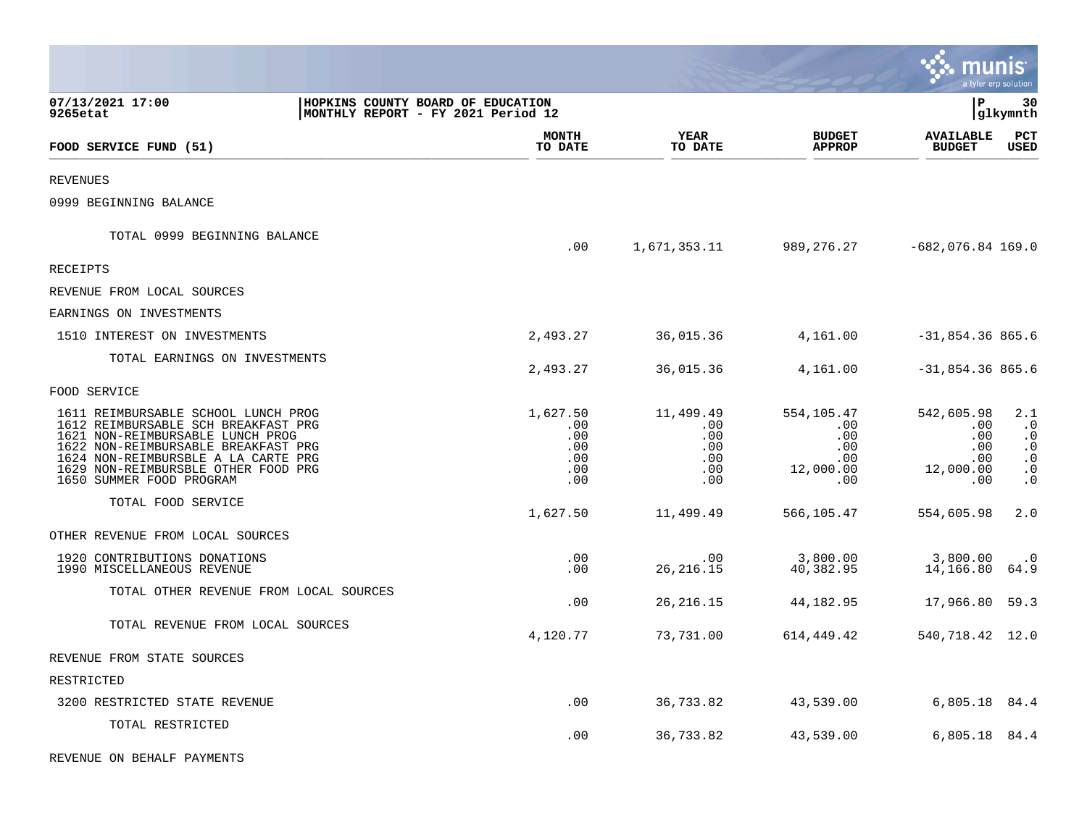|                                                                                                                                                                                                                                                                 |                                                                         |                                                    |                                                                    |                                                            | munis                                                                | a tyler erp solution                                                                           |
|-----------------------------------------------------------------------------------------------------------------------------------------------------------------------------------------------------------------------------------------------------------------|-------------------------------------------------------------------------|----------------------------------------------------|--------------------------------------------------------------------|------------------------------------------------------------|----------------------------------------------------------------------|------------------------------------------------------------------------------------------------|
| 07/13/2021 17:00<br>9265etat                                                                                                                                                                                                                                    | HOPKINS COUNTY BOARD OF EDUCATION<br>MONTHLY REPORT - FY 2021 Period 12 |                                                    |                                                                    |                                                            | l P                                                                  | 30<br> glkymnth                                                                                |
| FOOD SERVICE FUND (51)                                                                                                                                                                                                                                          |                                                                         | <b>MONTH</b><br>TO DATE                            | YEAR<br>TO DATE                                                    | <b>BUDGET</b><br><b>APPROP</b>                             | <b>AVAILABLE</b><br><b>BUDGET</b>                                    | PCT<br><b>USED</b>                                                                             |
| <b>REVENUES</b>                                                                                                                                                                                                                                                 |                                                                         |                                                    |                                                                    |                                                            |                                                                      |                                                                                                |
| 0999 BEGINNING BALANCE                                                                                                                                                                                                                                          |                                                                         |                                                    |                                                                    |                                                            |                                                                      |                                                                                                |
| TOTAL 0999 BEGINNING BALANCE                                                                                                                                                                                                                                    |                                                                         | .00                                                | 1,671,353.11                                                       |                                                            | 989, 276. 27 -682, 076. 84 169. 0                                    |                                                                                                |
| RECEIPTS                                                                                                                                                                                                                                                        |                                                                         |                                                    |                                                                    |                                                            |                                                                      |                                                                                                |
| REVENUE FROM LOCAL SOURCES                                                                                                                                                                                                                                      |                                                                         |                                                    |                                                                    |                                                            |                                                                      |                                                                                                |
| EARNINGS ON INVESTMENTS                                                                                                                                                                                                                                         |                                                                         |                                                    |                                                                    |                                                            |                                                                      |                                                                                                |
| 1510 INTEREST ON INVESTMENTS                                                                                                                                                                                                                                    |                                                                         | 2,493.27                                           | 36,015.36                                                          | 4,161.00                                                   | $-31,854.36865.6$                                                    |                                                                                                |
| TOTAL EARNINGS ON INVESTMENTS                                                                                                                                                                                                                                   |                                                                         | 2,493.27                                           | 36,015.36                                                          | 4,161.00                                                   | $-31,854.36865.6$                                                    |                                                                                                |
| FOOD SERVICE                                                                                                                                                                                                                                                    |                                                                         |                                                    |                                                                    |                                                            |                                                                      |                                                                                                |
| 1611 REIMBURSABLE SCHOOL LUNCH PROG<br>1612 REIMBURSABLE SCH BREAKFAST PRG<br>1621 NON-REIMBURSABLE LUNCH PROG<br>1622 NON-REIMBURSABLE BREAKFAST PRG<br>1624 NON-REIMBURSBLE A LA CARTE PRG<br>1629 NON-REIMBURSBLE OTHER FOOD PRG<br>1650 SUMMER FOOD PROGRAM |                                                                         | 1,627.50<br>.00<br>.00<br>.00<br>.00<br>.00<br>.00 | 11,499.49<br>$.00 \,$<br>$.00 \,$<br>.00<br>.00<br>$.00 \,$<br>.00 | 554,105.47<br>.00<br>.00<br>.00<br>.00<br>12,000.00<br>.00 | 542,605.98<br>$.00 \,$<br>.00<br>.00<br>.00<br>12,000.00<br>$.00 \,$ | 2.1<br>$\cdot$ 0<br>$\cdot$ 0<br>$\ddot{\phantom{0}}$ .<br>$\cdot$ 0<br>$\cdot$ 0<br>$\cdot$ 0 |
| TOTAL FOOD SERVICE                                                                                                                                                                                                                                              |                                                                         | 1,627.50                                           | 11,499.49                                                          | 566,105.47                                                 | 554,605.98                                                           | 2.0                                                                                            |
| OTHER REVENUE FROM LOCAL SOURCES                                                                                                                                                                                                                                |                                                                         |                                                    |                                                                    |                                                            |                                                                      |                                                                                                |
| 1920 CONTRIBUTIONS DONATIONS<br>1990 MISCELLANEOUS REVENUE                                                                                                                                                                                                      |                                                                         | .00<br>.00                                         | $.00 \,$<br>26, 216. 15                                            | 3,800.00<br>40,382.95                                      | 3,800.00<br>14,166.80 64.9                                           | $\cdot$ 0                                                                                      |
| TOTAL OTHER REVENUE FROM LOCAL SOURCES                                                                                                                                                                                                                          |                                                                         | .00                                                | 26, 216. 15                                                        | 44,182.95                                                  | 17,966.80 59.3                                                       |                                                                                                |
| TOTAL REVENUE FROM LOCAL SOURCES                                                                                                                                                                                                                                |                                                                         | 4,120.77                                           | 73,731.00                                                          | 614,449.42                                                 | 540, 718. 42 12. 0                                                   |                                                                                                |
| REVENUE FROM STATE SOURCES                                                                                                                                                                                                                                      |                                                                         |                                                    |                                                                    |                                                            |                                                                      |                                                                                                |
| RESTRICTED                                                                                                                                                                                                                                                      |                                                                         |                                                    |                                                                    |                                                            |                                                                      |                                                                                                |
| 3200 RESTRICTED STATE REVENUE                                                                                                                                                                                                                                   |                                                                         | .00                                                | 36,733.82                                                          | 43,539.00                                                  | 6,805.18 84.4                                                        |                                                                                                |
| TOTAL RESTRICTED                                                                                                                                                                                                                                                |                                                                         | .00                                                | 36,733.82                                                          | 43,539.00                                                  | 6,805.18 84.4                                                        |                                                                                                |
| REVENUE ON BEHALF PAYMENTS                                                                                                                                                                                                                                      |                                                                         |                                                    |                                                                    |                                                            |                                                                      |                                                                                                |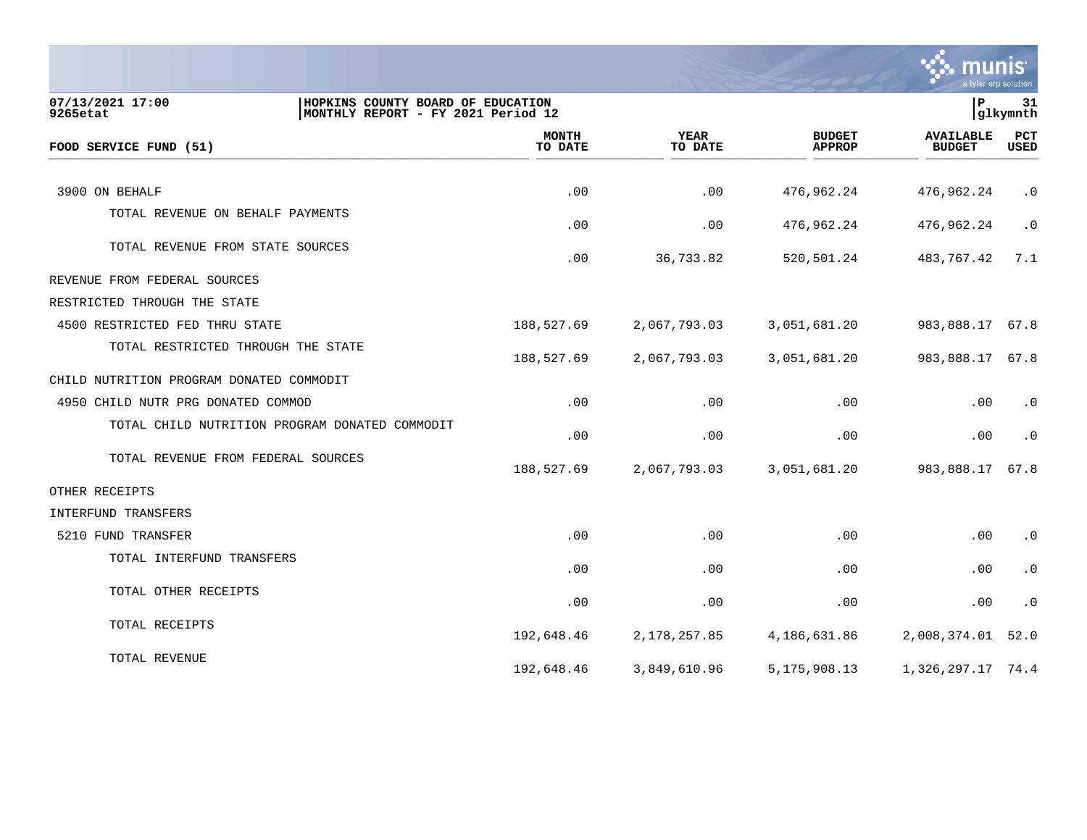

| 07/13/2021 17:00<br>HOPKINS COUNTY BOARD OF EDUCATION<br>MONTHLY REPORT - FY 2021 Period 12<br>9265etat |                         |                        |                                | P                                 | 31<br>glkymnth |
|---------------------------------------------------------------------------------------------------------|-------------------------|------------------------|--------------------------------|-----------------------------------|----------------|
| FOOD SERVICE FUND (51)                                                                                  | <b>MONTH</b><br>TO DATE | <b>YEAR</b><br>TO DATE | <b>BUDGET</b><br><b>APPROP</b> | <b>AVAILABLE</b><br><b>BUDGET</b> | PCT<br>USED    |
|                                                                                                         |                         |                        |                                |                                   |                |
| 3900 ON BEHALF                                                                                          | .00                     | .00                    | 476,962.24                     | 476,962.24                        | $\cdot$ 0      |
| TOTAL REVENUE ON BEHALF PAYMENTS                                                                        | .00                     | .00                    | 476,962.24                     | 476,962.24                        | $\cdot$ 0      |
| TOTAL REVENUE FROM STATE SOURCES                                                                        | .00                     | 36,733.82              | 520,501.24                     | 483,767.42                        | 7.1            |
| REVENUE FROM FEDERAL SOURCES                                                                            |                         |                        |                                |                                   |                |
| RESTRICTED THROUGH THE STATE                                                                            |                         |                        |                                |                                   |                |
| 4500 RESTRICTED FED THRU STATE                                                                          | 188,527.69              | 2,067,793.03           | 3,051,681.20                   | 983,888.17 67.8                   |                |
| TOTAL RESTRICTED THROUGH THE STATE                                                                      | 188,527.69              | 2,067,793.03           | 3,051,681.20                   | 983,888.17 67.8                   |                |
| CHILD NUTRITION PROGRAM DONATED COMMODIT                                                                |                         |                        |                                |                                   |                |
| 4950 CHILD NUTR PRG DONATED COMMOD                                                                      | .00                     | .00                    | .00                            | .00                               | $\cdot$ 0      |
| TOTAL CHILD NUTRITION PROGRAM DONATED COMMODIT                                                          | .00                     | .00                    | .00                            | .00                               | $\cdot$ 0      |
| TOTAL REVENUE FROM FEDERAL SOURCES                                                                      | 188,527.69              | 2,067,793.03           | 3,051,681.20                   | 983,888.17                        | 67.8           |
| OTHER RECEIPTS                                                                                          |                         |                        |                                |                                   |                |
| INTERFUND TRANSFERS                                                                                     |                         |                        |                                |                                   |                |
| 5210 FUND TRANSFER                                                                                      | .00                     | .00                    | .00                            | .00                               | $\cdot$ 0      |
| TOTAL INTERFUND TRANSFERS                                                                               | .00                     | .00                    | .00                            | $.00 \,$                          | $\cdot$ 0      |
| TOTAL OTHER RECEIPTS                                                                                    | .00                     | .00                    | .00                            | .00                               | $\cdot$ 0      |
| TOTAL RECEIPTS                                                                                          | 192,648.46              | 2,178,257.85           | 4,186,631.86                   | 2,008,374.01                      | 52.0           |
| TOTAL REVENUE                                                                                           | 192,648.46              | 3,849,610.96           | 5, 175, 908. 13                | 1,326,297.17 74.4                 |                |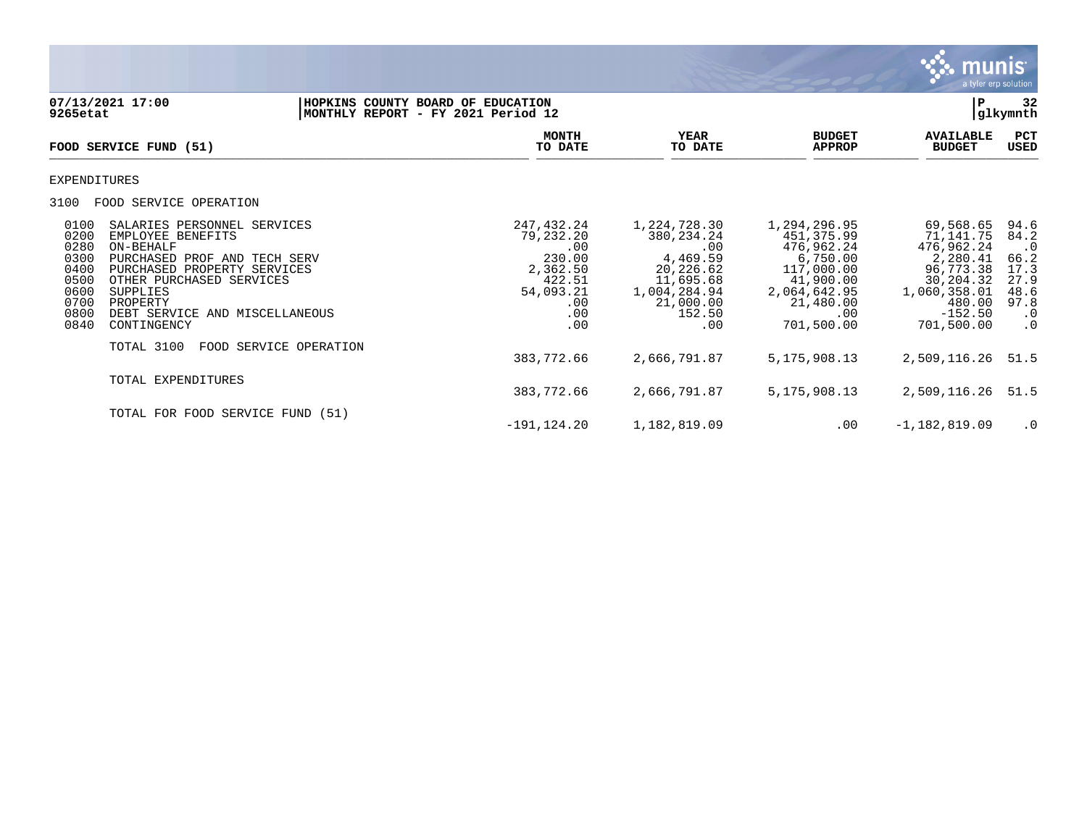

| 9265etat                                                                     | 07/13/2021 17:00                                                                                                                                                                                                                     | HOPKINS COUNTY BOARD OF EDUCATION<br>MONTHLY REPORT - FY 2021 Period 12 |                                                                                                  |                                                                                                                         |                                                                                                                                   | P                                                                                                                               | 32<br>glkymnth                                                                              |
|------------------------------------------------------------------------------|--------------------------------------------------------------------------------------------------------------------------------------------------------------------------------------------------------------------------------------|-------------------------------------------------------------------------|--------------------------------------------------------------------------------------------------|-------------------------------------------------------------------------------------------------------------------------|-----------------------------------------------------------------------------------------------------------------------------------|---------------------------------------------------------------------------------------------------------------------------------|---------------------------------------------------------------------------------------------|
|                                                                              | FOOD SERVICE FUND (51)                                                                                                                                                                                                               |                                                                         | <b>MONTH</b><br>TO DATE                                                                          | YEAR<br>TO DATE                                                                                                         | <b>BUDGET</b><br><b>APPROP</b>                                                                                                    | <b>AVAILABLE</b><br><b>BUDGET</b>                                                                                               | PCT<br>USED                                                                                 |
| EXPENDITURES                                                                 |                                                                                                                                                                                                                                      |                                                                         |                                                                                                  |                                                                                                                         |                                                                                                                                   |                                                                                                                                 |                                                                                             |
| 3100                                                                         | FOOD SERVICE OPERATION                                                                                                                                                                                                               |                                                                         |                                                                                                  |                                                                                                                         |                                                                                                                                   |                                                                                                                                 |                                                                                             |
| 0100<br>0200<br>0280<br>0300<br>0400<br>0500<br>0600<br>0700<br>0800<br>0840 | SALARIES PERSONNEL SERVICES<br>EMPLOYEE BENEFITS<br>ON-BEHALF<br>PURCHASED PROF AND TECH SERV<br>PURCHASED PROPERTY SERVICES<br>OTHER PURCHASED SERVICES<br>SUPPLIES<br>PROPERTY<br>DEBT SERVICE<br>AND MISCELLANEOUS<br>CONTINGENCY |                                                                         | 247,432.24<br>79,232.20<br>.00<br>230.00<br>2,362.50<br>422.51<br>54,093.21<br>.00<br>.00<br>.00 | 1,224,728.30<br>380, 234. 24<br>.00<br>4,469.59<br>20,226.62<br>11,695.68<br>1,004,284.94<br>21,000.00<br>152.50<br>.00 | 1,294,296.95<br>451,375.99<br>476,962.24<br>6,750.00<br>117,000.00<br>41,900.00<br>2,064,642.95<br>21,480.00<br>.00<br>701,500.00 | 69,568.65<br>71,141.75<br>476,962.24<br>2,280.41<br>96,773.38<br>30,204.32<br>1,060,358.01<br>480.00<br>$-152.50$<br>701,500.00 | 94.6<br>84.2<br>$\cdot$ 0<br>66.2<br>17.3<br>27.9<br>48.6<br>97.8<br>$\cdot$ 0<br>$\cdot$ 0 |
|                                                                              | TOTAL 3100<br>FOOD SERVICE OPERATION                                                                                                                                                                                                 |                                                                         | 383,772.66                                                                                       | 2,666,791.87                                                                                                            | 5, 175, 908. 13                                                                                                                   | 2,509,116.26                                                                                                                    | 51.5                                                                                        |
|                                                                              | TOTAL EXPENDITURES                                                                                                                                                                                                                   |                                                                         | 383,772.66                                                                                       | 2,666,791.87                                                                                                            | 5, 175, 908. 13                                                                                                                   | 2,509,116.26                                                                                                                    | 51.5                                                                                        |
|                                                                              | TOTAL FOR FOOD SERVICE FUND (51)                                                                                                                                                                                                     |                                                                         | $-191, 124.20$                                                                                   | 1,182,819.09                                                                                                            | $.00 \,$                                                                                                                          | $-1,182,819.09$                                                                                                                 | $\cdot$ 0                                                                                   |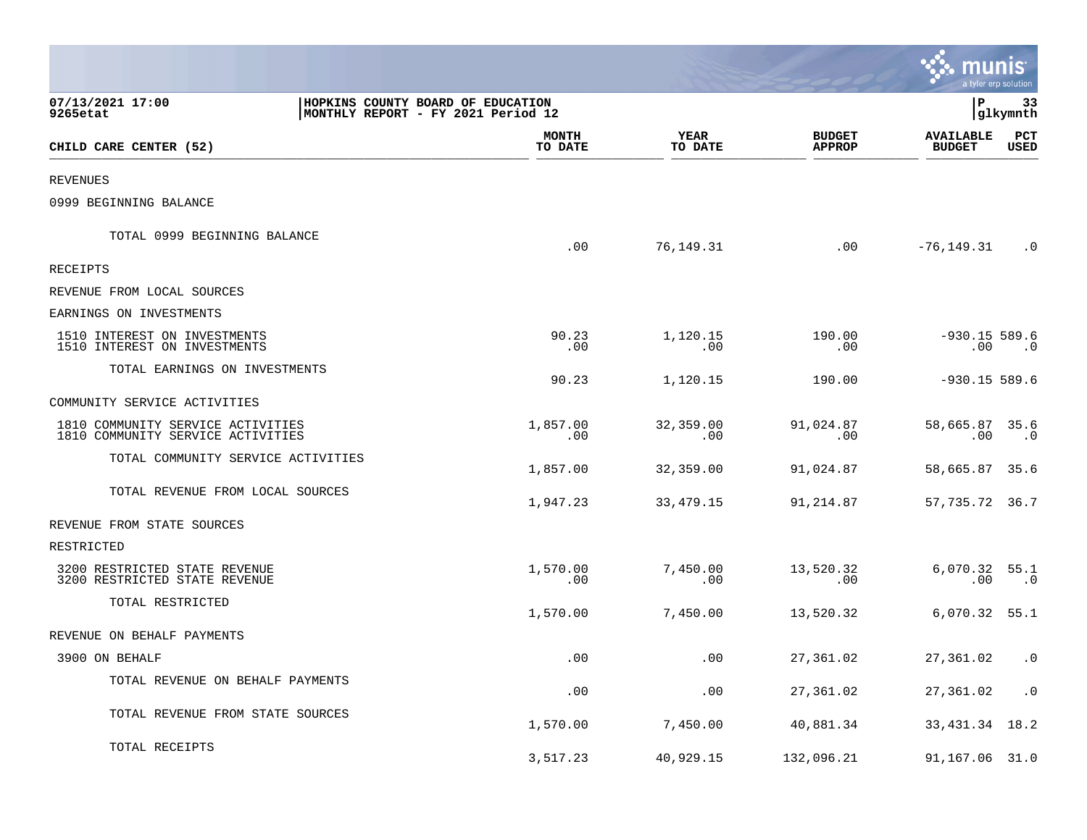|                                                                                                         |                         |                        |                                | mul                               | a tyler erp solution   |
|---------------------------------------------------------------------------------------------------------|-------------------------|------------------------|--------------------------------|-----------------------------------|------------------------|
| 07/13/2021 17:00<br>HOPKINS COUNTY BOARD OF EDUCATION<br>MONTHLY REPORT - FY 2021 Period 12<br>9265etat |                         |                        |                                | P                                 | 33<br> glkymnth        |
| CHILD CARE CENTER (52)                                                                                  | <b>MONTH</b><br>TO DATE | <b>YEAR</b><br>TO DATE | <b>BUDGET</b><br><b>APPROP</b> | <b>AVAILABLE</b><br><b>BUDGET</b> | PCT<br>USED            |
| <b>REVENUES</b>                                                                                         |                         |                        |                                |                                   |                        |
| 0999 BEGINNING BALANCE                                                                                  |                         |                        |                                |                                   |                        |
| TOTAL 0999 BEGINNING BALANCE                                                                            | .00                     | 76,149.31              | .00                            | $-76, 149.31$                     | $\cdot$ 0              |
| RECEIPTS                                                                                                |                         |                        |                                |                                   |                        |
| REVENUE FROM LOCAL SOURCES                                                                              |                         |                        |                                |                                   |                        |
| EARNINGS ON INVESTMENTS                                                                                 |                         |                        |                                |                                   |                        |
| 1510 INTEREST ON INVESTMENTS<br>1510 INTEREST ON INVESTMENTS                                            | 90.23<br>.00            | 1,120.15<br>.00        | 190.00<br>.00                  | $-930.15$ 589.6<br>$.00 \,$       | $\cdot$ 0              |
| TOTAL EARNINGS ON INVESTMENTS                                                                           | 90.23                   | 1,120.15               | 190.00                         | $-930.15$ 589.6                   |                        |
| COMMUNITY SERVICE ACTIVITIES                                                                            |                         |                        |                                |                                   |                        |
| 1810 COMMUNITY SERVICE ACTIVITIES<br>1810 COMMUNITY SERVICE ACTIVITIES                                  | 1,857.00<br>.00         | 32,359.00<br>.00       | 91,024.87<br>.00               | 58,665.87 35.6<br>.00             | $\cdot$ . 0            |
| TOTAL COMMUNITY SERVICE ACTIVITIES                                                                      | 1,857.00                | 32,359.00              | 91,024.87                      | 58,665.87 35.6                    |                        |
| TOTAL REVENUE FROM LOCAL SOURCES                                                                        | 1,947.23                | 33,479.15              | 91,214.87                      | 57, 735. 72 36. 7                 |                        |
| REVENUE FROM STATE SOURCES                                                                              |                         |                        |                                |                                   |                        |
| RESTRICTED                                                                                              |                         |                        |                                |                                   |                        |
| 3200 RESTRICTED STATE REVENUE<br>3200 RESTRICTED STATE REVENUE                                          | 1,570.00<br>.00         | 7,450.00<br>.00        | 13,520.32<br>$.00 \,$          | $6,070.32$ 55.1<br>.00            | $\cdot$ 0              |
| TOTAL RESTRICTED                                                                                        | 1,570.00                | 7,450.00               | 13,520.32                      | 6,070.32 55.1                     |                        |
| REVENUE ON BEHALF PAYMENTS                                                                              |                         |                        |                                |                                   |                        |
| 3900 ON BEHALF                                                                                          | .00                     | .00                    | 27,361.02                      | 27,361.02 .0                      |                        |
| TOTAL REVENUE ON BEHALF PAYMENTS                                                                        | .00                     | .00                    | 27,361.02                      | 27,361.02                         | $\boldsymbol{\cdot}$ 0 |
| TOTAL REVENUE FROM STATE SOURCES                                                                        | 1,570.00                | 7,450.00               | 40,881.34                      | 33, 431. 34 18. 2                 |                        |
| TOTAL RECEIPTS                                                                                          | 3,517.23                | 40,929.15              | 132,096.21                     | 91,167.06 31.0                    |                        |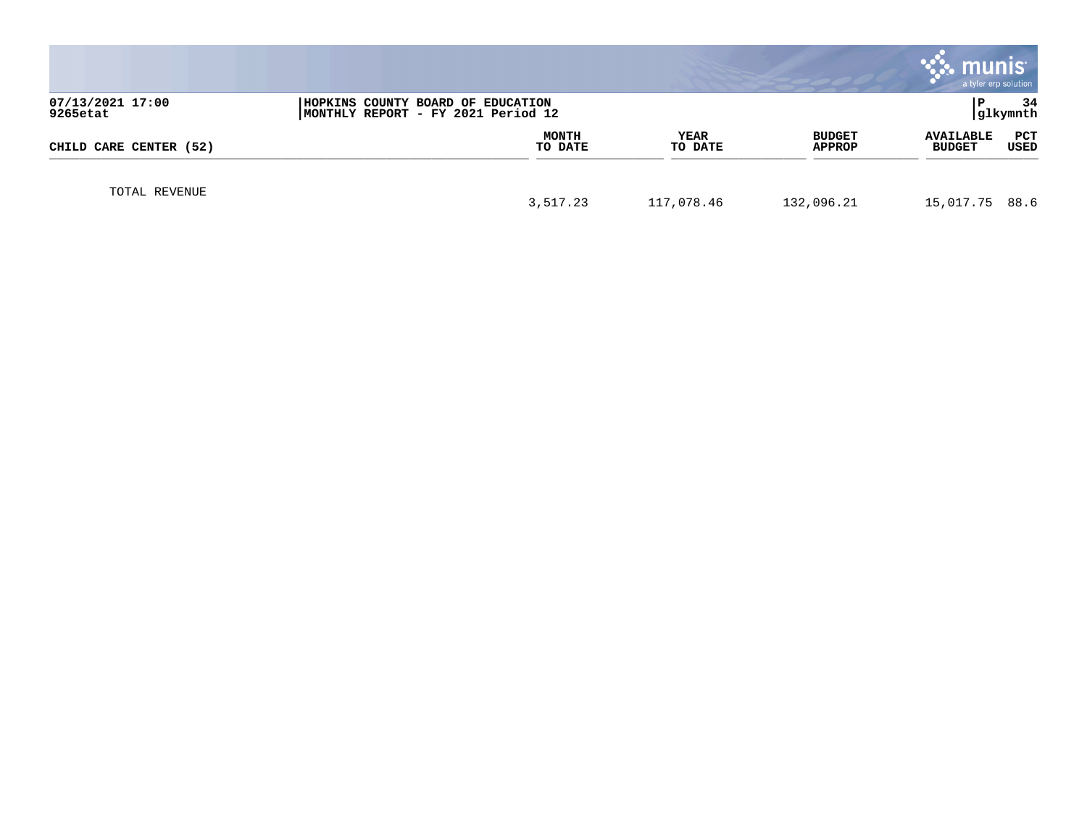|                              |                                                                         |                 |                         | <b>munis</b><br>a tyler erp solution |                |
|------------------------------|-------------------------------------------------------------------------|-----------------|-------------------------|--------------------------------------|----------------|
| 07/13/2021 17:00<br>9265etat | HOPKINS COUNTY BOARD OF EDUCATION<br>MONTHLY REPORT - FY 2021 Period 12 |                 |                         |                                      | 34<br>glkymnth |
| CHILD CARE CENTER (52)       | <b>MONTH</b><br>TO DATE                                                 | YEAR<br>TO DATE | <b>BUDGET</b><br>APPROP | <b>AVAILABLE</b><br><b>BUDGET</b>    | PCT<br>USED    |
| TOTAL REVENUE                | 3,517.23                                                                | 117,078.46      | 132,096.21              | 15,017.75 88.6                       |                |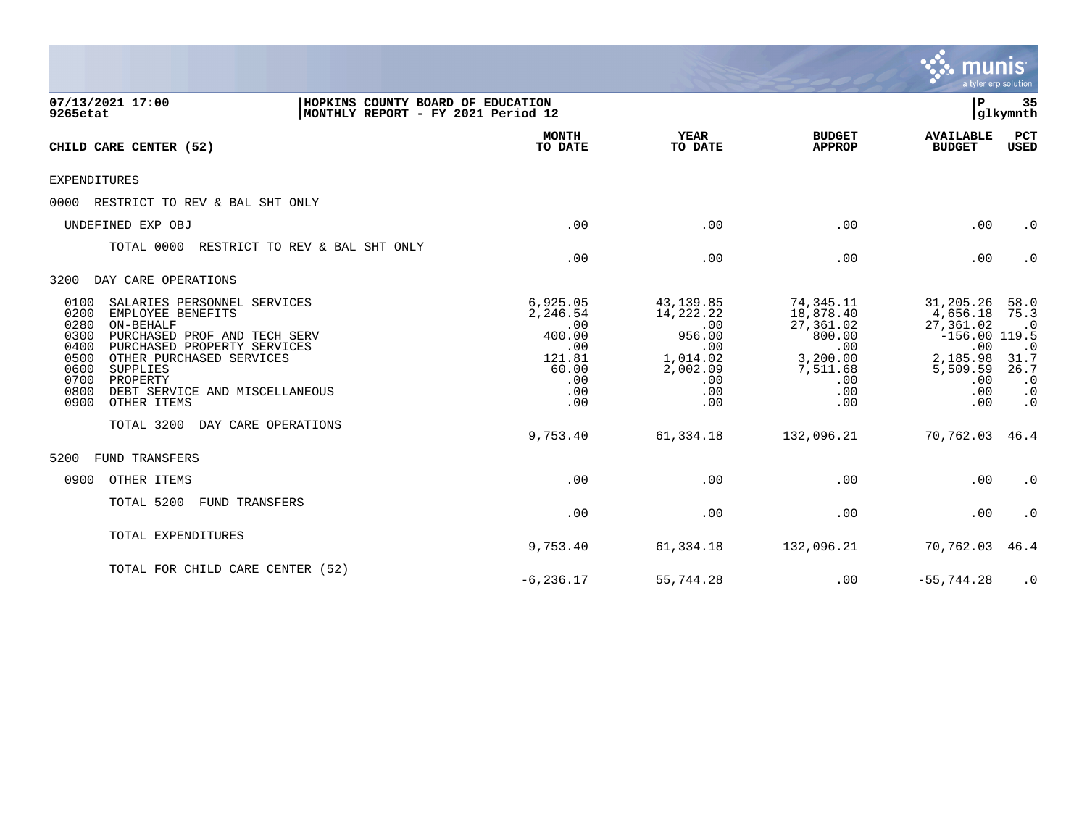|                                                                                                                                                                                                                                                                                                                   |                                                                                      |                                                                                             |                                                                                                   | munis<br>a tyler erp solution                                                                             |                                                                                               |
|-------------------------------------------------------------------------------------------------------------------------------------------------------------------------------------------------------------------------------------------------------------------------------------------------------------------|--------------------------------------------------------------------------------------|---------------------------------------------------------------------------------------------|---------------------------------------------------------------------------------------------------|-----------------------------------------------------------------------------------------------------------|-----------------------------------------------------------------------------------------------|
| 07/13/2021 17:00<br>HOPKINS COUNTY BOARD OF EDUCATION<br>MONTHLY REPORT - FY 2021 Period 12<br>9265etat                                                                                                                                                                                                           |                                                                                      |                                                                                             |                                                                                                   | IΡ                                                                                                        | 35<br>glkymnth                                                                                |
| CHILD CARE CENTER (52)                                                                                                                                                                                                                                                                                            | <b>MONTH</b><br>TO DATE                                                              | <b>YEAR</b><br>TO DATE                                                                      | <b>BUDGET</b><br><b>APPROP</b>                                                                    | <b>AVAILABLE</b><br><b>BUDGET</b>                                                                         | <b>PCT</b><br>USED                                                                            |
| EXPENDITURES                                                                                                                                                                                                                                                                                                      |                                                                                      |                                                                                             |                                                                                                   |                                                                                                           |                                                                                               |
| RESTRICT TO REV & BAL SHT ONLY<br>0000                                                                                                                                                                                                                                                                            |                                                                                      |                                                                                             |                                                                                                   |                                                                                                           |                                                                                               |
| UNDEFINED EXP OBJ                                                                                                                                                                                                                                                                                                 | .00                                                                                  | .00                                                                                         | .00                                                                                               | .00                                                                                                       | $\cdot$ 0                                                                                     |
| TOTAL 0000<br>RESTRICT TO REV & BAL SHT ONLY                                                                                                                                                                                                                                                                      | .00                                                                                  | .00                                                                                         | .00                                                                                               | .00                                                                                                       | $\cdot$ 0                                                                                     |
| DAY CARE OPERATIONS<br>3200                                                                                                                                                                                                                                                                                       |                                                                                      |                                                                                             |                                                                                                   |                                                                                                           |                                                                                               |
| SALARIES PERSONNEL SERVICES<br>0100<br>0200<br>EMPLOYEE BENEFITS<br>0280<br>ON-BEHALF<br>0300<br>PURCHASED PROF AND TECH SERV<br>0400<br>PURCHASED PROPERTY SERVICES<br>0500<br>OTHER PURCHASED SERVICES<br>0600<br>SUPPLIES<br>0700<br>PROPERTY<br>0800<br>DEBT SERVICE AND MISCELLANEOUS<br>0900<br>OTHER ITEMS | 6,925.05<br>2,246.54<br>.00<br>400.00<br>.00<br>121.81<br>60.00<br>.00<br>.00<br>.00 | 43,139.85<br>14,222.22<br>.00<br>956.00<br>.00<br>1,014.02<br>2,002.09<br>.00<br>.00<br>.00 | 74,345.11<br>18,878.40<br>27,361.02<br>800.00<br>.00<br>3,200.00<br>7,511.68<br>.00<br>.00<br>.00 | 31,205.26<br>4,656.18<br>27,361.02<br>$-156.00$ 119.5<br>.00<br>2,185.98<br>5,509.59<br>.00<br>.00<br>.00 | 58.0<br>75.3<br>$\cdot$ 0<br>$\cdot$ 0<br>31.7<br>26.7<br>$\cdot$ 0<br>$\cdot$ 0<br>$\cdot$ 0 |
| DAY CARE OPERATIONS<br>TOTAL 3200                                                                                                                                                                                                                                                                                 | 9,753.40                                                                             | 61,334.18                                                                                   | 132,096.21                                                                                        | 70,762.03                                                                                                 | 46.4                                                                                          |
| FUND TRANSFERS<br>5200                                                                                                                                                                                                                                                                                            |                                                                                      |                                                                                             |                                                                                                   |                                                                                                           |                                                                                               |
| 0900<br>OTHER ITEMS                                                                                                                                                                                                                                                                                               | .00                                                                                  | .00                                                                                         | .00                                                                                               | .00                                                                                                       | $\cdot$ 0                                                                                     |
| TOTAL 5200<br>FUND TRANSFERS                                                                                                                                                                                                                                                                                      | .00                                                                                  | .00                                                                                         | .00                                                                                               | .00                                                                                                       | $\cdot$ 0                                                                                     |
| TOTAL EXPENDITURES                                                                                                                                                                                                                                                                                                | 9,753.40                                                                             | 61,334.18                                                                                   | 132,096.21                                                                                        | 70,762.03                                                                                                 | 46.4                                                                                          |
| TOTAL FOR CHILD CARE CENTER (52)                                                                                                                                                                                                                                                                                  | $-6, 236.17$                                                                         | 55,744.28                                                                                   | .00                                                                                               | $-55,744.28$                                                                                              | $\cdot$ 0                                                                                     |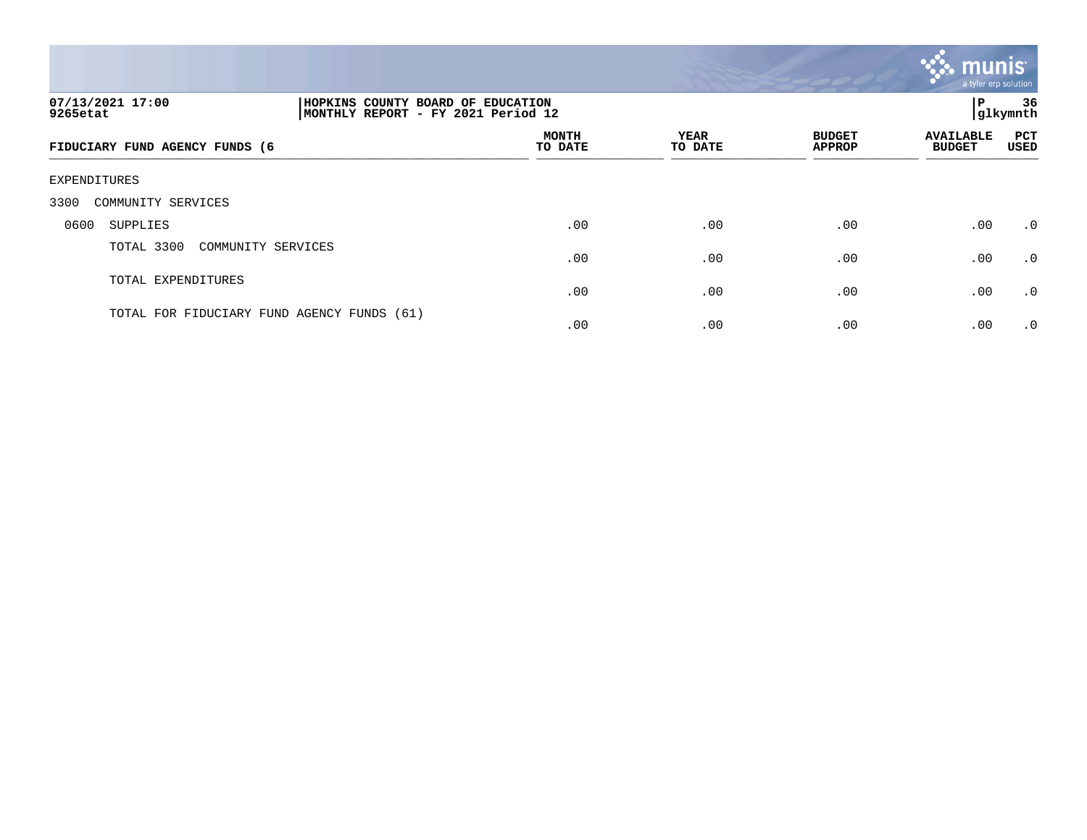

| 07/13/2021 17:00<br>9265etat               | HOPKINS COUNTY BOARD OF EDUCATION<br>MONTHLY REPORT - FY 2021 Period 12 |                         |                        |                                | ΙP                                | 36<br> glkymnth |
|--------------------------------------------|-------------------------------------------------------------------------|-------------------------|------------------------|--------------------------------|-----------------------------------|-----------------|
| FIDUCIARY FUND AGENCY FUNDS (6             |                                                                         | <b>MONTH</b><br>TO DATE | <b>YEAR</b><br>TO DATE | <b>BUDGET</b><br><b>APPROP</b> | <b>AVAILABLE</b><br><b>BUDGET</b> | PCT<br>USED     |
| EXPENDITURES                               |                                                                         |                         |                        |                                |                                   |                 |
| COMMUNITY SERVICES<br>3300                 |                                                                         |                         |                        |                                |                                   |                 |
| 0600<br>SUPPLIES                           |                                                                         | .00                     | .00                    | .00                            | .00                               | .0              |
| TOTAL 3300<br>COMMUNITY SERVICES           |                                                                         | .00                     | .00                    | .00                            | .00                               | $\cdot$ 0       |
| TOTAL EXPENDITURES                         |                                                                         | .00                     | .00                    | .00                            | .00                               | .0              |
| TOTAL FOR FIDUCIARY FUND AGENCY FUNDS (61) |                                                                         | .00                     | .00                    | .00                            | .00                               | $\cdot$ 0       |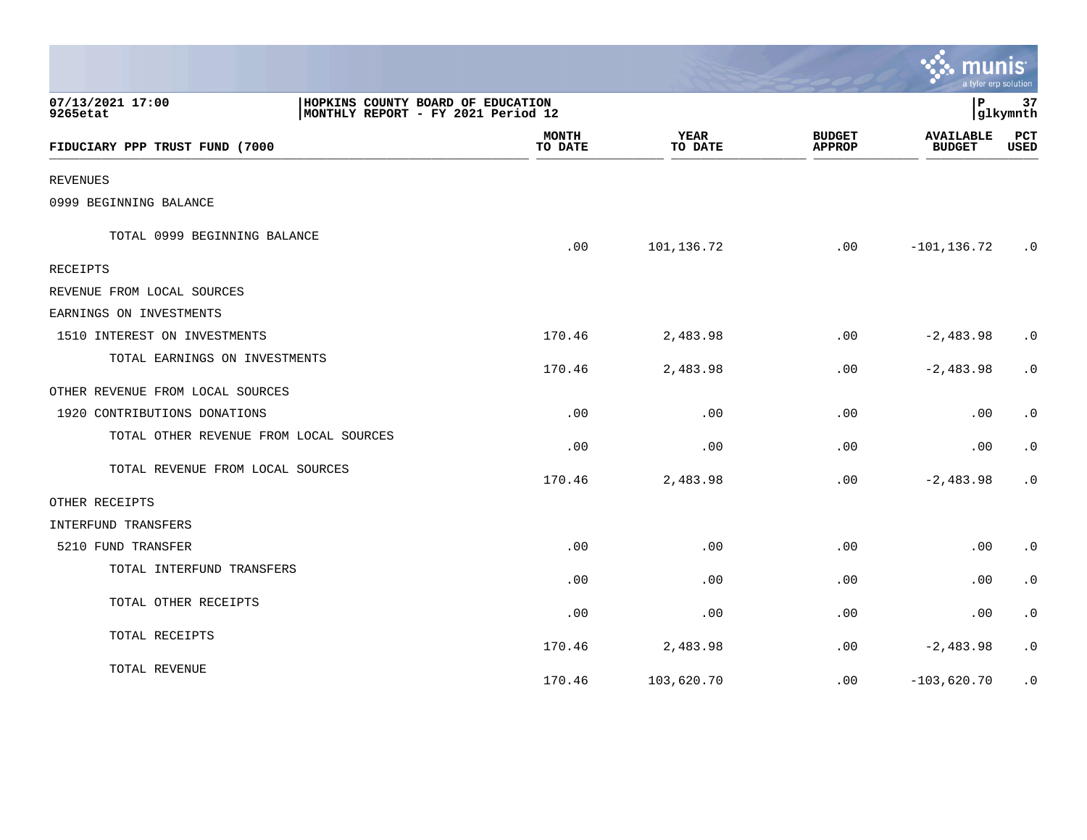|                                        |                                                                         |                        |                                | munis<br>a tyler erp solution     |                        |
|----------------------------------------|-------------------------------------------------------------------------|------------------------|--------------------------------|-----------------------------------|------------------------|
| 07/13/2021 17:00<br>9265etat           | HOPKINS COUNTY BOARD OF EDUCATION<br>MONTHLY REPORT - FY 2021 Period 12 |                        |                                | l P                               | 37<br>glkymnth         |
| FIDUCIARY PPP TRUST FUND (7000         | <b>MONTH</b><br>TO DATE                                                 | <b>YEAR</b><br>TO DATE | <b>BUDGET</b><br><b>APPROP</b> | <b>AVAILABLE</b><br><b>BUDGET</b> | PCT<br>USED            |
| <b>REVENUES</b>                        |                                                                         |                        |                                |                                   |                        |
| 0999 BEGINNING BALANCE                 |                                                                         |                        |                                |                                   |                        |
| TOTAL 0999 BEGINNING BALANCE           | .00                                                                     | 101,136.72             | .00                            | $-101, 136.72$                    | $\cdot$ 0              |
| <b>RECEIPTS</b>                        |                                                                         |                        |                                |                                   |                        |
| REVENUE FROM LOCAL SOURCES             |                                                                         |                        |                                |                                   |                        |
| EARNINGS ON INVESTMENTS                |                                                                         |                        |                                |                                   |                        |
| 1510 INTEREST ON INVESTMENTS           | 170.46                                                                  | 2,483.98               | .00                            | $-2,483.98$                       | $\cdot$ 0              |
| TOTAL EARNINGS ON INVESTMENTS          | 170.46                                                                  | 2,483.98               | .00                            | $-2,483.98$                       | $\cdot$ 0              |
| OTHER REVENUE FROM LOCAL SOURCES       |                                                                         |                        |                                |                                   |                        |
| 1920 CONTRIBUTIONS DONATIONS           | .00                                                                     | .00                    | .00                            | .00                               | $\cdot$ 0              |
| TOTAL OTHER REVENUE FROM LOCAL SOURCES | .00                                                                     | .00                    | .00                            | .00                               | $\boldsymbol{\cdot}$ 0 |
| TOTAL REVENUE FROM LOCAL SOURCES       | 170.46                                                                  | 2,483.98               | .00                            | $-2,483.98$                       | $\cdot$ 0              |
| OTHER RECEIPTS                         |                                                                         |                        |                                |                                   |                        |
| INTERFUND TRANSFERS                    |                                                                         |                        |                                |                                   |                        |
| 5210 FUND TRANSFER                     | .00                                                                     | .00                    | .00                            | .00                               | $\cdot$ 0              |
| TOTAL INTERFUND TRANSFERS              | .00                                                                     | .00                    | .00                            | .00                               | $\cdot$ 0              |
| TOTAL OTHER RECEIPTS                   | .00                                                                     | .00                    | .00.                           | $.00 \,$                          | $\cdot$ 0              |
| TOTAL RECEIPTS                         | 170.46                                                                  | 2,483.98               | .00                            | $-2,483.98$                       | $\cdot$ 0              |
| TOTAL REVENUE                          | 170.46                                                                  | 103,620.70             | .00                            | $-103,620.70$                     | $\cdot$ 0              |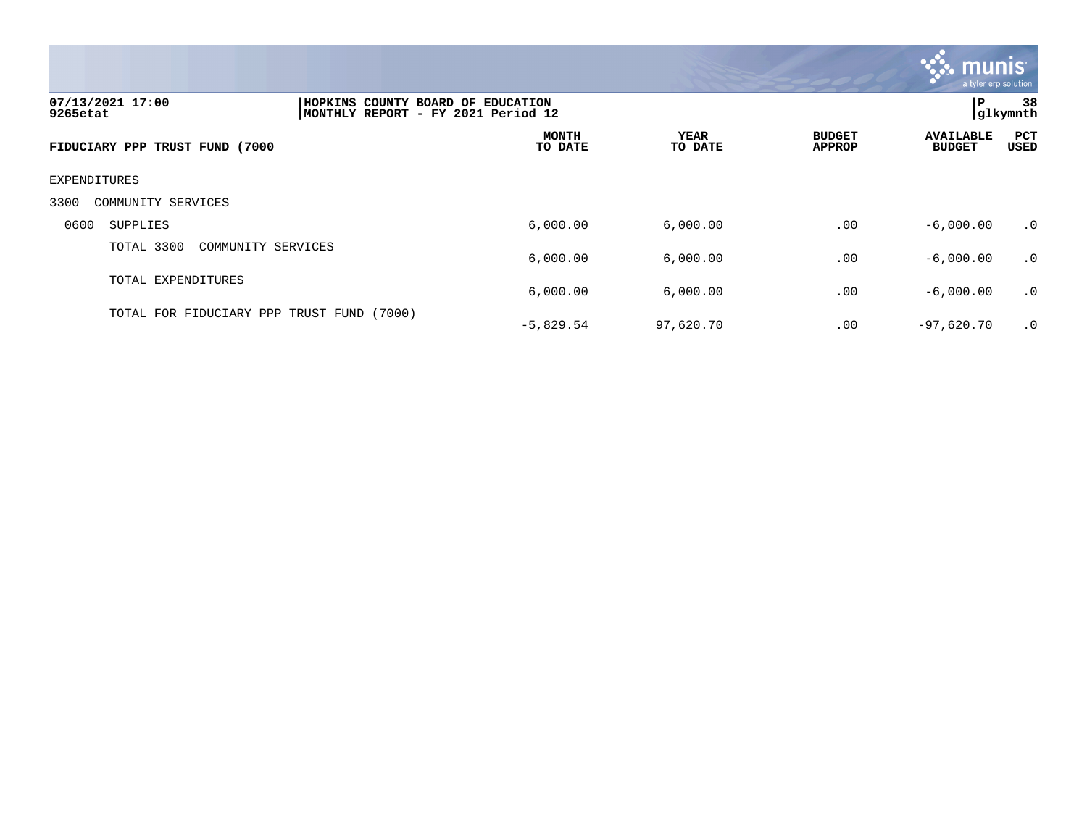

| 07/13/2021 17:00<br>9265etat              | HOPKINS COUNTY BOARD OF EDUCATION<br>MONTHLY REPORT - FY 2021 Period 12 |                         |                 |                                | l P                               | 38<br> glkymnth      |
|-------------------------------------------|-------------------------------------------------------------------------|-------------------------|-----------------|--------------------------------|-----------------------------------|----------------------|
| FIDUCIARY PPP TRUST FUND (7000            |                                                                         | <b>MONTH</b><br>TO DATE | YEAR<br>TO DATE | <b>BUDGET</b><br><b>APPROP</b> | <b>AVAILABLE</b><br><b>BUDGET</b> | PCT<br>USED          |
| EXPENDITURES                              |                                                                         |                         |                 |                                |                                   |                      |
| 3300<br>COMMUNITY SERVICES                |                                                                         |                         |                 |                                |                                   |                      |
| 0600<br>SUPPLIES                          |                                                                         | 6,000.00                | 6,000.00        | .00                            | $-6,000.00$                       | $\cdot$ 0            |
| TOTAL 3300<br>COMMUNITY SERVICES          |                                                                         | 6,000.00                | 6,000.00        | .00                            | $-6,000.00$                       | $\cdot$ 0            |
| TOTAL EXPENDITURES                        |                                                                         | 6,000.00                | 6,000.00        | .00                            | $-6,000.00$                       | $\cdot$ <sup>0</sup> |
| TOTAL FOR FIDUCIARY PPP TRUST FUND (7000) |                                                                         | $-5,829.54$             | 97,620.70       | .00                            | $-97,620.70$                      | $\cdot$ 0            |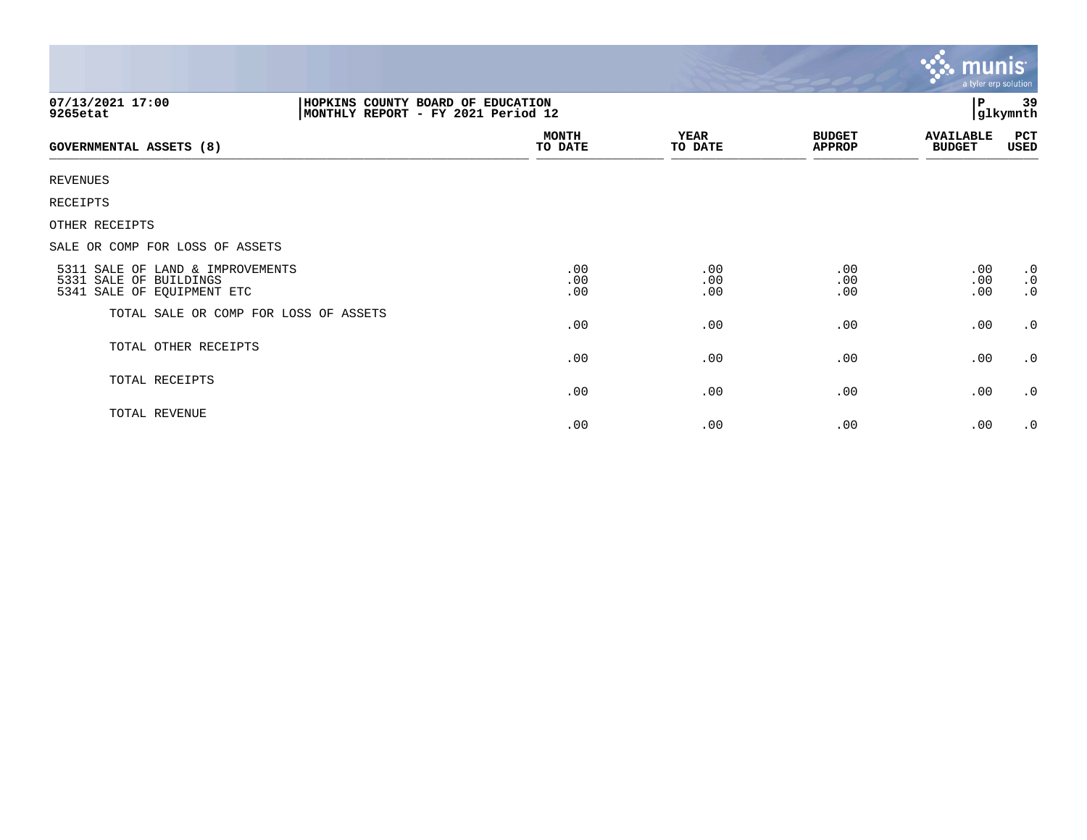|                                                                                          |                                                                         |                        |                                | <b>R. MUNIS</b><br>a tyler erp solution |                                     |
|------------------------------------------------------------------------------------------|-------------------------------------------------------------------------|------------------------|--------------------------------|-----------------------------------------|-------------------------------------|
| 07/13/2021 17:00<br>9265etat                                                             | HOPKINS COUNTY BOARD OF EDUCATION<br>MONTHLY REPORT - FY 2021 Period 12 |                        |                                |                                         | 39<br>glkymnth                      |
| <b>GOVERNMENTAL ASSETS (8)</b>                                                           | <b>MONTH</b><br>TO DATE                                                 | <b>YEAR</b><br>TO DATE | <b>BUDGET</b><br><b>APPROP</b> | <b>AVAILABLE</b><br><b>BUDGET</b>       | PCT<br><b>USED</b>                  |
| <b>REVENUES</b>                                                                          |                                                                         |                        |                                |                                         |                                     |
| <b>RECEIPTS</b>                                                                          |                                                                         |                        |                                |                                         |                                     |
| OTHER RECEIPTS                                                                           |                                                                         |                        |                                |                                         |                                     |
| SALE OR COMP FOR LOSS OF ASSETS                                                          |                                                                         |                        |                                |                                         |                                     |
| 5311 SALE OF LAND & IMPROVEMENTS<br>5331 SALE OF BUILDINGS<br>5341 SALE OF EQUIPMENT ETC | .00<br>.00<br>.00                                                       | .00<br>.00<br>.00      | .00<br>.00<br>.00              | .00<br>.00<br>.00                       | $\cdot$ 0<br>$\cdot$ 0<br>$\cdot$ 0 |
| TOTAL SALE OR COMP FOR LOSS OF ASSETS                                                    | .00                                                                     | .00                    | .00                            | .00                                     | .0                                  |
| TOTAL OTHER RECEIPTS                                                                     | .00                                                                     | .00                    | .00                            | .00                                     | $\cdot$ 0                           |
| TOTAL RECEIPTS                                                                           | .00                                                                     | .00                    | .00                            | .00                                     | $\cdot$ 0                           |
| TOTAL REVENUE                                                                            | .00                                                                     | .00                    | .00                            | .00                                     | $\cdot$ 0                           |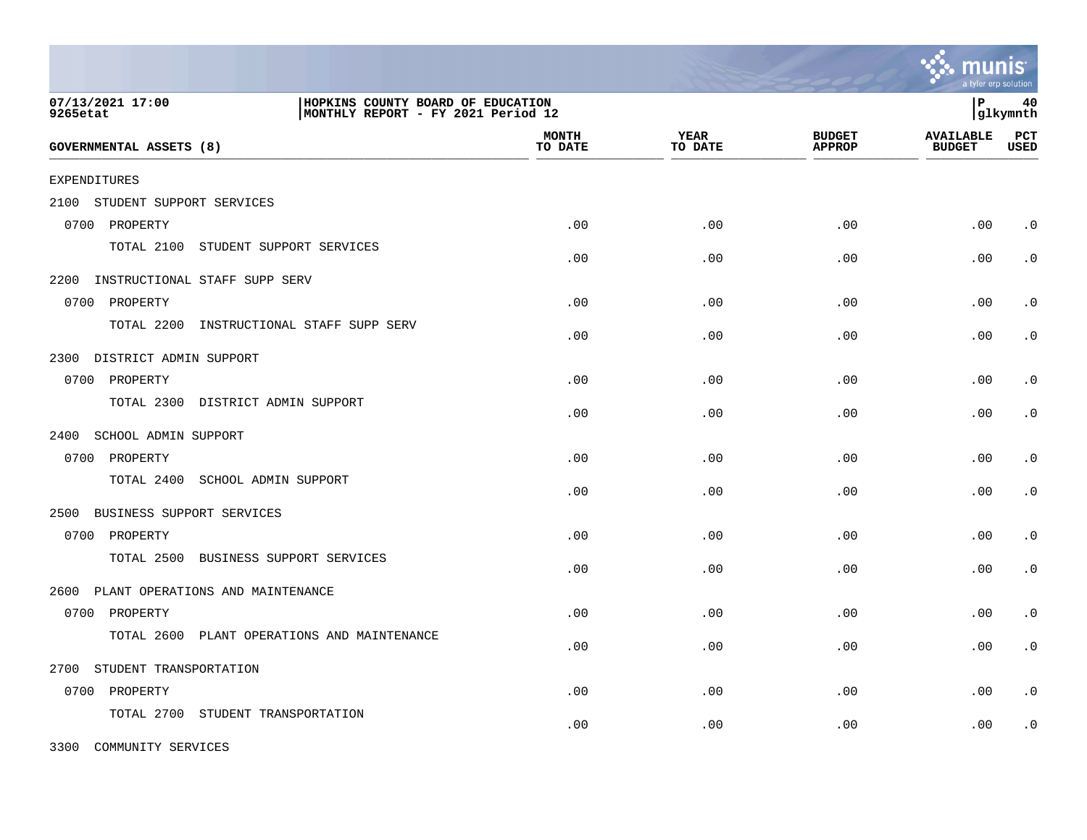|                                                                                                         |                                  |                         |                 |                                | a tyler erp solution              |                    |
|---------------------------------------------------------------------------------------------------------|----------------------------------|-------------------------|-----------------|--------------------------------|-----------------------------------|--------------------|
| 07/13/2021 17:00<br>HOPKINS COUNTY BOARD OF EDUCATION<br>MONTHLY REPORT - FY 2021 Period 12<br>9265etat |                                  |                         |                 |                                | l P                               | 40<br> glkymnth    |
| <b>GOVERNMENTAL ASSETS (8)</b>                                                                          |                                  | <b>MONTH</b><br>TO DATE | YEAR<br>TO DATE | <b>BUDGET</b><br><b>APPROP</b> | <b>AVAILABLE</b><br><b>BUDGET</b> | PCT<br><b>USED</b> |
| <b>EXPENDITURES</b>                                                                                     |                                  |                         |                 |                                |                                   |                    |
| 2100<br>STUDENT SUPPORT SERVICES                                                                        |                                  |                         |                 |                                |                                   |                    |
| 0700 PROPERTY                                                                                           |                                  | .00                     | .00             | .00                            | .00                               | $\cdot$ 0          |
| TOTAL 2100<br>STUDENT SUPPORT SERVICES                                                                  |                                  | .00                     | .00             | .00                            | .00                               | $\cdot$ 0          |
| 2200<br>INSTRUCTIONAL STAFF SUPP SERV                                                                   |                                  |                         |                 |                                |                                   |                    |
| 0700 PROPERTY                                                                                           |                                  | .00                     | .00             | .00                            | .00                               | $\cdot$ 0          |
| TOTAL 2200                                                                                              | INSTRUCTIONAL STAFF SUPP SERV    | .00                     | .00             | .00                            | .00                               | $\cdot$ 0          |
| 2300 DISTRICT ADMIN SUPPORT                                                                             |                                  |                         |                 |                                |                                   |                    |
| 0700 PROPERTY                                                                                           |                                  | .00                     | .00             | .00                            | .00                               | $\cdot$ 0          |
| TOTAL 2300 DISTRICT ADMIN SUPPORT                                                                       |                                  | .00                     | .00             | .00                            | .00                               | $\cdot$ 0          |
| SCHOOL ADMIN SUPPORT<br>2400                                                                            |                                  |                         |                 |                                |                                   |                    |
| 0700 PROPERTY                                                                                           |                                  | .00                     | .00             | .00                            | .00                               | $\cdot$ 0          |
| TOTAL 2400<br>SCHOOL ADMIN SUPPORT                                                                      |                                  | .00                     | .00             | .00                            | .00                               | $\cdot$ 0          |
| BUSINESS SUPPORT SERVICES<br>2500                                                                       |                                  |                         |                 |                                |                                   |                    |
| 0700<br>PROPERTY                                                                                        |                                  | .00                     | .00             | .00                            | .00                               | $\cdot$ 0          |
| TOTAL 2500<br>BUSINESS SUPPORT SERVICES                                                                 |                                  | .00                     | .00             | .00                            | .00                               | $\cdot$ 0          |
| PLANT OPERATIONS AND MAINTENANCE<br>2600                                                                |                                  |                         |                 |                                |                                   |                    |
| 0700 PROPERTY                                                                                           |                                  | .00                     | .00             | .00                            | .00                               | $\cdot$ 0          |
| TOTAL 2600                                                                                              | PLANT OPERATIONS AND MAINTENANCE | .00                     | .00             | .00                            | .00                               | $\cdot$ 0          |
| 2700<br>STUDENT TRANSPORTATION                                                                          |                                  |                         |                 |                                |                                   |                    |
| PROPERTY<br>0700                                                                                        |                                  | .00                     | .00             | .00                            | .00                               | $\cdot$ 0          |
| TOTAL 2700<br>STUDENT TRANSPORTATION                                                                    |                                  | .00                     | .00             | .00                            | .00                               | $\cdot$ 0          |

3300 COMMUNITY SERVICES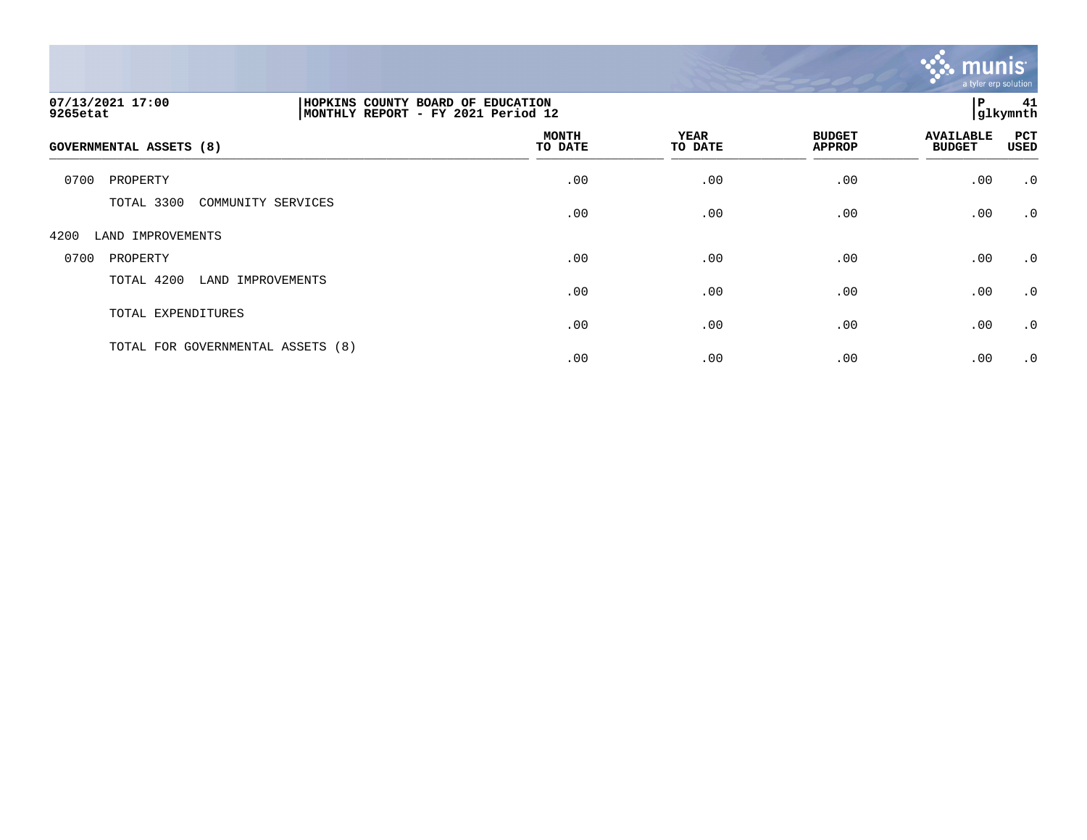

| 07/13/2021 17:00<br>9265etat      |                    | HOPKINS COUNTY BOARD OF EDUCATION<br>MONTHLY REPORT - FY 2021 Period 12 |                        |                                |                                   | P<br>41<br>glkymnth |  |
|-----------------------------------|--------------------|-------------------------------------------------------------------------|------------------------|--------------------------------|-----------------------------------|---------------------|--|
| GOVERNMENTAL ASSETS (8)           |                    | <b>MONTH</b><br>TO DATE                                                 | <b>YEAR</b><br>TO DATE | <b>BUDGET</b><br><b>APPROP</b> | <b>AVAILABLE</b><br><b>BUDGET</b> | PCT<br>USED         |  |
| 0700<br>PROPERTY                  |                    | .00                                                                     | .00                    | .00                            | .00                               | $\cdot$ 0           |  |
| TOTAL 3300                        | COMMUNITY SERVICES | .00                                                                     | .00                    | .00                            | .00                               | $\cdot$ 0           |  |
| 4200<br>LAND IMPROVEMENTS         |                    |                                                                         |                        |                                |                                   |                     |  |
| 0700<br>PROPERTY                  |                    | .00                                                                     | .00                    | .00                            | .00                               | $\cdot$ 0           |  |
| TOTAL 4200                        | LAND IMPROVEMENTS  | .00                                                                     | .00                    | .00                            | .00                               | $\cdot$ 0           |  |
| TOTAL EXPENDITURES                |                    | .00                                                                     | .00                    | .00                            | .00                               | $\cdot$ 0           |  |
| TOTAL FOR GOVERNMENTAL ASSETS (8) |                    | .00                                                                     | .00                    | .00                            | .00                               | $\cdot$ 0           |  |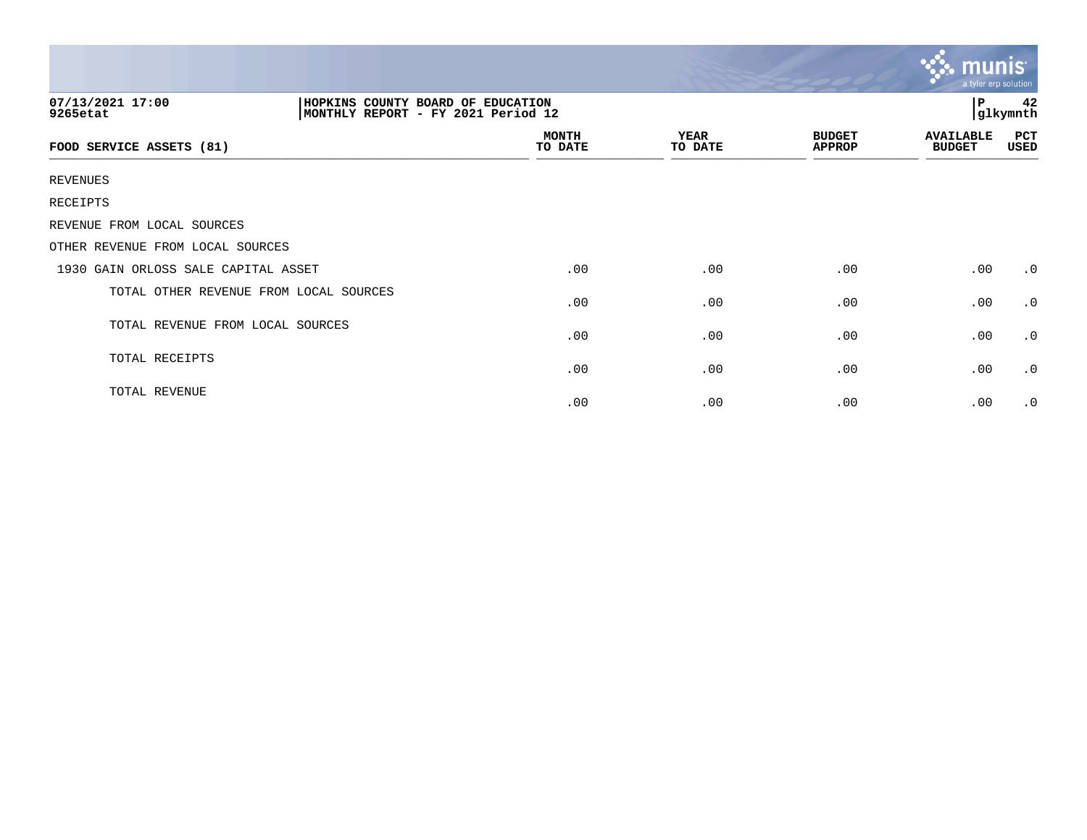| 07/13/2021 17:00<br>9265etat           | HOPKINS COUNTY BOARD OF EDUCATION<br>MONTHLY REPORT - FY 2021 Period 12 |                 |                                | 42<br>P<br>glkymnth               |             |
|----------------------------------------|-------------------------------------------------------------------------|-----------------|--------------------------------|-----------------------------------|-------------|
| FOOD SERVICE ASSETS (81)               | <b>MONTH</b><br>TO DATE                                                 | YEAR<br>TO DATE | <b>BUDGET</b><br><b>APPROP</b> | <b>AVAILABLE</b><br><b>BUDGET</b> | PCT<br>USED |
| REVENUES                               |                                                                         |                 |                                |                                   |             |
| RECEIPTS                               |                                                                         |                 |                                |                                   |             |
| REVENUE FROM LOCAL SOURCES             |                                                                         |                 |                                |                                   |             |
| OTHER REVENUE FROM LOCAL SOURCES       |                                                                         |                 |                                |                                   |             |
| 1930 GAIN ORLOSS SALE CAPITAL ASSET    | .00                                                                     | .00             | .00                            | .00                               | $\cdot$ 0   |
| TOTAL OTHER REVENUE FROM LOCAL SOURCES | .00                                                                     | .00             | .00                            | .00                               | $\cdot$ 0   |
| TOTAL REVENUE FROM LOCAL SOURCES       | .00                                                                     | .00             | .00                            | .00                               | $\cdot$ 0   |
| TOTAL RECEIPTS                         | .00                                                                     | .00             | .00                            | .00                               | $\cdot$ 0   |
| TOTAL REVENUE                          | .00                                                                     | .00             | .00                            | .00                               | $\cdot$ 0   |

 $\sim$   $\sim$   $\sim$   $\sim$   $\sim$   $\sim$   $\sim$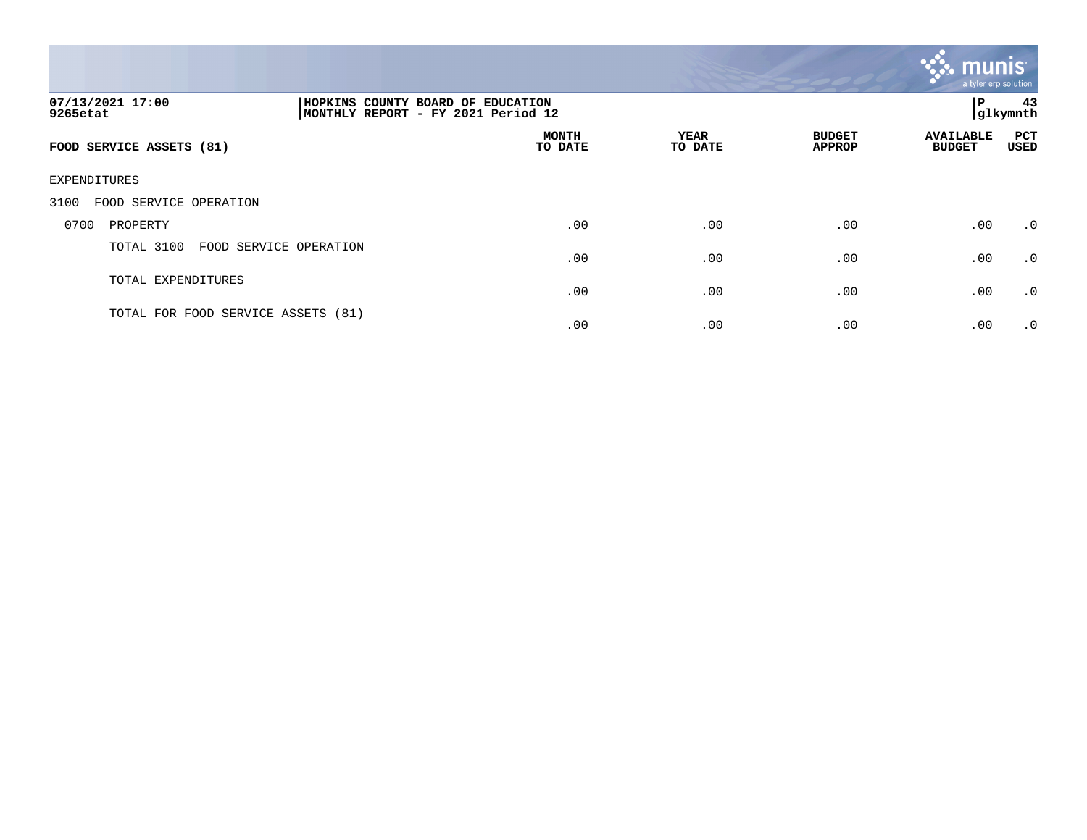

| 07/13/2021 17:00<br>9265etat       |                        | HOPKINS COUNTY BOARD OF EDUCATION<br>MONTHLY REPORT - FY 2021 Period 12 |                        |                                |                                   | 43<br>Р<br> glkymnth |  |
|------------------------------------|------------------------|-------------------------------------------------------------------------|------------------------|--------------------------------|-----------------------------------|----------------------|--|
| FOOD SERVICE ASSETS (81)           |                        | <b>MONTH</b><br>TO DATE                                                 | <b>YEAR</b><br>TO DATE | <b>BUDGET</b><br><b>APPROP</b> | <b>AVAILABLE</b><br><b>BUDGET</b> | <b>PCT</b><br>USED   |  |
| EXPENDITURES                       |                        |                                                                         |                        |                                |                                   |                      |  |
| 3100<br>FOOD SERVICE OPERATION     |                        |                                                                         |                        |                                |                                   |                      |  |
| 0700<br>PROPERTY                   |                        | .00                                                                     | .00                    | .00                            | .00                               | $\cdot$ 0            |  |
| TOTAL 3100                         | FOOD SERVICE OPERATION | .00                                                                     | .00                    | .00                            | .00                               | $\cdot$ 0            |  |
| TOTAL EXPENDITURES                 |                        | .00                                                                     | .00                    | .00                            | .00                               | $\cdot$ 0            |  |
| TOTAL FOR FOOD SERVICE ASSETS (81) |                        | .00                                                                     | .00                    | .00                            | .00                               | $\cdot$ 0            |  |